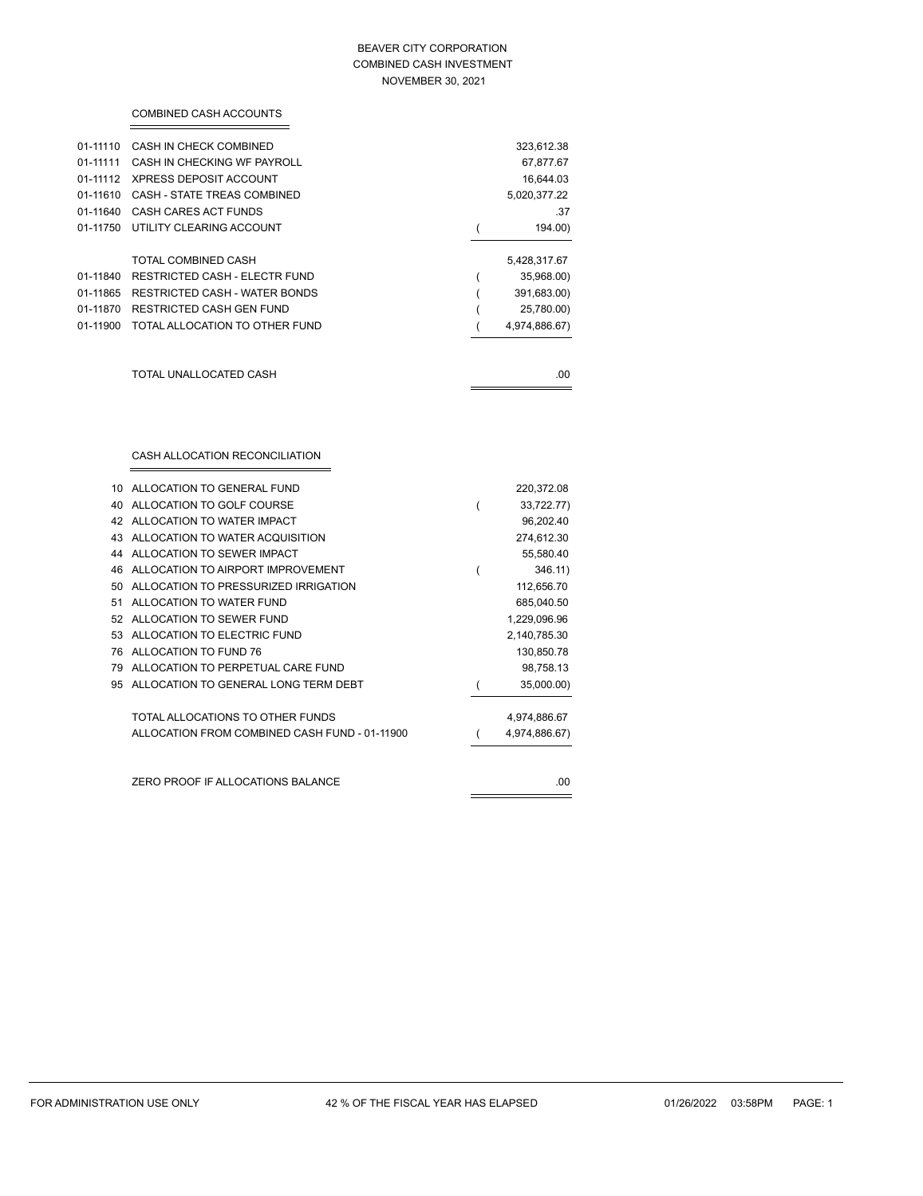### BEAVER CITY CORPORATION COMBINED CASH INVESTMENT NOVEMBER 30, 2021

| 01-11110 | CASH IN CHECK COMBINED                                                    |                | 323,612.38              |
|----------|---------------------------------------------------------------------------|----------------|-------------------------|
| 01-11111 | CASH IN CHECKING WF PAYROLL                                               |                | 67,877.67               |
| 01-11112 | <b>XPRESS DEPOSIT ACCOUNT</b>                                             |                | 16,644.03               |
| 01-11610 | CASH - STATE TREAS COMBINED                                               |                | 5,020,377.22            |
| 01-11640 | <b>CASH CARES ACT FUNDS</b>                                               |                | .37                     |
| 01-11750 | UTILITY CLEARING ACCOUNT                                                  | $\overline{(}$ | 194.00)                 |
|          | TOTAL COMBINED CASH                                                       |                | 5,428,317.67            |
| 01-11840 | <b>RESTRICTED CASH - ELECTR FUND</b>                                      | (              | 35,968.00)              |
| 01-11865 | RESTRICTED CASH - WATER BONDS                                             | (              | 391,683.00)             |
| 01-11870 | RESTRICTED CASH GEN FUND                                                  |                | 25,780.00)              |
| 01-11900 | TOTAL ALLOCATION TO OTHER FUND                                            |                | 4,974,886.67)           |
|          |                                                                           |                |                         |
|          | TOTAL UNALLOCATED CASH                                                    |                | .00                     |
|          | CASH ALLOCATION RECONCILIATION                                            |                |                         |
|          |                                                                           |                |                         |
| 10       | ALLOCATION TO GENERAL FUND                                                |                | 220,372.08              |
| 40       | ALLOCATION TO GOLF COURSE                                                 | $\overline{(}$ | 33,722.77)              |
| 42       | ALLOCATION TO WATER IMPACT                                                |                | 96,202.40               |
| 43       | ALLOCATION TO WATER ACQUISITION                                           |                | 274,612.30              |
| 44       | ALLOCATION TO SEWER IMPACT                                                |                | 55,580.40               |
| 46       | ALLOCATION TO AIRPORT IMPROVEMENT                                         | (              | 346.11)                 |
| 50       | ALLOCATION TO PRESSURIZED IRRIGATION                                      |                | 112,656.70              |
| 51       | ALLOCATION TO WATER FUND                                                  |                | 685,040.50              |
| 52       | ALLOCATION TO SEWER FUND                                                  |                | 1,229,096.96            |
| 53       | ALLOCATION TO ELECTRIC FUND                                               |                | 2,140,785.30            |
| 76       | ALLOCATION TO FUND 76                                                     |                | 130,850.78              |
| 79<br>95 | ALLOCATION TO PERPETUAL CARE FUND<br>ALLOCATION TO GENERAL LONG TERM DEBT |                | 98,758.13<br>35,000.00) |

COMBINED CASH ACCOUNTS

| ZERO PROOF IF ALLOCATIONS BALANCE | .00 |
|-----------------------------------|-----|
|                                   |     |

TOTAL ALLOCATIONS TO OTHER FUNDS 4,974,886.67 ALLOCATION FROM COMBINED CASH FUND - 01-11900 (4,974,886.67)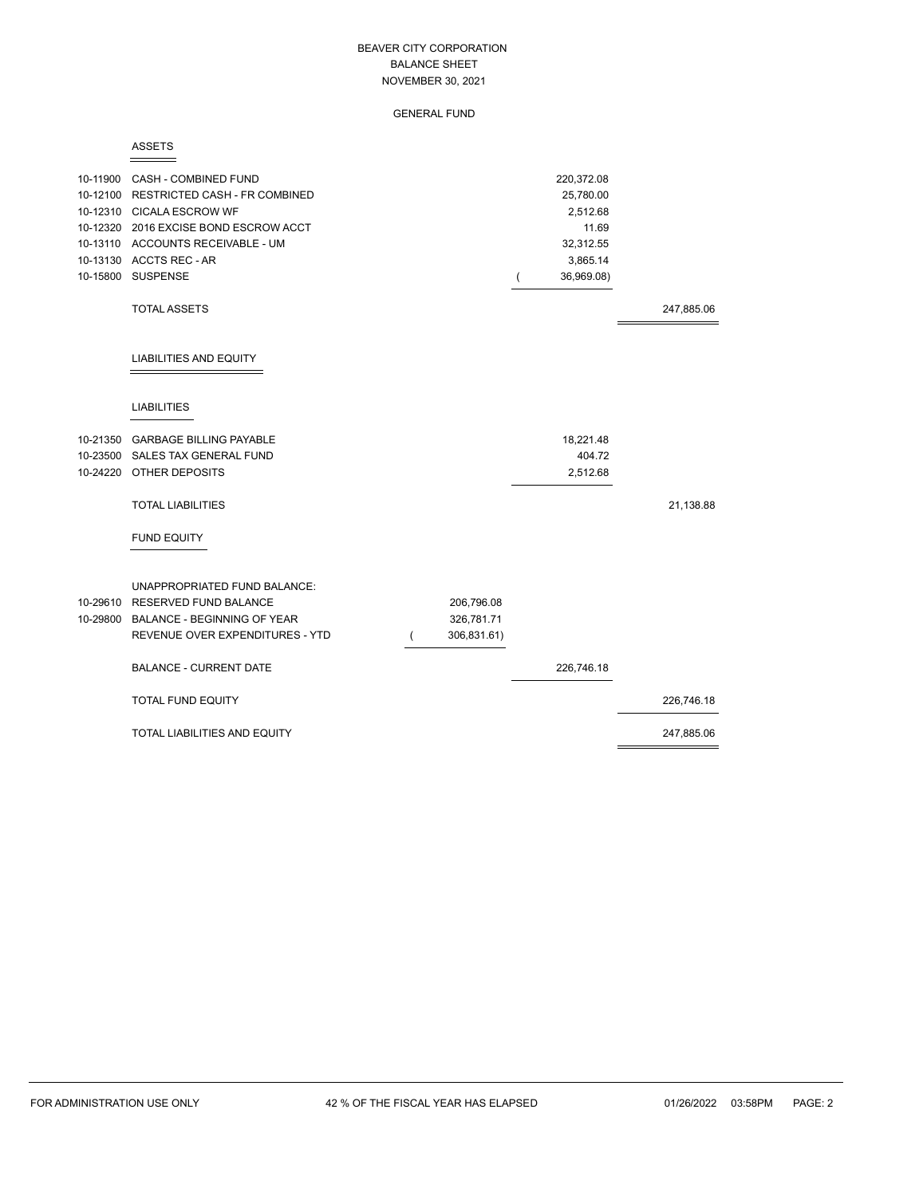GENERAL FUND

#### ASSETS

| 10-11900 CASH - COMBINED FUND<br>10-12100 RESTRICTED CASH - FR COMBINED<br>10-12310 CICALA ESCROW WF<br>10-12320 2016 EXCISE BOND ESCROW ACCT<br>10-13110 ACCOUNTS RECEIVABLE - UM<br>10-13130 ACCTS REC - AR<br>10-15800 SUSPENSE |             | ( | 220,372.08<br>25,780.00<br>2,512.68<br>11.69<br>32,312.55<br>3,865.14<br>36,969.08) |            |
|------------------------------------------------------------------------------------------------------------------------------------------------------------------------------------------------------------------------------------|-------------|---|-------------------------------------------------------------------------------------|------------|
| <b>TOTAL ASSETS</b>                                                                                                                                                                                                                |             |   |                                                                                     | 247,885.06 |
| <b>LIABILITIES AND EQUITY</b>                                                                                                                                                                                                      |             |   |                                                                                     |            |
| <b>LIABILITIES</b>                                                                                                                                                                                                                 |             |   |                                                                                     |            |
| 10-21350 GARBAGE BILLING PAYABLE                                                                                                                                                                                                   |             |   | 18,221.48                                                                           |            |
| 10-23500 SALES TAX GENERAL FUND                                                                                                                                                                                                    |             |   | 404.72                                                                              |            |
| 10-24220 OTHER DEPOSITS                                                                                                                                                                                                            |             |   | 2,512.68                                                                            |            |
| <b>TOTAL LIABILITIES</b>                                                                                                                                                                                                           |             |   |                                                                                     | 21,138.88  |
| <b>FUND EQUITY</b>                                                                                                                                                                                                                 |             |   |                                                                                     |            |
| <b>UNAPPROPRIATED FUND BALANCE:</b>                                                                                                                                                                                                |             |   |                                                                                     |            |
| 10-29610 RESERVED FUND BALANCE                                                                                                                                                                                                     | 206,796.08  |   |                                                                                     |            |
| 10-29800 BALANCE - BEGINNING OF YEAR                                                                                                                                                                                               | 326,781.71  |   |                                                                                     |            |
| REVENUE OVER EXPENDITURES - YTD                                                                                                                                                                                                    | 306,831.61) |   |                                                                                     |            |
| <b>BALANCE - CURRENT DATE</b>                                                                                                                                                                                                      |             |   | 226,746.18                                                                          |            |
| TOTAL FUND EQUITY                                                                                                                                                                                                                  |             |   |                                                                                     | 226,746.18 |
| TOTAL LIABILITIES AND EQUITY                                                                                                                                                                                                       |             |   |                                                                                     | 247,885.06 |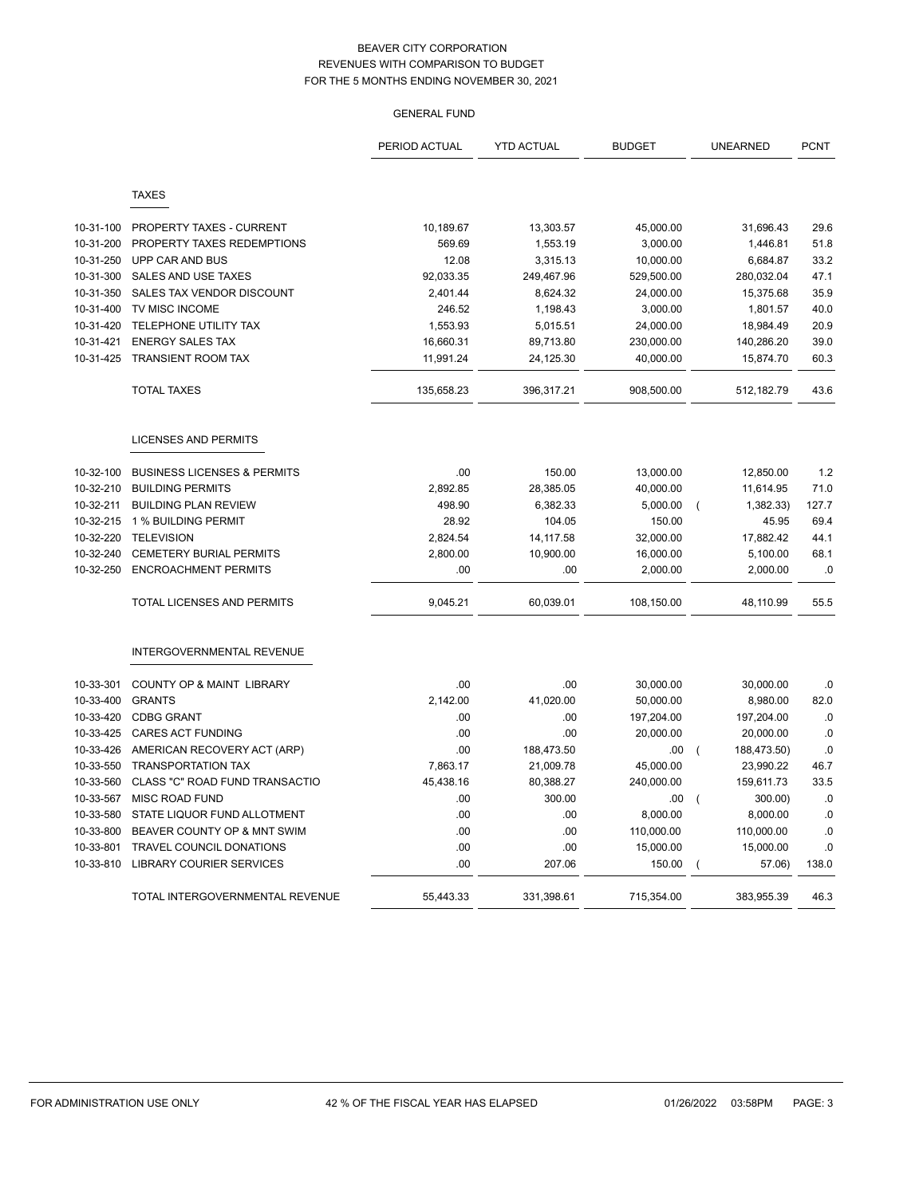|           |                                        | PERIOD ACTUAL | <b>YTD ACTUAL</b> | <b>BUDGET</b> | <b>UNEARNED</b>               | <b>PCNT</b> |
|-----------|----------------------------------------|---------------|-------------------|---------------|-------------------------------|-------------|
|           | <b>TAXES</b>                           |               |                   |               |                               |             |
|           |                                        |               |                   |               |                               |             |
| 10-31-100 | PROPERTY TAXES - CURRENT               | 10,189.67     | 13,303.57         | 45,000.00     | 31,696.43                     | 29.6        |
| 10-31-200 | PROPERTY TAXES REDEMPTIONS             | 569.69        | 1,553.19          | 3,000.00      | 1,446.81                      | 51.8        |
| 10-31-250 | UPP CAR AND BUS                        | 12.08         | 3,315.13          | 10,000.00     | 6,684.87                      | 33.2        |
| 10-31-300 | SALES AND USE TAXES                    | 92,033.35     | 249,467.96        | 529,500.00    | 280,032.04                    | 47.1        |
| 10-31-350 | SALES TAX VENDOR DISCOUNT              | 2,401.44      | 8,624.32          | 24,000.00     | 15,375.68                     | 35.9        |
| 10-31-400 | TV MISC INCOME                         | 246.52        | 1,198.43          | 3,000.00      | 1,801.57                      | 40.0        |
| 10-31-420 | TELEPHONE UTILITY TAX                  | 1,553.93      | 5,015.51          | 24,000.00     | 18,984.49                     | 20.9        |
| 10-31-421 | <b>ENERGY SALES TAX</b>                | 16,660.31     | 89,713.80         | 230,000.00    | 140,286.20                    | 39.0        |
| 10-31-425 | <b>TRANSIENT ROOM TAX</b>              | 11,991.24     | 24,125.30         | 40,000.00     | 15,874.70                     | 60.3        |
|           | <b>TOTAL TAXES</b>                     | 135,658.23    | 396,317.21        | 908.500.00    | 512,182.79                    | 43.6        |
|           | <b>LICENSES AND PERMITS</b>            |               |                   |               |                               |             |
| 10-32-100 | <b>BUSINESS LICENSES &amp; PERMITS</b> | .00           | 150.00            | 13,000.00     | 12,850.00                     | 1.2         |
| 10-32-210 | <b>BUILDING PERMITS</b>                | 2,892.85      | 28,385.05         | 40,000.00     | 11,614.95                     | 71.0        |
| 10-32-211 | <b>BUILDING PLAN REVIEW</b>            | 498.90        | 6,382.33          | 5,000.00      | 1,382.33)<br>(                | 127.7       |
| 10-32-215 | 1 % BUILDING PERMIT                    | 28.92         | 104.05            | 150.00        | 45.95                         | 69.4        |
| 10-32-220 | <b>TELEVISION</b>                      | 2,824.54      | 14,117.58         | 32,000.00     | 17,882.42                     | 44.1        |
| 10-32-240 | <b>CEMETERY BURIAL PERMITS</b>         | 2,800.00      | 10,900.00         | 16,000.00     | 5,100.00                      | 68.1        |
| 10-32-250 | <b>ENCROACHMENT PERMITS</b>            | .00           | .00               | 2,000.00      | 2,000.00                      | .0          |
|           | <b>TOTAL LICENSES AND PERMITS</b>      | 9,045.21      | 60,039.01         | 108,150.00    | 48,110.99                     | 55.5        |
|           | <b>INTERGOVERNMENTAL REVENUE</b>       |               |                   |               |                               |             |
| 10-33-301 | <b>COUNTY OP &amp; MAINT LIBRARY</b>   | .00           | .00               | 30,000.00     | 30,000.00                     | .0          |
| 10-33-400 | <b>GRANTS</b>                          | 2,142.00      | 41,020.00         | 50,000.00     | 8,980.00                      | 82.0        |
| 10-33-420 | <b>CDBG GRANT</b>                      | .00           | .00               | 197,204.00    | 197,204.00                    | .0          |
| 10-33-425 | <b>CARES ACT FUNDING</b>               | .00           | .00               | 20,000.00     | 20,000.00                     | .0          |
| 10-33-426 | AMERICAN RECOVERY ACT (ARP)            | .00           | 188,473.50        | .00           | 188,473.50)<br>$\overline{ }$ | .0          |
| 10-33-550 | <b>TRANSPORTATION TAX</b>              | 7,863.17      | 21,009.78         | 45,000.00     | 23,990.22                     | 46.7        |
| 10-33-560 | CLASS "C" ROAD FUND TRANSACTIO         | 45,438.16     | 80,388.27         | 240,000.00    | 159,611.73                    | 33.5        |
| 10-33-567 | <b>MISC ROAD FUND</b>                  | .00           | 300.00            | .00           | 300.00)<br>$\overline{ }$     | .0          |
| 10-33-580 | STATE LIQUOR FUND ALLOTMENT            | .00           | .00.              | 8,000.00      | 8,000.00                      | .0          |
| 10-33-800 | BEAVER COUNTY OP & MNT SWIM            | .00           | .00               | 110,000.00    | 110,000.00                    | .0          |
| 10-33-801 | TRAVEL COUNCIL DONATIONS               | .00           | .00               | 15,000.00     | 15,000.00                     | 0.          |
| 10-33-810 | <b>LIBRARY COURIER SERVICES</b>        | .00           | 207.06            | 150.00        | 57.06)                        | 138.0       |
|           | TOTAL INTERGOVERNMENTAL REVENUE        | 55,443.33     | 331,398.61        | 715,354.00    | 383,955.39                    | 46.3        |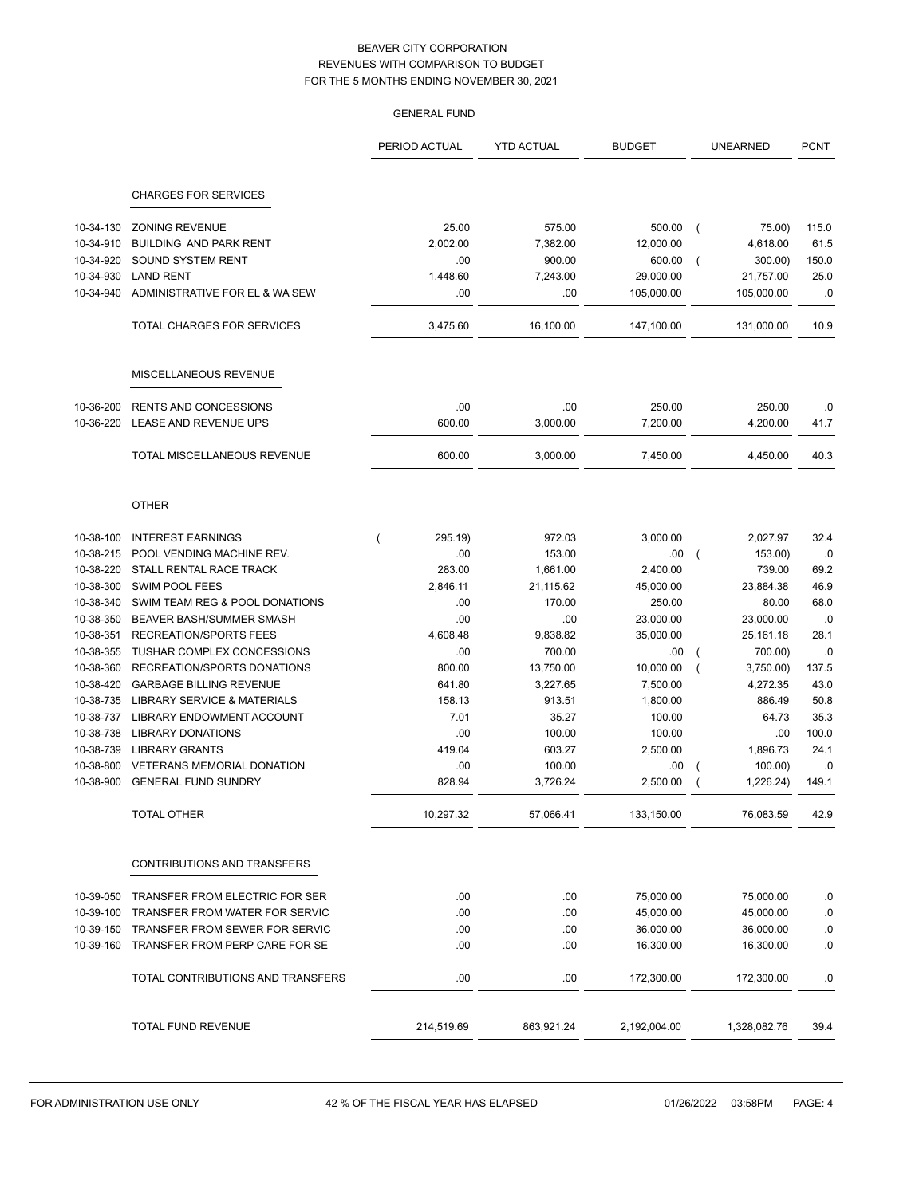|                        |                                                    | <b>GENERAL FUND</b> |                    |                     |                                       |               |
|------------------------|----------------------------------------------------|---------------------|--------------------|---------------------|---------------------------------------|---------------|
|                        |                                                    | PERIOD ACTUAL       | <b>YTD ACTUAL</b>  | <b>BUDGET</b>       | <b>UNEARNED</b>                       | <b>PCNT</b>   |
|                        | <b>CHARGES FOR SERVICES</b>                        |                     |                    |                     |                                       |               |
|                        |                                                    |                     |                    |                     |                                       |               |
| 10-34-130              | <b>ZONING REVENUE</b>                              | 25.00               | 575.00             | 500.00              | 75.00)<br>$\overline{ }$              | 115.0         |
| 10-34-910<br>10-34-920 | <b>BUILDING AND PARK RENT</b><br>SOUND SYSTEM RENT | 2,002.00<br>.00     | 7,382.00<br>900.00 | 12,000.00<br>600.00 | 4,618.00<br>300.00)<br>$\overline{ }$ | 61.5<br>150.0 |
| 10-34-930              | <b>LAND RENT</b>                                   | 1,448.60            | 7,243.00           | 29,000.00           | 21,757.00                             | 25.0          |
| 10-34-940              | ADMINISTRATIVE FOR EL & WA SEW                     | .00                 | .00                | 105,000.00          | 105,000.00                            | .0            |
|                        |                                                    |                     |                    |                     |                                       |               |
|                        | TOTAL CHARGES FOR SERVICES                         | 3,475.60            | 16,100.00          | 147,100.00          | 131,000.00                            | 10.9          |
|                        | MISCELLANEOUS REVENUE                              |                     |                    |                     |                                       |               |
| 10-36-200              | <b>RENTS AND CONCESSIONS</b>                       | .00                 | .00                | 250.00              | 250.00                                | .0            |
| 10-36-220              | LEASE AND REVENUE UPS                              | 600.00              | 3,000.00           | 7,200.00            | 4,200.00                              | 41.7          |
|                        | TOTAL MISCELLANEOUS REVENUE                        | 600.00              | 3,000.00           | 7,450.00            | 4,450.00                              | 40.3          |
|                        | <b>OTHER</b>                                       |                     |                    |                     |                                       |               |
| 10-38-100              | <b>INTEREST EARNINGS</b>                           | 295.19)             | 972.03             | 3,000.00            | 2,027.97                              | 32.4          |
| 10-38-215              | POOL VENDING MACHINE REV.                          | .00                 | 153.00             | .00                 | 153.00)                               | .0            |
| 10-38-220              | STALL RENTAL RACE TRACK                            | 283.00              | 1,661.00           | 2,400.00            | 739.00                                | 69.2          |
| 10-38-300              | SWIM POOL FEES                                     | 2,846.11            | 21,115.62          | 45,000.00           | 23,884.38                             | 46.9          |
| 10-38-340              | SWIM TEAM REG & POOL DONATIONS                     | .00                 | 170.00             | 250.00              | 80.00                                 | 68.0          |
| 10-38-350              | BEAVER BASH/SUMMER SMASH                           | .00                 | .00                | 23,000.00           | 23,000.00                             | .0            |
| 10-38-351              | <b>RECREATION/SPORTS FEES</b>                      | 4,608.48            | 9,838.82           | 35,000.00           | 25,161.18                             | 28.1          |
| 10-38-355              | TUSHAR COMPLEX CONCESSIONS                         | .00                 | 700.00             | .00                 | 700.00)                               | .0            |
| 10-38-360              | RECREATION/SPORTS DONATIONS                        | 800.00              | 13,750.00          | 10,000.00           | 3,750.00)<br>$\overline{ }$           | 137.5         |
| 10-38-420              | <b>GARBAGE BILLING REVENUE</b>                     | 641.80              | 3,227.65           | 7,500.00            | 4,272.35                              | 43.0          |
| 10-38-735              | <b>LIBRARY SERVICE &amp; MATERIALS</b>             | 158.13              | 913.51             | 1,800.00            | 886.49                                | 50.8          |
| 10-38-737              | LIBRARY ENDOWMENT ACCOUNT                          | 7.01                | 35.27              | 100.00              | 64.73                                 | 35.3          |
| 10-38-738              | <b>LIBRARY DONATIONS</b>                           | .00                 | 100.00             | 100.00              | .00                                   | 100.0         |
| 10-38-739              | <b>LIBRARY GRANTS</b>                              | 419.04              | 603.27             | 2,500.00            | 1,896.73                              | 24.1          |
| 10-38-800              | <b>VETERANS MEMORIAL DONATION</b>                  | .00                 | 100.00             | .00                 | 100.00)                               | .0            |
| 10-38-900              | <b>GENERAL FUND SUNDRY</b>                         | 828.94              | 3,726.24           | 2,500.00            | 1,226.24)                             | 149.1         |
|                        | <b>TOTAL OTHER</b>                                 | 10,297.32           | 57,066.41          | 133,150.00          | 76,083.59                             | 42.9          |
|                        | CONTRIBUTIONS AND TRANSFERS                        |                     |                    |                     |                                       |               |
| 10-39-050              | TRANSFER FROM ELECTRIC FOR SER                     | .00                 | .00                | 75,000.00           | 75,000.00                             | .0            |
| 10-39-100              | TRANSFER FROM WATER FOR SERVIC                     | .00                 | .00                | 45,000.00           | 45,000.00                             | .0            |
| 10-39-150              | TRANSFER FROM SEWER FOR SERVIC                     | .00                 | .00                | 36,000.00           | 36,000.00                             | .0            |
| 10-39-160              | TRANSFER FROM PERP CARE FOR SE                     | .00.                | .00                | 16,300.00           | 16,300.00                             | .0            |
|                        | TOTAL CONTRIBUTIONS AND TRANSFERS                  | .00                 | .00                | 172,300.00          | 172,300.00                            | .0            |
|                        | TOTAL FUND REVENUE                                 | 214,519.69          | 863,921.24         | 2,192,004.00        | 1,328,082.76                          | 39.4          |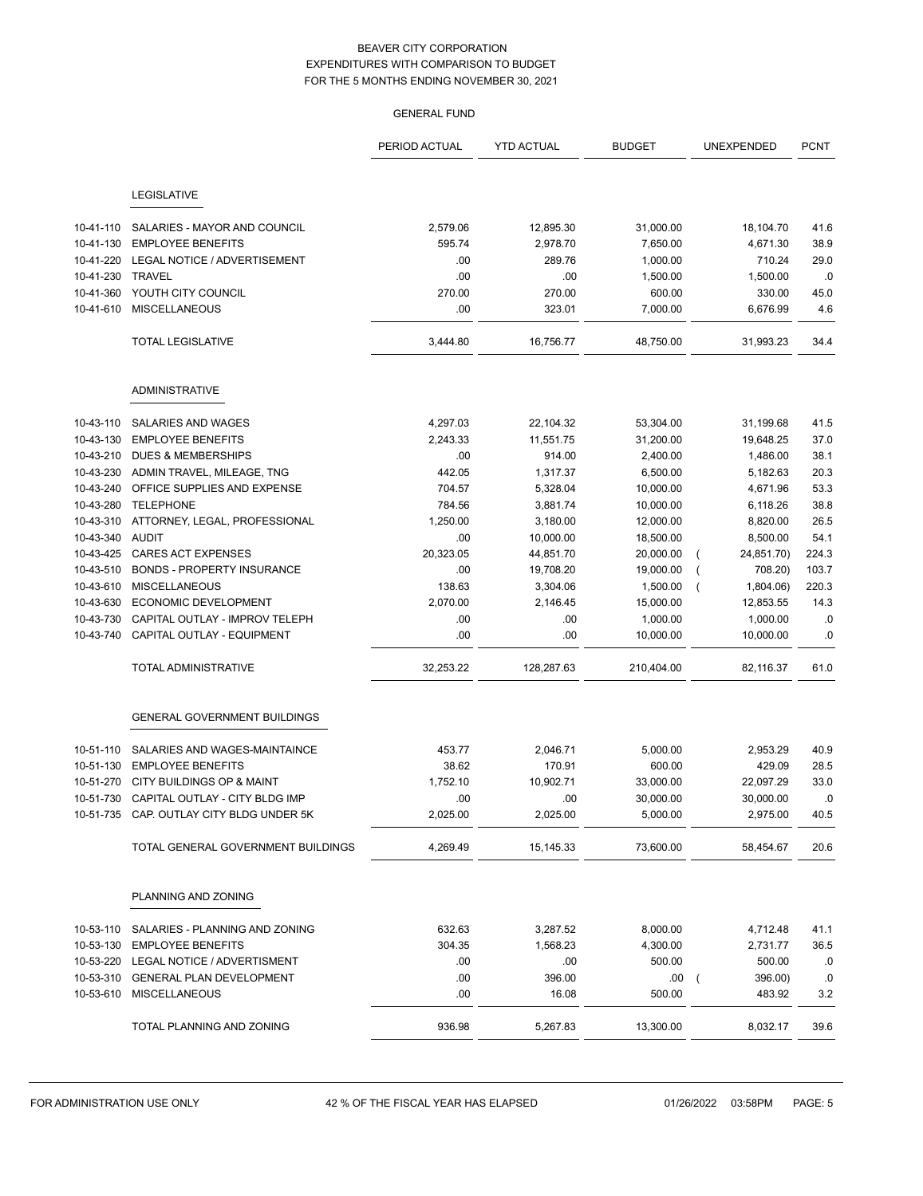|           |                                                                                      | <b>GENERAL FUND</b> |                   |                       |                           |             |
|-----------|--------------------------------------------------------------------------------------|---------------------|-------------------|-----------------------|---------------------------|-------------|
|           |                                                                                      | PERIOD ACTUAL       | <b>YTD ACTUAL</b> | <b>BUDGET</b>         | UNEXPENDED                | <b>PCNT</b> |
|           | LEGISLATIVE                                                                          |                     |                   |                       |                           |             |
| 10-41-110 | SALARIES - MAYOR AND COUNCIL                                                         | 2,579.06            | 12,895.30         | 31,000.00             | 18,104.70                 | 41.6        |
| 10-41-130 | <b>EMPLOYEE BENEFITS</b>                                                             | 595.74              | 2,978.70          | 7,650.00              | 4,671.30                  | 38.9        |
| 10-41-220 | LEGAL NOTICE / ADVERTISEMENT                                                         | .00                 | 289.76            | 1,000.00              | 710.24                    | 29.0        |
| 10-41-230 | <b>TRAVEL</b>                                                                        | .00                 | .00               | 1,500.00              | 1,500.00                  | .0          |
| 10-41-360 | YOUTH CITY COUNCIL                                                                   | 270.00              | 270.00            | 600.00                | 330.00                    | 45.0        |
| 10-41-610 | <b>MISCELLANEOUS</b>                                                                 | .00                 | 323.01            | 7,000.00              | 6,676.99                  | 4.6         |
|           | <b>TOTAL LEGISLATIVE</b>                                                             | 3,444.80            | 16,756.77         | 48,750.00             | 31,993.23                 | 34.4        |
|           | <b>ADMINISTRATIVE</b>                                                                |                     |                   |                       |                           |             |
|           |                                                                                      |                     |                   |                       |                           |             |
| 10-43-110 | SALARIES AND WAGES                                                                   | 4,297.03            | 22,104.32         | 53,304.00             | 31,199.68                 | 41.5        |
| 10-43-130 | <b>EMPLOYEE BENEFITS</b>                                                             | 2,243.33            | 11,551.75         | 31,200.00             | 19,648.25                 | 37.0        |
| 10-43-210 | <b>DUES &amp; MEMBERSHIPS</b>                                                        | .00                 | 914.00            | 2,400.00              | 1,486.00                  | 38.1        |
| 10-43-230 | ADMIN TRAVEL, MILEAGE, TNG                                                           | 442.05              | 1,317.37          | 6,500.00              | 5,182.63                  | 20.3        |
| 10-43-240 | OFFICE SUPPLIES AND EXPENSE                                                          | 704.57              | 5,328.04          | 10,000.00             | 4,671.96                  | 53.3        |
| 10-43-280 | <b>TELEPHONE</b>                                                                     | 784.56              | 3,881.74          | 10,000.00             | 6,118.26                  | 38.8        |
| 10-43-310 | ATTORNEY, LEGAL, PROFESSIONAL                                                        | 1,250.00            | 3,180.00          | 12,000.00             | 8,820.00                  | 26.5        |
| 10-43-340 | AUDIT                                                                                | .00                 | 10,000.00         | 18,500.00             | 8,500.00                  | 54.1        |
| 10-43-425 | <b>CARES ACT EXPENSES</b>                                                            | 20,323.05           | 44,851.70         | 20,000.00             | 24,851.70)                | 224.3       |
| 10-43-510 | <b>BONDS - PROPERTY INSURANCE</b>                                                    | .00                 | 19,708.20         | 19,000.00             | 708.20)                   | 103.7       |
| 10-43-610 | <b>MISCELLANEOUS</b>                                                                 | 138.63              | 3,304.06          | 1,500.00              | 1,804.06)                 | 220.3       |
| 10-43-630 | ECONOMIC DEVELOPMENT                                                                 | 2,070.00            | 2,146.45          | 15,000.00             | 12,853.55                 | 14.3        |
| 10-43-730 | CAPITAL OUTLAY - IMPROV TELEPH                                                       | .00                 | .00               | 1,000.00              | 1,000.00                  | .0          |
| 10-43-740 | CAPITAL OUTLAY - EQUIPMENT                                                           | .00                 | .00               | 10,000.00             | 10,000.00                 | .0          |
|           | <b>TOTAL ADMINISTRATIVE</b>                                                          | 32,253.22           | 128,287.63        | 210,404.00            | 82,116.37                 | 61.0        |
|           | <b>GENERAL GOVERNMENT BUILDINGS</b>                                                  |                     |                   |                       |                           |             |
|           |                                                                                      |                     |                   |                       |                           |             |
| 10-51-110 | SALARIES AND WAGES-MAINTAINCE                                                        | 453.77              | 2,046.71          | 5,000.00              | 2,953.29                  | 40.9        |
|           | 10-51-130 EMPLOYEE BENEFITS                                                          | 38.62               | 170.91            | 600.00                | 429.09                    | 28.5        |
|           | 10-51-270 CITY BUILDINGS OP & MAINT                                                  | 1,752.10            | 10,902.71         | 33,000.00             | 22,097.29                 | 33.0        |
|           | 10-51-730 CAPITAL OUTLAY - CITY BLDG IMP<br>10-51-735 CAP. OUTLAY CITY BLDG UNDER 5K | .00<br>2,025.00     | .00<br>2,025.00   | 30,000.00<br>5,000.00 | 30,000.00<br>2,975.00     | .0<br>40.5  |
|           |                                                                                      |                     |                   |                       |                           |             |
|           | TOTAL GENERAL GOVERNMENT BUILDINGS                                                   | 4,269.49            | 15,145.33         | 73,600.00             | 58,454.67                 | 20.6        |
|           | PLANNING AND ZONING                                                                  |                     |                   |                       |                           |             |
| 10-53-110 | SALARIES - PLANNING AND ZONING                                                       | 632.63              | 3,287.52          | 8,000.00              | 4,712.48                  | 41.1        |
|           | 10-53-130 EMPLOYEE BENEFITS                                                          | 304.35              | 1,568.23          | 4,300.00              | 2,731.77                  | 36.5        |
|           | 10-53-220 LEGAL NOTICE / ADVERTISMENT                                                | .00                 | .00               | 500.00                | 500.00                    | .0          |
|           | 10-53-310 GENERAL PLAN DEVELOPMENT                                                   | .00                 | 396.00            | .00                   | 396.00)<br>$\overline{ }$ | .0          |
|           | 10-53-610 MISCELLANEOUS                                                              | .00                 | 16.08             | 500.00                | 483.92                    | 3.2         |
|           |                                                                                      |                     |                   |                       |                           |             |
|           | TOTAL PLANNING AND ZONING                                                            | 936.98              | 5,267.83          | 13,300.00             | 8,032.17                  | 39.6        |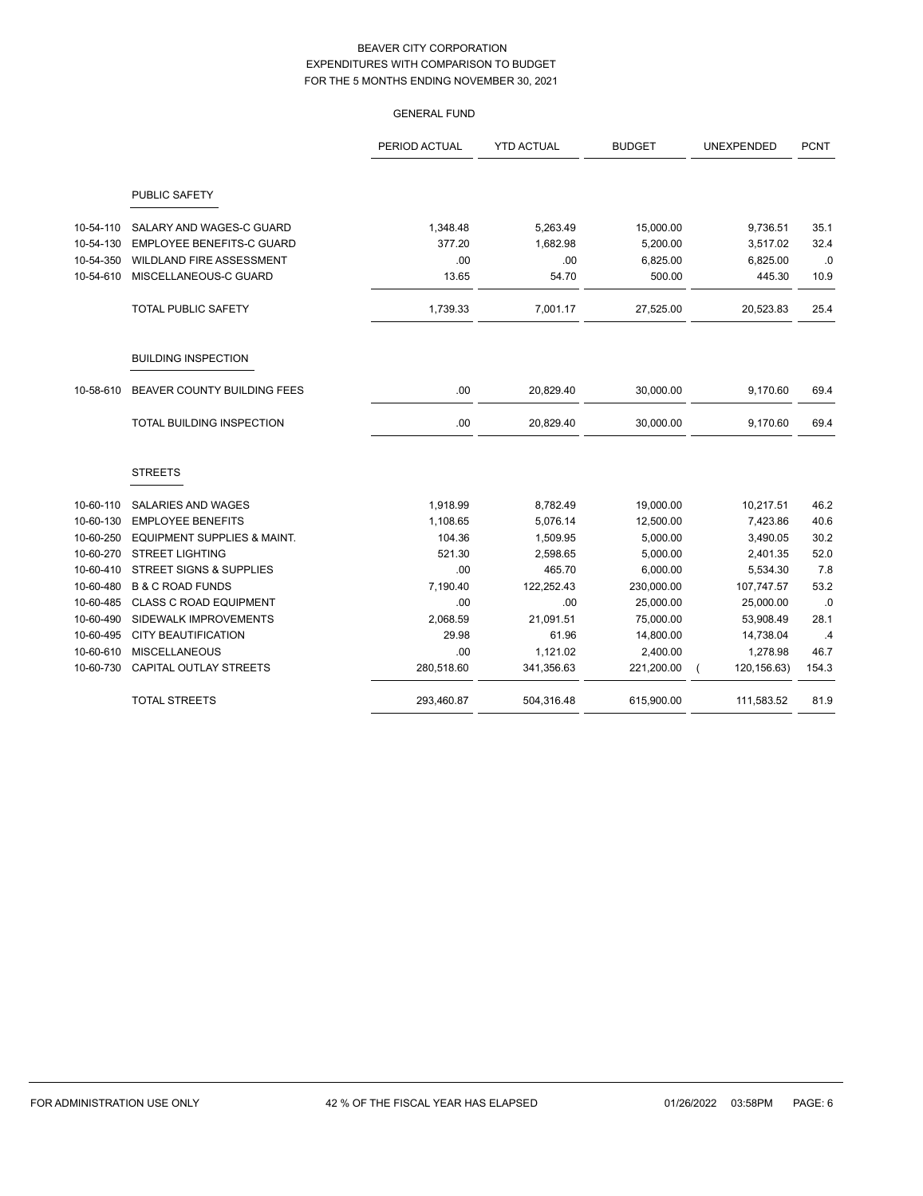|           |                                    | PERIOD ACTUAL | <b>YTD ACTUAL</b> | <b>BUDGET</b> | UNEXPENDED   | <b>PCNT</b> |
|-----------|------------------------------------|---------------|-------------------|---------------|--------------|-------------|
|           | PUBLIC SAFETY                      |               |                   |               |              |             |
| 10-54-110 | SALARY AND WAGES-C GUARD           | 1,348.48      | 5,263.49          | 15,000.00     | 9,736.51     | 35.1        |
| 10-54-130 | <b>EMPLOYEE BENEFITS-C GUARD</b>   | 377.20        | 1,682.98          | 5,200.00      | 3,517.02     | 32.4        |
| 10-54-350 | WILDLAND FIRE ASSESSMENT           | .00           | .00               | 6,825.00      | 6,825.00     | .0          |
| 10-54-610 | MISCELLANEOUS-C GUARD              | 13.65         | 54.70             | 500.00        | 445.30       | 10.9        |
|           | <b>TOTAL PUBLIC SAFETY</b>         | 1,739.33      | 7,001.17          | 27,525.00     | 20,523.83    | 25.4        |
|           | <b>BUILDING INSPECTION</b>         |               |                   |               |              |             |
| 10-58-610 | BEAVER COUNTY BUILDING FEES        | .00           | 20,829.40         | 30,000.00     | 9,170.60     | 69.4        |
|           | TOTAL BUILDING INSPECTION          | .00           | 20,829.40         | 30,000.00     | 9,170.60     | 69.4        |
|           | <b>STREETS</b>                     |               |                   |               |              |             |
| 10-60-110 | SALARIES AND WAGES                 | 1,918.99      | 8,782.49          | 19,000.00     | 10,217.51    | 46.2        |
| 10-60-130 | <b>EMPLOYEE BENEFITS</b>           | 1,108.65      | 5,076.14          | 12,500.00     | 7,423.86     | 40.6        |
| 10-60-250 | EQUIPMENT SUPPLIES & MAINT.        | 104.36        | 1,509.95          | 5,000.00      | 3,490.05     | 30.2        |
| 10-60-270 | <b>STREET LIGHTING</b>             | 521.30        | 2,598.65          | 5,000.00      | 2,401.35     | 52.0        |
| 10-60-410 | <b>STREET SIGNS &amp; SUPPLIES</b> | .00           | 465.70            | 6,000.00      | 5,534.30     | 7.8         |
| 10-60-480 | <b>B &amp; C ROAD FUNDS</b>        | 7,190.40      | 122,252.43        | 230,000.00    | 107,747.57   | 53.2        |
| 10-60-485 | <b>CLASS C ROAD EQUIPMENT</b>      | .00           | .00               | 25,000.00     | 25,000.00    | .0          |
| 10-60-490 | SIDEWALK IMPROVEMENTS              | 2,068.59      | 21,091.51         | 75,000.00     | 53,908.49    | 28.1        |
| 10-60-495 | <b>CITY BEAUTIFICATION</b>         | 29.98         | 61.96             | 14,800.00     | 14,738.04    | .4          |
| 10-60-610 | <b>MISCELLANEOUS</b>               | .00           | 1,121.02          | 2,400.00      | 1,278.98     | 46.7        |
| 10-60-730 | CAPITAL OUTLAY STREETS             | 280,518.60    | 341,356.63        | 221,200.00    | 120, 156.63) | 154.3       |
|           | <b>TOTAL STREETS</b>               | 293,460.87    | 504.316.48        | 615,900.00    | 111,583.52   | 81.9        |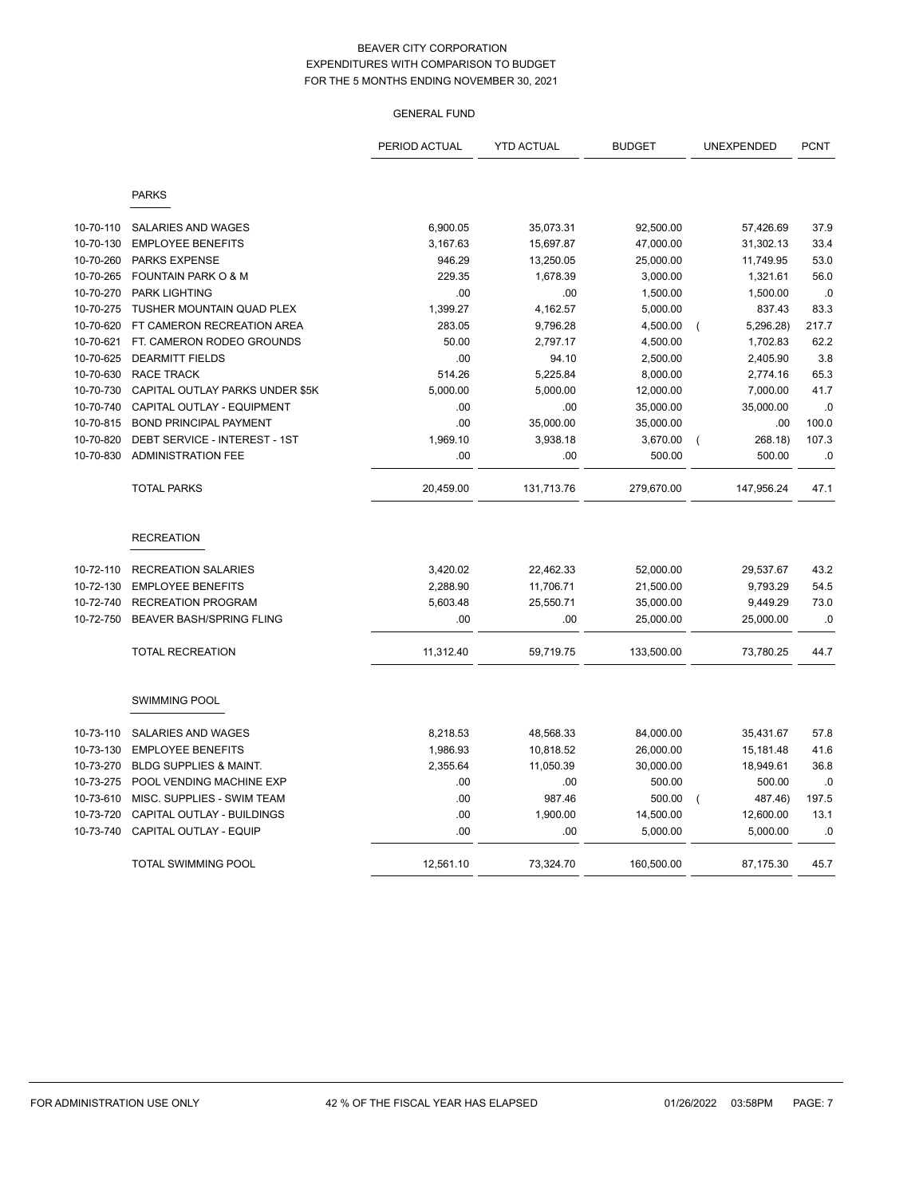|           |                                   | PERIOD ACTUAL | <b>YTD ACTUAL</b> | <b>BUDGET</b> | UNEXPENDED                  | <b>PCNT</b> |
|-----------|-----------------------------------|---------------|-------------------|---------------|-----------------------------|-------------|
|           | <b>PARKS</b>                      |               |                   |               |                             |             |
| 10-70-110 | SALARIES AND WAGES                | 6,900.05      | 35,073.31         | 92,500.00     | 57,426.69                   | 37.9        |
| 10-70-130 | <b>EMPLOYEE BENEFITS</b>          | 3,167.63      | 15,697.87         | 47,000.00     | 31,302.13                   | 33.4        |
| 10-70-260 | <b>PARKS EXPENSE</b>              | 946.29        | 13,250.05         | 25,000.00     | 11,749.95                   | 53.0        |
| 10-70-265 | <b>FOUNTAIN PARK O &amp; M</b>    | 229.35        | 1,678.39          | 3,000.00      | 1,321.61                    | 56.0        |
| 10-70-270 | <b>PARK LIGHTING</b>              | .00           | .00               | 1,500.00      | 1,500.00                    | .0          |
| 10-70-275 | TUSHER MOUNTAIN QUAD PLEX         | 1,399.27      | 4,162.57          | 5,000.00      | 837.43                      | 83.3        |
| 10-70-620 | FT CAMERON RECREATION AREA        | 283.05        | 9,796.28          | 4,500.00      | 5,296.28)<br>$\overline{ }$ | 217.7       |
| 10-70-621 | FT. CAMERON RODEO GROUNDS         | 50.00         | 2,797.17          | 4,500.00      | 1,702.83                    | 62.2        |
| 10-70-625 | <b>DEARMITT FIELDS</b>            | .00           | 94.10             | 2,500.00      | 2,405.90                    | 3.8         |
| 10-70-630 | <b>RACE TRACK</b>                 | 514.26        | 5,225.84          | 8,000.00      | 2,774.16                    | 65.3        |
| 10-70-730 | CAPITAL OUTLAY PARKS UNDER \$5K   | 5,000.00      | 5,000.00          | 12,000.00     | 7,000.00                    | 41.7        |
| 10-70-740 | CAPITAL OUTLAY - EQUIPMENT        | .00           | .00               | 35,000.00     | 35,000.00                   | .0          |
| 10-70-815 | <b>BOND PRINCIPAL PAYMENT</b>     | .00           | 35,000.00         | 35,000.00     | .00                         | 100.0       |
| 10-70-820 | DEBT SERVICE - INTEREST - 1ST     | 1,969.10      | 3,938.18          | 3,670.00      | 268.18)<br>$\overline{ }$   | 107.3       |
| 10-70-830 | <b>ADMINISTRATION FEE</b>         | .00           | .00               | 500.00        | 500.00                      | $.0$        |
|           | <b>TOTAL PARKS</b>                | 20,459.00     | 131,713.76        | 279,670.00    | 147,956.24                  | 47.1        |
|           | <b>RECREATION</b>                 |               |                   |               |                             |             |
| 10-72-110 | <b>RECREATION SALARIES</b>        | 3,420.02      | 22,462.33         | 52,000.00     | 29,537.67                   | 43.2        |
| 10-72-130 | <b>EMPLOYEE BENEFITS</b>          | 2,288.90      | 11,706.71         | 21,500.00     | 9,793.29                    | 54.5        |
| 10-72-740 | <b>RECREATION PROGRAM</b>         | 5,603.48      | 25,550.71         | 35,000.00     | 9,449.29                    | 73.0        |
| 10-72-750 | <b>BEAVER BASH/SPRING FLING</b>   | .00           | .00               | 25,000.00     | 25,000.00                   | .0          |
|           | TOTAL RECREATION                  | 11,312.40     | 59,719.75         | 133,500.00    | 73,780.25                   | 44.7        |
|           | SWIMMING POOL                     |               |                   |               |                             |             |
| 10-73-110 | SALARIES AND WAGES                | 8,218.53      | 48,568.33         | 84,000.00     | 35,431.67                   | 57.8        |
| 10-73-130 | <b>EMPLOYEE BENEFITS</b>          | 1,986.93      | 10,818.52         | 26,000.00     | 15,181.48                   | 41.6        |
| 10-73-270 | <b>BLDG SUPPLIES &amp; MAINT.</b> | 2,355.64      | 11,050.39         | 30,000.00     | 18,949.61                   | 36.8        |
| 10-73-275 | POOL VENDING MACHINE EXP          | .00           | .00               | 500.00        | 500.00                      | .0          |
| 10-73-610 | MISC. SUPPLIES - SWIM TEAM        | .00           | 987.46            | 500.00        | 487.46)<br>$\overline{ }$   | 197.5       |
| 10-73-720 | CAPITAL OUTLAY - BUILDINGS        | .00           | 1,900.00          | 14,500.00     | 12,600.00                   | 13.1        |
| 10-73-740 | CAPITAL OUTLAY - EQUIP            | .00           | .00               | 5,000.00      | 5,000.00                    | .0          |
|           | <b>TOTAL SWIMMING POOL</b>        | 12,561.10     | 73,324.70         | 160,500.00    | 87,175.30                   | 45.7        |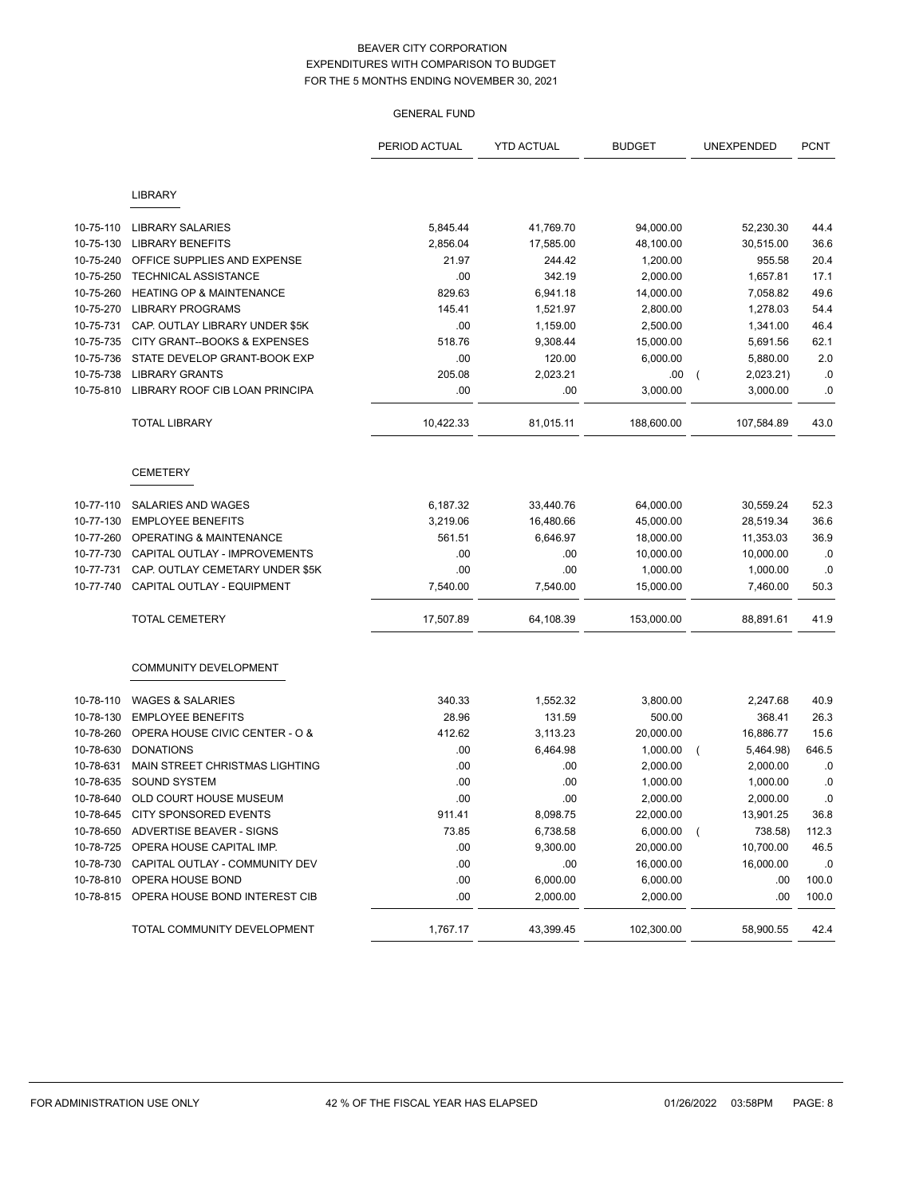|           |                                     | PERIOD ACTUAL | <b>YTD ACTUAL</b> | <b>BUDGET</b> | UNEXPENDED            | <b>PCNT</b> |
|-----------|-------------------------------------|---------------|-------------------|---------------|-----------------------|-------------|
|           | <b>LIBRARY</b>                      |               |                   |               |                       |             |
|           |                                     |               |                   |               |                       |             |
| 10-75-110 | <b>LIBRARY SALARIES</b>             | 5,845.44      | 41,769.70         | 94,000.00     | 52,230.30             | 44.4        |
| 10-75-130 | <b>LIBRARY BENEFITS</b>             | 2,856.04      | 17,585.00         | 48,100.00     | 30,515.00             | 36.6        |
| 10-75-240 | OFFICE SUPPLIES AND EXPENSE         | 21.97         | 244.42            | 1,200.00      | 955.58                | 20.4        |
| 10-75-250 | <b>TECHNICAL ASSISTANCE</b>         | .00           | 342.19            | 2,000.00      | 1,657.81              | 17.1        |
| 10-75-260 | <b>HEATING OP &amp; MAINTENANCE</b> | 829.63        | 6,941.18          | 14,000.00     | 7,058.82              | 49.6        |
| 10-75-270 | <b>LIBRARY PROGRAMS</b>             | 145.41        | 1,521.97          | 2,800.00      | 1,278.03              | 54.4        |
| 10-75-731 | CAP. OUTLAY LIBRARY UNDER \$5K      | .00           | 1,159.00          | 2,500.00      | 1,341.00              | 46.4        |
| 10-75-735 | CITY GRANT--BOOKS & EXPENSES        | 518.76        | 9,308.44          | 15,000.00     | 5,691.56              | 62.1        |
| 10-75-736 | STATE DEVELOP GRANT-BOOK EXP        | .00           | 120.00            | 6,000.00      | 5,880.00              | 2.0         |
| 10-75-738 | <b>LIBRARY GRANTS</b>               | 205.08        | 2,023.21          | .00           | 2,023.21)             | .0          |
| 10-75-810 | LIBRARY ROOF CIB LOAN PRINCIPA      | .00           | .00               | 3,000.00      | 3,000.00              | .0          |
|           | <b>TOTAL LIBRARY</b>                | 10,422.33     | 81,015.11         | 188,600.00    | 107,584.89            | 43.0        |
|           | <b>CEMETERY</b>                     |               |                   |               |                       |             |
| 10-77-110 | SALARIES AND WAGES                  | 6,187.32      | 33,440.76         | 64,000.00     | 30,559.24             | 52.3        |
| 10-77-130 | <b>EMPLOYEE BENEFITS</b>            | 3,219.06      | 16,480.66         | 45,000.00     | 28,519.34             | 36.6        |
| 10-77-260 | <b>OPERATING &amp; MAINTENANCE</b>  | 561.51        | 6,646.97          | 18,000.00     | 11,353.03             | 36.9        |
| 10-77-730 | CAPITAL OUTLAY - IMPROVEMENTS       | .00           | .00               | 10,000.00     | 10,000.00             | .0          |
| 10-77-731 | CAP. OUTLAY CEMETARY UNDER \$5K     | .00           | .00               | 1,000.00      | 1,000.00              | .0          |
| 10-77-740 | CAPITAL OUTLAY - EQUIPMENT          | 7,540.00      | 7,540.00          | 15,000.00     | 7,460.00              | 50.3        |
|           | <b>TOTAL CEMETERY</b>               | 17,507.89     | 64,108.39         | 153,000.00    | 88,891.61             | 41.9        |
|           | <b>COMMUNITY DEVELOPMENT</b>        |               |                   |               |                       |             |
| 10-78-110 | <b>WAGES &amp; SALARIES</b>         | 340.33        | 1,552.32          | 3,800.00      | 2,247.68              | 40.9        |
| 10-78-130 | <b>EMPLOYEE BENEFITS</b>            | 28.96         | 131.59            | 500.00        | 368.41                | 26.3        |
| 10-78-260 | OPERA HOUSE CIVIC CENTER - O &      | 412.62        | 3,113.23          | 20,000.00     | 16,886.77             | 15.6        |
| 10-78-630 | <b>DONATIONS</b>                    | .00           | 6,464.98          | 1,000.00      | 5,464.98)<br>$\left($ | 646.5       |
| 10-78-631 | MAIN STREET CHRISTMAS LIGHTING      | .00           | .00               | 2,000.00      | 2,000.00              | .0          |
| 10-78-635 | <b>SOUND SYSTEM</b>                 | .00           | .00               | 1,000.00      | 1,000.00              | .0          |
| 10-78-640 | OLD COURT HOUSE MUSEUM              | .00           | .00               | 2,000.00      | 2,000.00              | .0          |
| 10-78-645 | CITY SPONSORED EVENTS               | 911.41        | 8,098.75          | 22,000.00     | 13,901.25             | 36.8        |
| 10-78-650 | ADVERTISE BEAVER - SIGNS            | 73.85         | 6,738.58          | 6,000.00      | 738.58)<br>$\left($   | 112.3       |
| 10-78-725 | OPERA HOUSE CAPITAL IMP.            | .00           | 9,300.00          | 20,000.00     | 10,700.00             | 46.5        |
| 10-78-730 | CAPITAL OUTLAY - COMMUNITY DEV      | .00           | .00               | 16,000.00     | 16,000.00             | .0          |
| 10-78-810 | OPERA HOUSE BOND                    | .00           | 6,000.00          | 6,000.00      | .00                   | 100.0       |
| 10-78-815 | OPERA HOUSE BOND INTEREST CIB       | .00           | 2,000.00          | 2,000.00      | .00                   | 100.0       |
|           | TOTAL COMMUNITY DEVELOPMENT         | 1,767.17      | 43,399.45         | 102,300.00    | 58,900.55             | 42.4        |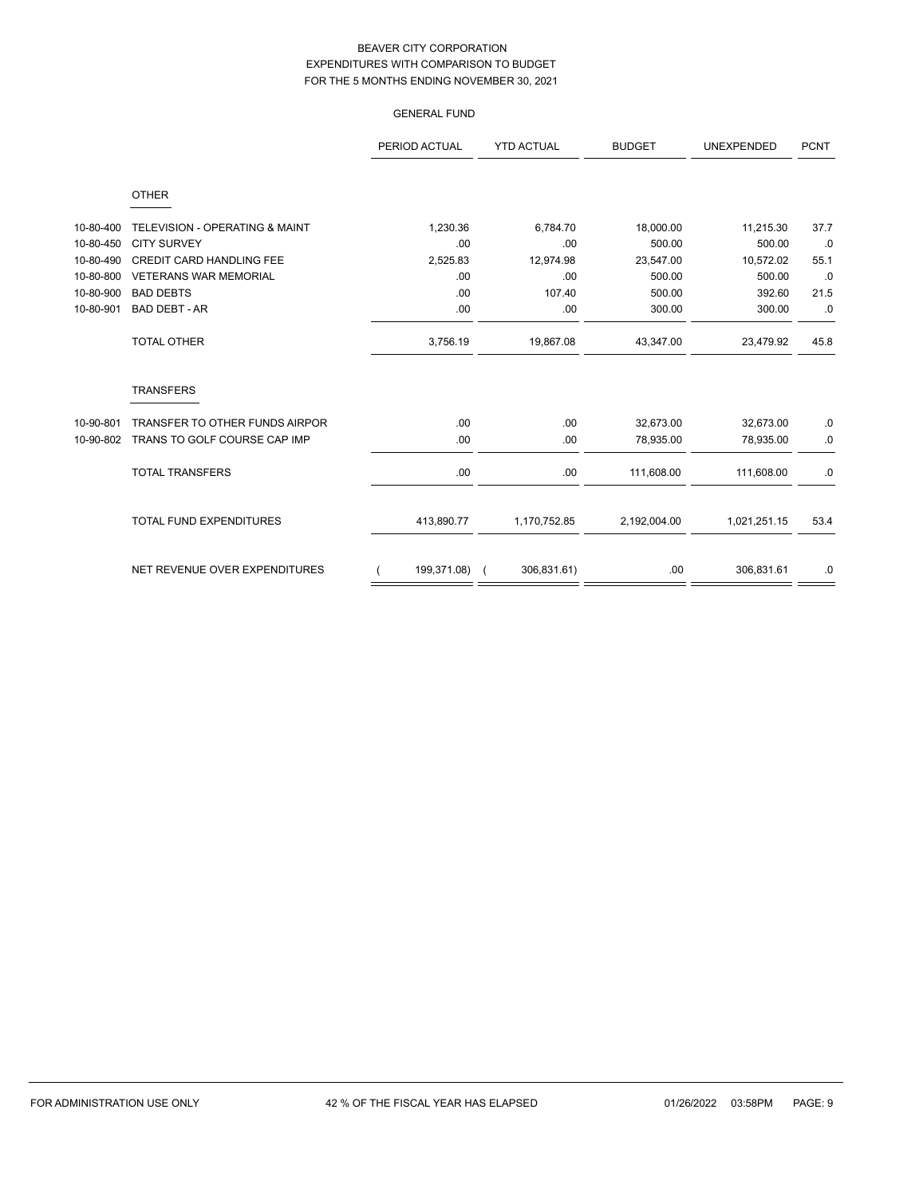|           |                                           | <b>GENERAL FUND</b> |                   |               |                   |             |
|-----------|-------------------------------------------|---------------------|-------------------|---------------|-------------------|-------------|
|           |                                           | PERIOD ACTUAL       | <b>YTD ACTUAL</b> | <b>BUDGET</b> | <b>UNEXPENDED</b> | <b>PCNT</b> |
|           | <b>OTHER</b>                              |                     |                   |               |                   |             |
| 10-80-400 | <b>TELEVISION - OPERATING &amp; MAINT</b> | 1,230.36            | 6,784.70          | 18,000.00     | 11,215.30         | 37.7        |
| 10-80-450 | <b>CITY SURVEY</b>                        | .00                 | .00               | 500.00        | 500.00            | .0          |
| 10-80-490 | <b>CREDIT CARD HANDLING FEE</b>           | 2,525.83            | 12,974.98         | 23,547.00     | 10,572.02         | 55.1        |
| 10-80-800 | <b>VETERANS WAR MEMORIAL</b>              | .00                 | .00               | 500.00        | 500.00            | .0          |
| 10-80-900 | <b>BAD DEBTS</b>                          | .00                 | 107.40            | 500.00        | 392.60            | 21.5        |
| 10-80-901 | <b>BAD DEBT - AR</b>                      | .00                 | .00               | 300.00        | 300.00            | 0.0         |
|           | TOTAL OTHER                               | 3,756.19            | 19,867.08         | 43,347.00     | 23,479.92         | 45.8        |
|           | <b>TRANSFERS</b>                          |                     |                   |               |                   |             |
| 10-90-801 | TRANSFER TO OTHER FUNDS AIRPOR            | .00                 | .00               | 32,673.00     | 32,673.00         | .0          |
| 10-90-802 | TRANS TO GOLF COURSE CAP IMP              | .00                 | .00               | 78,935.00     | 78,935.00         | $\cdot$ 0.  |
|           | <b>TOTAL TRANSFERS</b>                    | .00                 | .00               | 111,608.00    | 111,608.00        | $\cdot$ 0   |
|           | <b>TOTAL FUND EXPENDITURES</b>            | 413,890.77          | 1,170,752.85      | 2,192,004.00  | 1,021,251.15      | 53.4        |
|           | NET REVENUE OVER EXPENDITURES             | 199,371.08)         | 306,831.61)       | .00           | 306,831.61        | .0          |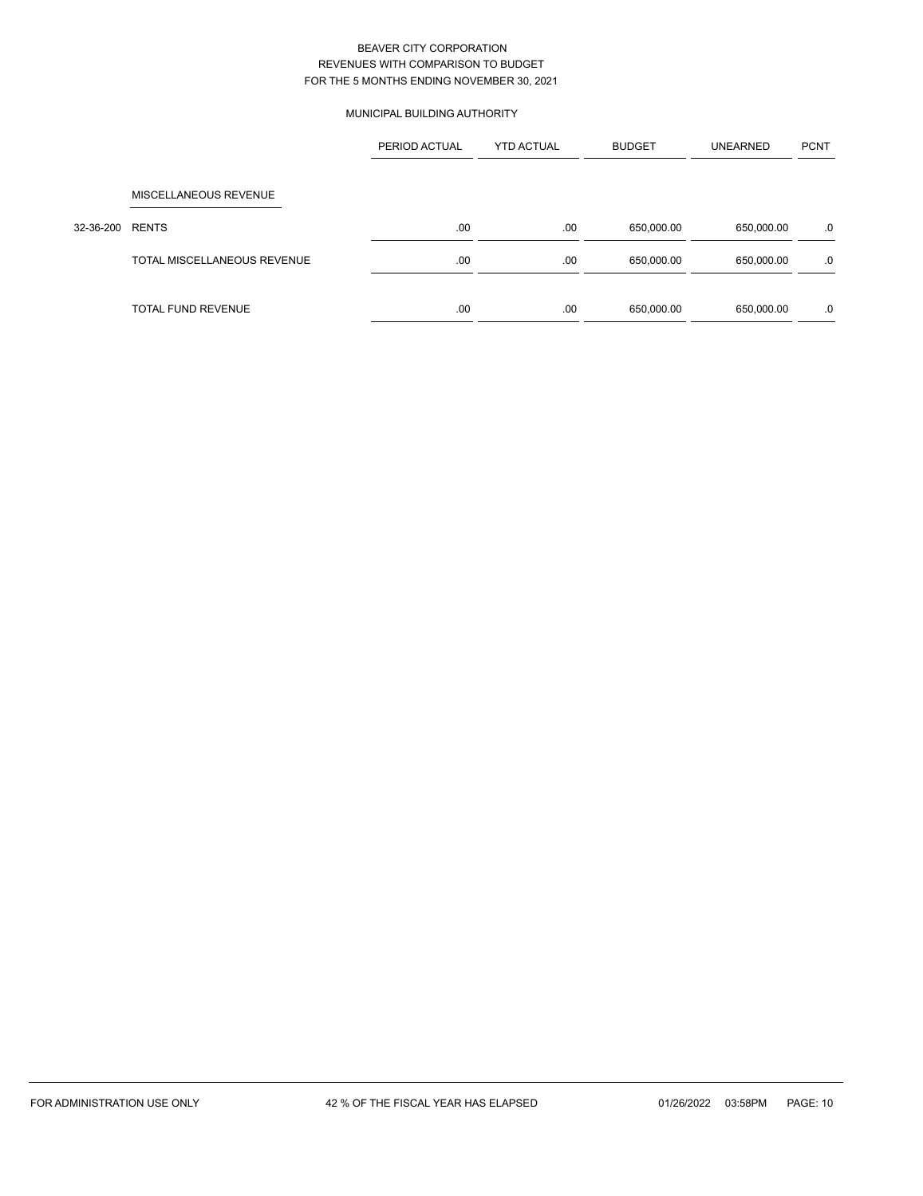# MUNICIPAL BUILDING AUTHORITY

|           |                             | PERIOD ACTUAL | <b>YTD ACTUAL</b> | <b>BUDGET</b> | <b>UNEARNED</b> | <b>PCNT</b> |
|-----------|-----------------------------|---------------|-------------------|---------------|-----------------|-------------|
|           | MISCELLANEOUS REVENUE       |               |                   |               |                 |             |
| 32-36-200 | <b>RENTS</b>                | .00           | .00               | 650,000.00    | 650,000.00      | .0          |
|           | TOTAL MISCELLANEOUS REVENUE | .00           | .00               | 650,000.00    | 650,000.00      | .0          |
|           |                             |               |                   |               |                 |             |
|           | <b>TOTAL FUND REVENUE</b>   | .00           | .00               | 650,000.00    | 650,000.00      | .0          |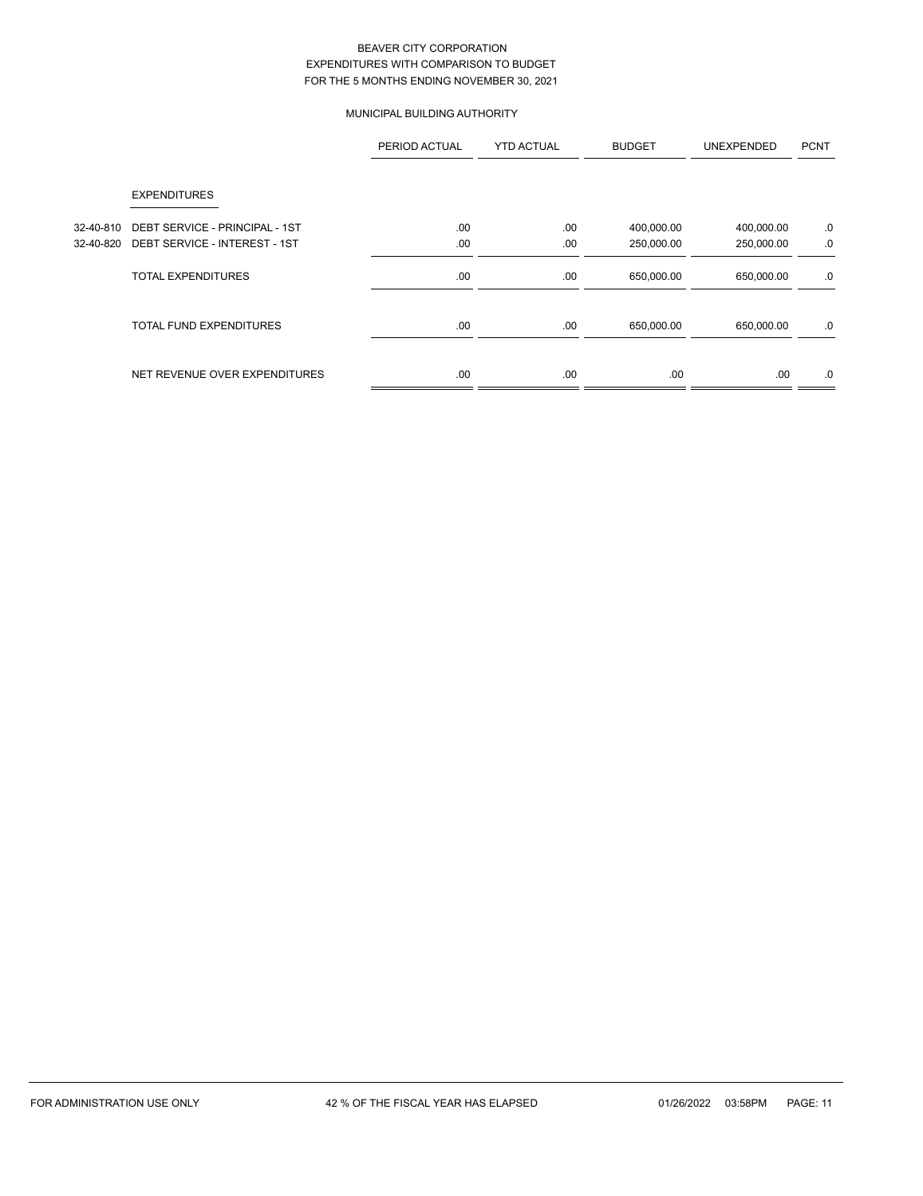# MUNICIPAL BUILDING AUTHORITY

|           |                                | PERIOD ACTUAL | <b>YTD ACTUAL</b> | <b>BUDGET</b> | UNEXPENDED | <b>PCNT</b> |
|-----------|--------------------------------|---------------|-------------------|---------------|------------|-------------|
|           | <b>EXPENDITURES</b>            |               |                   |               |            |             |
| 32-40-810 | DEBT SERVICE - PRINCIPAL - 1ST | .00.          | .00               | 400,000.00    | 400,000.00 | .0          |
| 32-40-820 | DEBT SERVICE - INTEREST - 1ST  | .00           | .00               | 250,000.00    | 250,000.00 | .0          |
|           | <b>TOTAL EXPENDITURES</b>      | .00           | .00               | 650,000.00    | 650,000.00 | .0          |
|           | <b>TOTAL FUND EXPENDITURES</b> | .00           | .00               | 650,000.00    | 650,000.00 | .0          |
|           | NET REVENUE OVER EXPENDITURES  | .00.          | .00               | .00           | .00.       | .0          |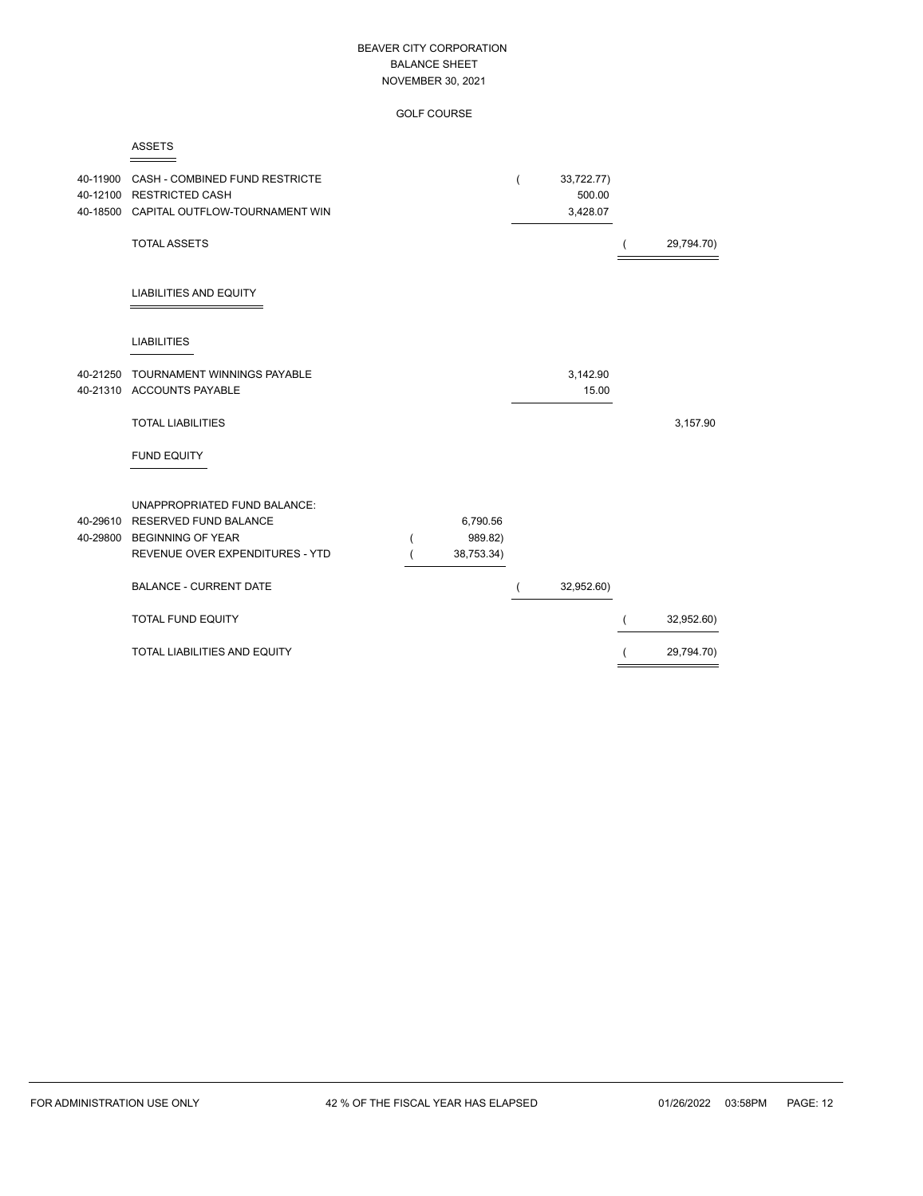GOLF COURSE

| . .<br>. . |
|------------|
|------------|

| 40-11900 | CASH - COMBINED FUND RESTRICTE<br>40-12100 RESTRICTED CASH<br>40-18500 CAPITAL OUTFLOW-TOURNAMENT WIN                                |                                   | 33,722.77)<br>500.00<br>3,428.07 |            |
|----------|--------------------------------------------------------------------------------------------------------------------------------------|-----------------------------------|----------------------------------|------------|
|          | <b>TOTAL ASSETS</b>                                                                                                                  |                                   |                                  | 29,794.70) |
|          | <b>LIABILITIES AND EQUITY</b>                                                                                                        |                                   |                                  |            |
|          | <b>LIABILITIES</b>                                                                                                                   |                                   |                                  |            |
|          | 40-21250 TOURNAMENT WINNINGS PAYABLE<br>40-21310 ACCOUNTS PAYABLE                                                                    |                                   | 3,142.90<br>15.00                |            |
|          | <b>TOTAL LIABILITIES</b>                                                                                                             |                                   |                                  | 3,157.90   |
|          | <b>FUND EQUITY</b>                                                                                                                   |                                   |                                  |            |
| 40-29610 | <b>UNAPPROPRIATED FUND BALANCE:</b><br><b>RESERVED FUND BALANCE</b><br>40-29800 BEGINNING OF YEAR<br>REVENUE OVER EXPENDITURES - YTD | 6,790.56<br>989.82)<br>38,753.34) |                                  |            |
|          | <b>BALANCE - CURRENT DATE</b>                                                                                                        |                                   | 32,952.60)                       |            |
|          | <b>TOTAL FUND EQUITY</b>                                                                                                             |                                   |                                  | 32,952.60) |
|          | <b>TOTAL LIABILITIES AND EQUITY</b>                                                                                                  |                                   |                                  | 29,794.70) |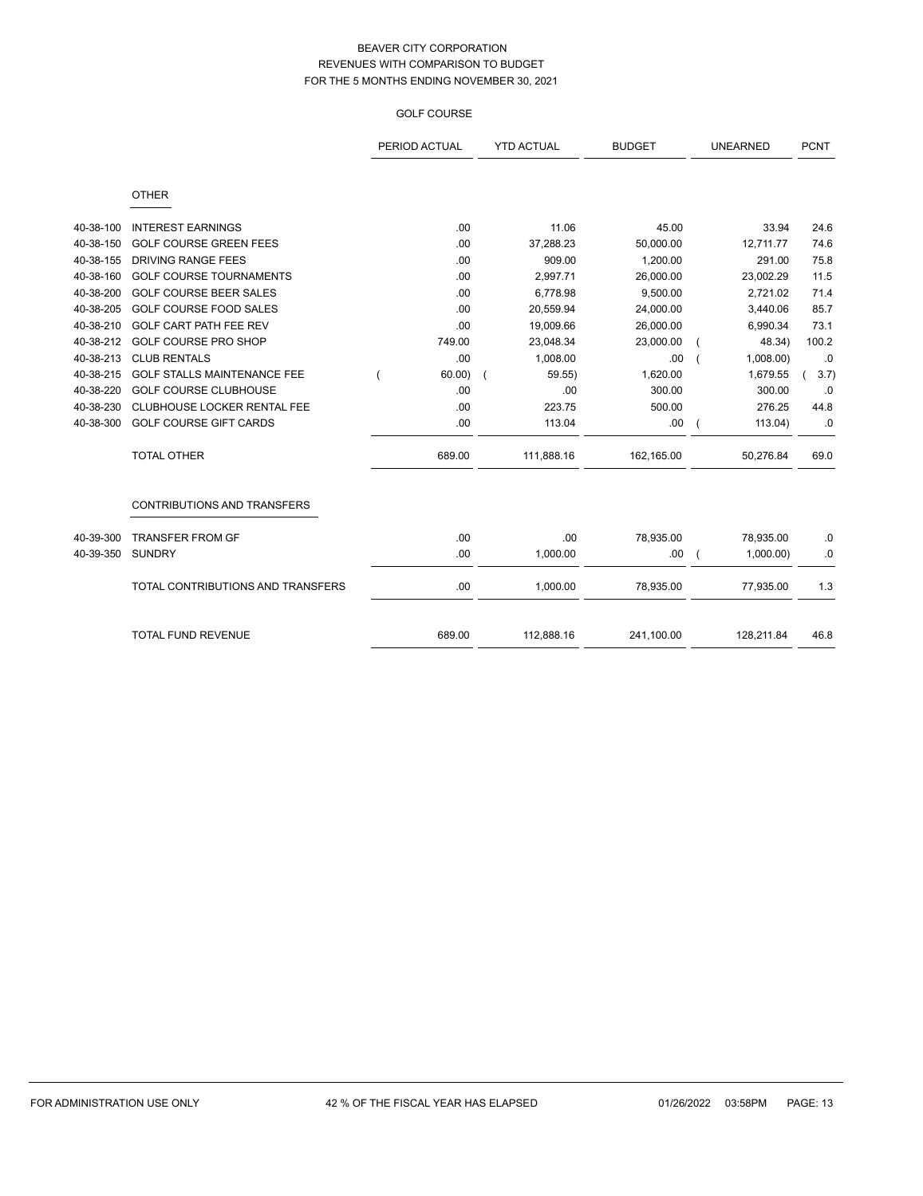# GOLF COURSE

|           |                                    | PERIOD ACTUAL<br><b>YTD ACTUAL</b><br><b>BUDGET</b> |            | <b>UNEARNED</b> | <b>PCNT</b> |       |
|-----------|------------------------------------|-----------------------------------------------------|------------|-----------------|-------------|-------|
|           | <b>OTHER</b>                       |                                                     |            |                 |             |       |
| 40-38-100 | <b>INTEREST EARNINGS</b>           | .00                                                 | 11.06      | 45.00           | 33.94       | 24.6  |
| 40-38-150 | <b>GOLF COURSE GREEN FEES</b>      | .00                                                 | 37,288.23  | 50,000.00       | 12,711.77   | 74.6  |
| 40-38-155 | <b>DRIVING RANGE FEES</b>          | .00                                                 | 909.00     | 1,200.00        | 291.00      | 75.8  |
| 40-38-160 | <b>GOLF COURSE TOURNAMENTS</b>     | .00                                                 | 2,997.71   | 26,000.00       | 23,002.29   | 11.5  |
| 40-38-200 | <b>GOLF COURSE BEER SALES</b>      | .00                                                 | 6,778.98   | 9,500.00        | 2,721.02    | 71.4  |
| 40-38-205 | <b>GOLF COURSE FOOD SALES</b>      | .00                                                 | 20,559.94  | 24,000.00       | 3,440.06    | 85.7  |
| 40-38-210 | GOLF CART PATH FEE REV             | .00                                                 | 19,009.66  | 26,000.00       | 6,990.34    | 73.1  |
| 40-38-212 | <b>GOLF COURSE PRO SHOP</b>        | 749.00                                              | 23,048.34  | 23,000.00       | 48.34)      | 100.2 |
| 40-38-213 | <b>CLUB RENTALS</b>                | .00                                                 | 1,008.00   | .00             | 1,008.00    | .0    |
| 40-38-215 | <b>GOLF STALLS MAINTENANCE FEE</b> | 60.00                                               | 59.55      | 1,620.00        | 1,679.55    | 3.7)  |
| 40-38-220 | <b>GOLF COURSE CLUBHOUSE</b>       | .00                                                 | .00        | 300.00          | 300.00      | .0    |
| 40-38-230 | CLUBHOUSE LOCKER RENTAL FEE        | .00                                                 | 223.75     | 500.00          | 276.25      | 44.8  |
| 40-38-300 | <b>GOLF COURSE GIFT CARDS</b>      | .00                                                 | 113.04     | .00.            | 113.04)     | .0    |
|           | <b>TOTAL OTHER</b>                 | 689.00                                              | 111,888.16 | 162,165.00      | 50,276.84   | 69.0  |
|           | <b>CONTRIBUTIONS AND TRANSFERS</b> |                                                     |            |                 |             |       |
| 40-39-300 | <b>TRANSFER FROM GF</b>            | .00                                                 | .00        | 78,935.00       | 78,935.00   | .0    |
| 40-39-350 | <b>SUNDRY</b>                      | .00                                                 | 1,000.00   | .00.            | 1,000.00    | .0    |
|           | TOTAL CONTRIBUTIONS AND TRANSFERS  | .00                                                 | 1,000.00   | 78,935.00       | 77,935.00   | 1.3   |
|           | <b>TOTAL FUND REVENUE</b>          | 689.00                                              | 112,888.16 | 241,100.00      | 128,211.84  | 46.8  |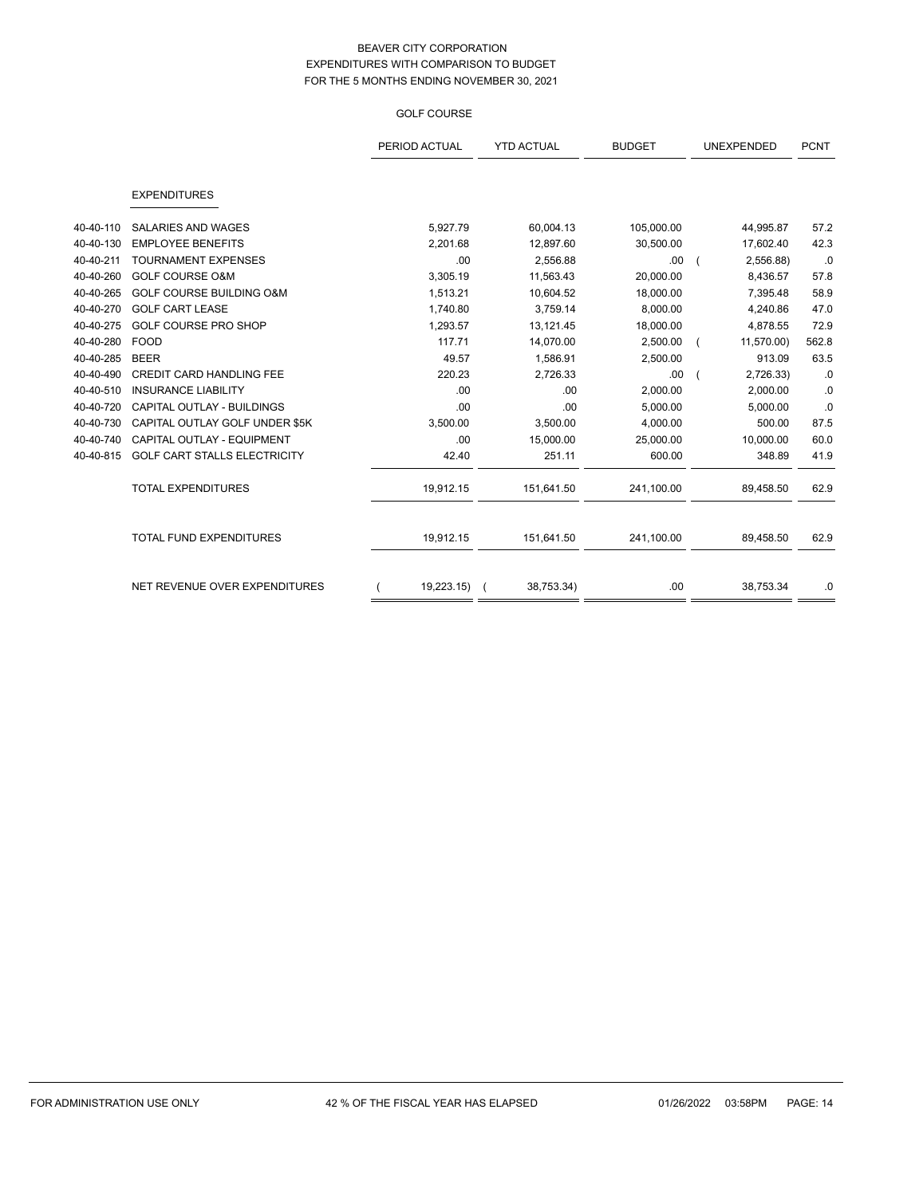## GOLF COURSE

|           |                                     | PERIOD ACTUAL | <b>YTD ACTUAL</b> | <b>BUDGET</b> | <b>UNEXPENDED</b> | <b>PCNT</b> |
|-----------|-------------------------------------|---------------|-------------------|---------------|-------------------|-------------|
|           | <b>EXPENDITURES</b>                 |               |                   |               |                   |             |
|           |                                     |               |                   |               |                   |             |
| 40-40-110 | <b>SALARIES AND WAGES</b>           | 5,927.79      | 60,004.13         | 105,000.00    | 44,995.87         | 57.2        |
| 40-40-130 | <b>EMPLOYEE BENEFITS</b>            | 2,201.68      | 12,897.60         | 30,500.00     | 17,602.40         | 42.3        |
| 40-40-211 | <b>TOURNAMENT EXPENSES</b>          | .00           | 2,556.88          | .00           | 2,556.88)         | .0          |
| 40-40-260 | <b>GOLF COURSE O&amp;M</b>          | 3,305.19      | 11,563.43         | 20,000.00     | 8,436.57          | 57.8        |
| 40-40-265 | <b>GOLF COURSE BUILDING O&amp;M</b> | 1,513.21      | 10,604.52         | 18,000.00     | 7,395.48          | 58.9        |
| 40-40-270 | <b>GOLF CART LEASE</b>              | 1,740.80      | 3,759.14          | 8,000.00      | 4,240.86          | 47.0        |
| 40-40-275 | GOLF COURSE PRO SHOP                | 1,293.57      | 13,121.45         | 18,000.00     | 4,878.55          | 72.9        |
| 40-40-280 | <b>FOOD</b>                         | 117.71        | 14,070.00         | 2,500.00      | 11,570.00)        | 562.8       |
| 40-40-285 | <b>BEER</b>                         | 49.57         | 1,586.91          | 2,500.00      | 913.09            | 63.5        |
| 40-40-490 | CREDIT CARD HANDLING FEE            | 220.23        | 2,726.33          | .00           | 2,726.33)         | .0          |
| 40-40-510 | <b>INSURANCE LIABILITY</b>          | .00           | .00               | 2,000.00      | 2,000.00          | .0          |
| 40-40-720 | CAPITAL OUTLAY - BUILDINGS          | .00           | .00               | 5,000.00      | 5,000.00          | .0          |
| 40-40-730 | CAPITAL OUTLAY GOLF UNDER \$5K      | 3,500.00      | 3,500.00          | 4,000.00      | 500.00            | 87.5        |
| 40-40-740 | CAPITAL OUTLAY - EQUIPMENT          | .00           | 15,000.00         | 25,000.00     | 10,000.00         | 60.0        |
| 40-40-815 | <b>GOLF CART STALLS ELECTRICITY</b> | 42.40         | 251.11            | 600.00        | 348.89            | 41.9        |
|           | <b>TOTAL EXPENDITURES</b>           | 19,912.15     | 151,641.50        | 241,100.00    | 89,458.50         | 62.9        |
|           | <b>TOTAL FUND EXPENDITURES</b>      | 19,912.15     | 151,641.50        | 241,100.00    | 89,458.50         | 62.9        |
|           |                                     |               |                   |               |                   |             |
|           | NET REVENUE OVER EXPENDITURES       | 19,223.15) (  | 38,753.34)        | .00           | 38,753.34         | .0          |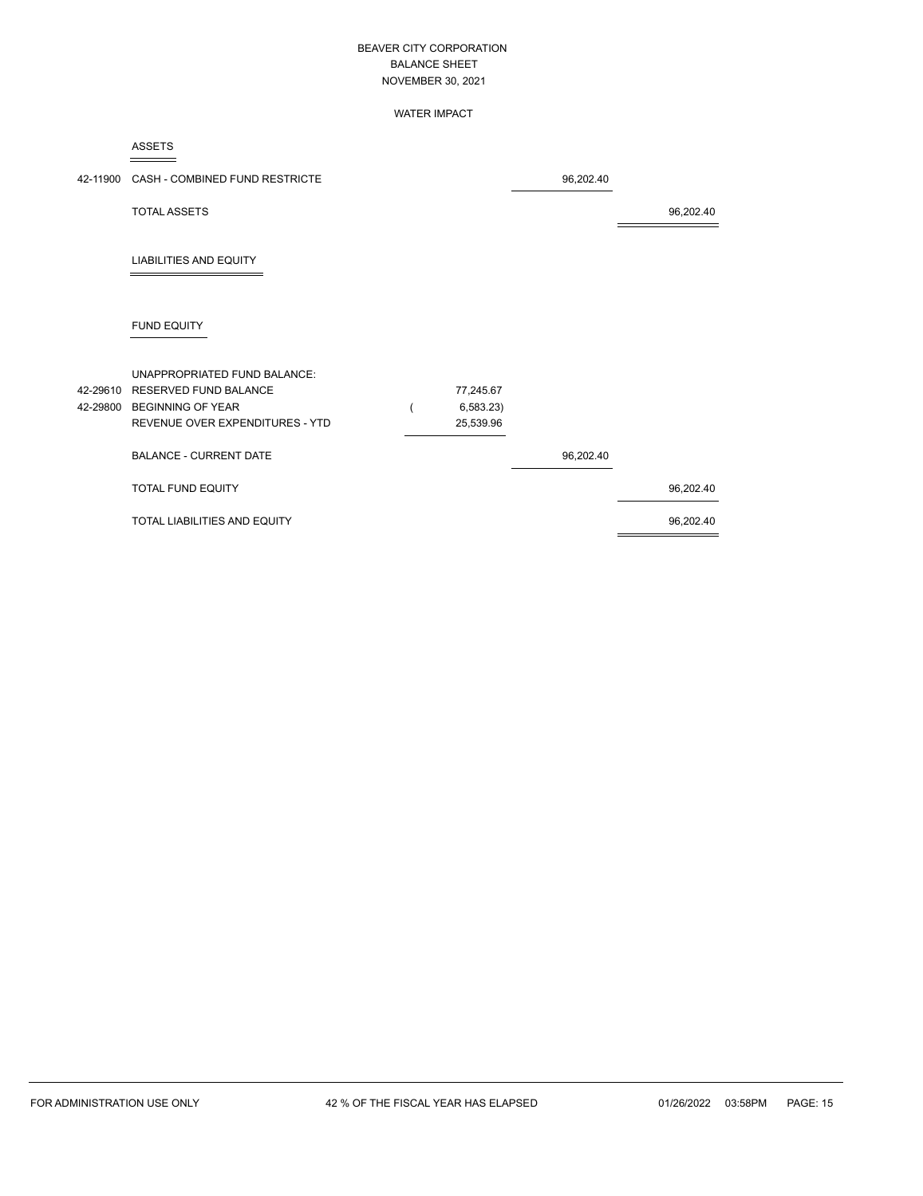### WATER IMPACT

ASSETS

|                      | 42-11900 CASH - COMBINED FUND RESTRICTE                                                  |                        | 96,202.40 |           |
|----------------------|------------------------------------------------------------------------------------------|------------------------|-----------|-----------|
|                      | <b>TOTAL ASSETS</b>                                                                      |                        |           | 96,202.40 |
|                      | <b>LIABILITIES AND EQUITY</b>                                                            |                        |           |           |
|                      | <b>FUND EQUITY</b>                                                                       |                        |           |           |
| 42-29610<br>42-29800 | UNAPPROPRIATED FUND BALANCE:<br><b>RESERVED FUND BALANCE</b><br><b>BEGINNING OF YEAR</b> | 77,245.67<br>6,583.23) |           |           |
|                      | REVENUE OVER EXPENDITURES - YTD<br><b>BALANCE - CURRENT DATE</b>                         | 25,539.96              | 96,202.40 |           |
|                      | <b>TOTAL FUND EQUITY</b>                                                                 |                        |           | 96,202.40 |
|                      | TOTAL LIABILITIES AND EQUITY                                                             |                        |           | 96,202.40 |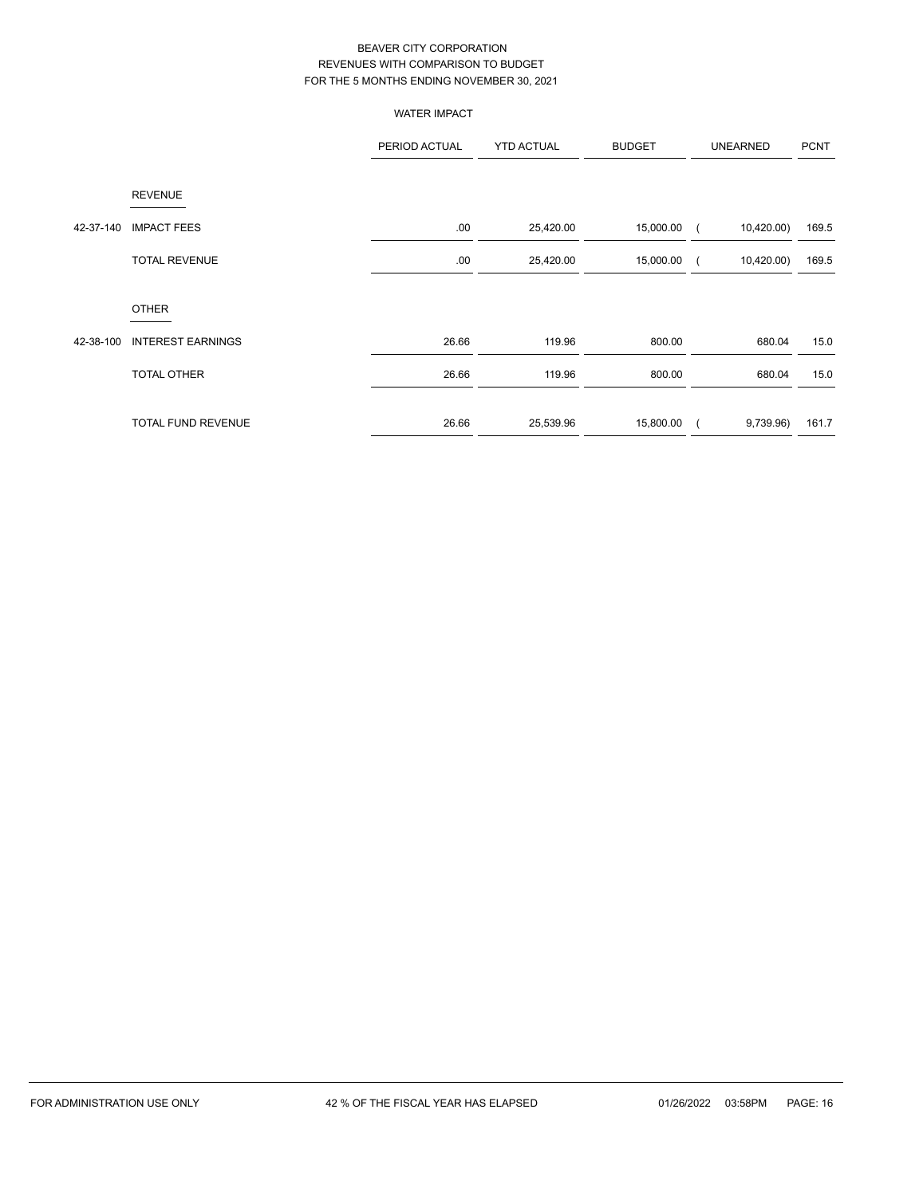|           |                           | <b>WATER IMPACT</b> |                   |               |                 |                |
|-----------|---------------------------|---------------------|-------------------|---------------|-----------------|----------------|
|           |                           | PERIOD ACTUAL       | <b>YTD ACTUAL</b> | <b>BUDGET</b> | <b>UNEARNED</b> | <b>PCNT</b>    |
|           | <b>REVENUE</b>            |                     |                   |               |                 |                |
| 42-37-140 | <b>IMPACT FEES</b>        | .00                 | 25,420.00         | 15,000.00     | 10,420.00)      | 169.5          |
|           | <b>TOTAL REVENUE</b>      | .00                 | 25,420.00         | 15,000.00     | 10,420.00)      | 169.5          |
|           | <b>OTHER</b>              |                     |                   |               |                 |                |
| 42-38-100 | <b>INTEREST EARNINGS</b>  | 26.66               | 119.96            | 800.00        |                 | 680.04<br>15.0 |
|           | TOTAL OTHER               | 26.66               | 119.96            | 800.00        |                 | 680.04<br>15.0 |
|           | <b>TOTAL FUND REVENUE</b> | 26.66               | 25,539.96         | 15,800.00     | 9,739.96)       | 161.7          |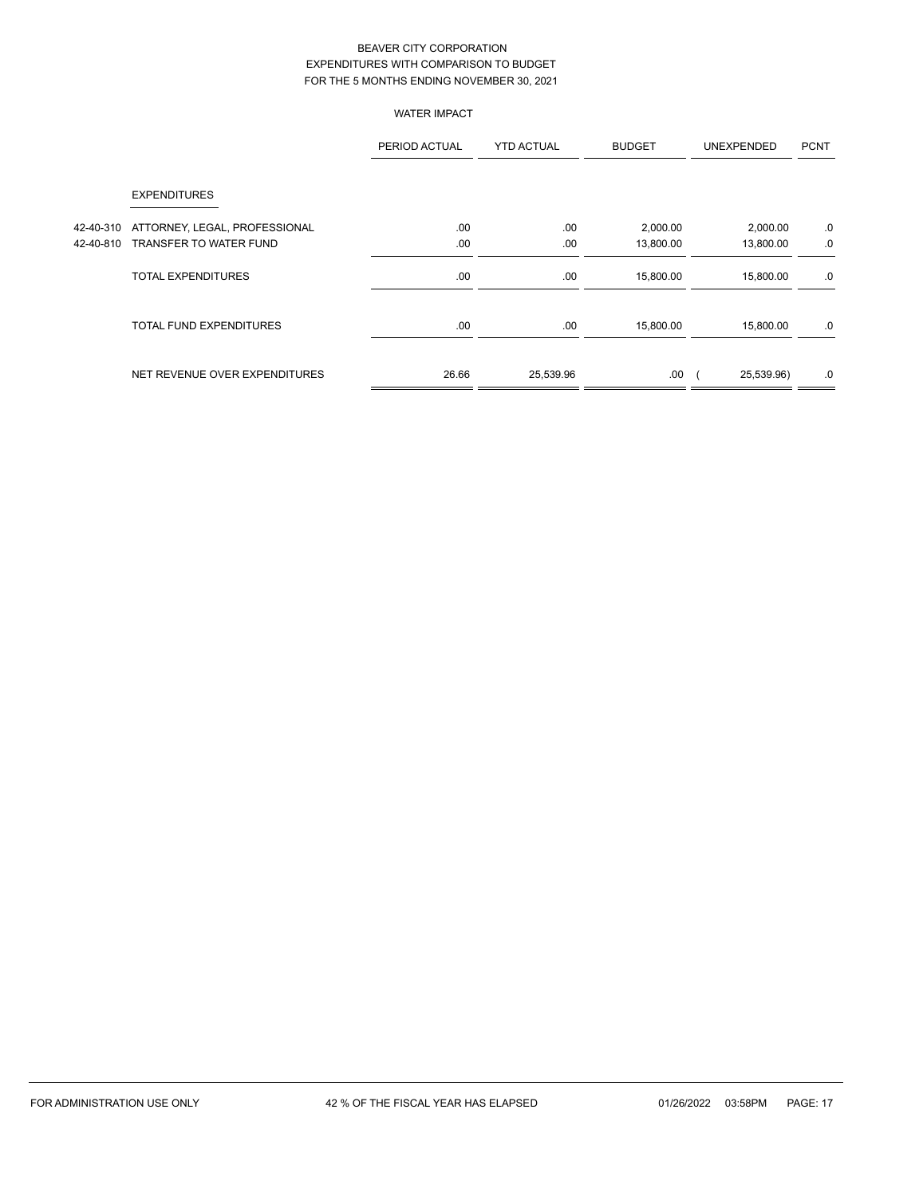# WATER IMPACT

|           |                                | PERIOD ACTUAL | <b>YTD ACTUAL</b> | <b>BUDGET</b> | <b>UNEXPENDED</b> | <b>PCNT</b> |
|-----------|--------------------------------|---------------|-------------------|---------------|-------------------|-------------|
|           | <b>EXPENDITURES</b>            |               |                   |               |                   |             |
| 42-40-310 | ATTORNEY, LEGAL, PROFESSIONAL  | .00           | .00               | 2,000.00      | 2,000.00          | .0          |
| 42-40-810 | TRANSFER TO WATER FUND         | .00           | .00               | 13,800.00     | 13,800.00         | .0          |
|           | <b>TOTAL EXPENDITURES</b>      | .00           | .00               | 15,800.00     | 15,800.00         | .0          |
|           | <b>TOTAL FUND EXPENDITURES</b> | .00           | .00               | 15,800.00     | 15,800.00         | .0          |
|           | NET REVENUE OVER EXPENDITURES  | 26.66         | 25,539.96         | .00           | 25,539.96)        | .0          |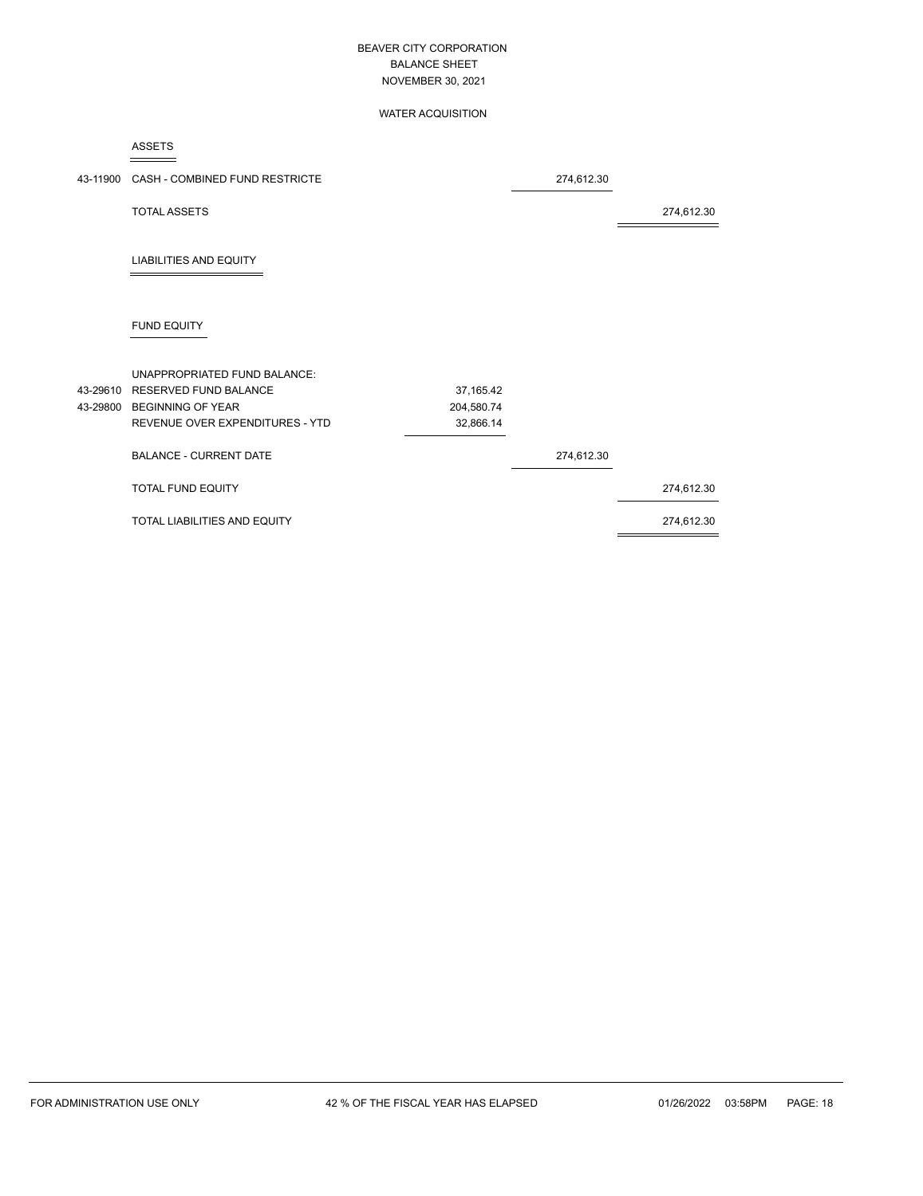### WATER ACQUISITION

ASSETS

|          | 43-11900 CASH - COMBINED FUND RESTRICTE |            | 274,612.30 |            |
|----------|-----------------------------------------|------------|------------|------------|
|          | <b>TOTAL ASSETS</b>                     |            |            | 274,612.30 |
|          | <b>LIABILITIES AND EQUITY</b>           |            |            |            |
|          | FUND EQUITY                             |            |            |            |
|          | UNAPPROPRIATED FUND BALANCE:            |            |            |            |
| 43-29610 | <b>RESERVED FUND BALANCE</b>            | 37,165.42  |            |            |
|          | 43-29800 BEGINNING OF YEAR              | 204,580.74 |            |            |
|          | REVENUE OVER EXPENDITURES - YTD         | 32,866.14  |            |            |
|          | <b>BALANCE - CURRENT DATE</b>           |            | 274,612.30 |            |
|          | <b>TOTAL FUND EQUITY</b>                |            |            | 274,612.30 |
|          | TOTAL LIABILITIES AND EQUITY            |            |            | 274,612.30 |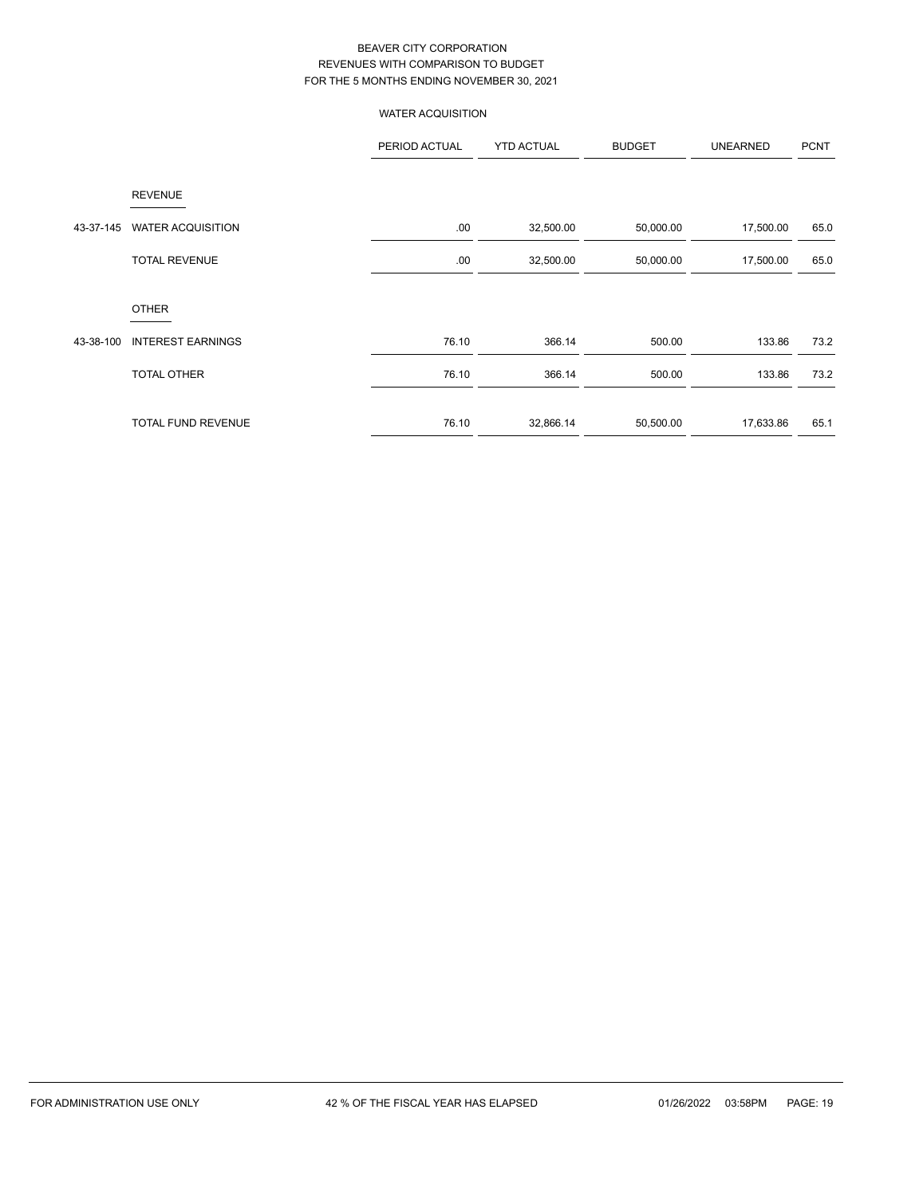# WATER ACQUISITION

|           |                           | PERIOD ACTUAL | <b>YTD ACTUAL</b> | <b>BUDGET</b> | <b>UNEARNED</b> | <b>PCNT</b> |
|-----------|---------------------------|---------------|-------------------|---------------|-----------------|-------------|
|           | <b>REVENUE</b>            |               |                   |               |                 |             |
| 43-37-145 | <b>WATER ACQUISITION</b>  | .00           | 32,500.00         | 50,000.00     | 17,500.00       | 65.0        |
|           | <b>TOTAL REVENUE</b>      | .00           | 32,500.00         | 50,000.00     | 17,500.00       | 65.0        |
|           | <b>OTHER</b>              |               |                   |               |                 |             |
| 43-38-100 | <b>INTEREST EARNINGS</b>  | 76.10         | 366.14            | 500.00        | 133.86          | 73.2        |
|           | <b>TOTAL OTHER</b>        | 76.10         | 366.14            | 500.00        | 133.86          | 73.2        |
|           | <b>TOTAL FUND REVENUE</b> | 76.10         | 32,866.14         | 50,500.00     | 17,633.86       | 65.1        |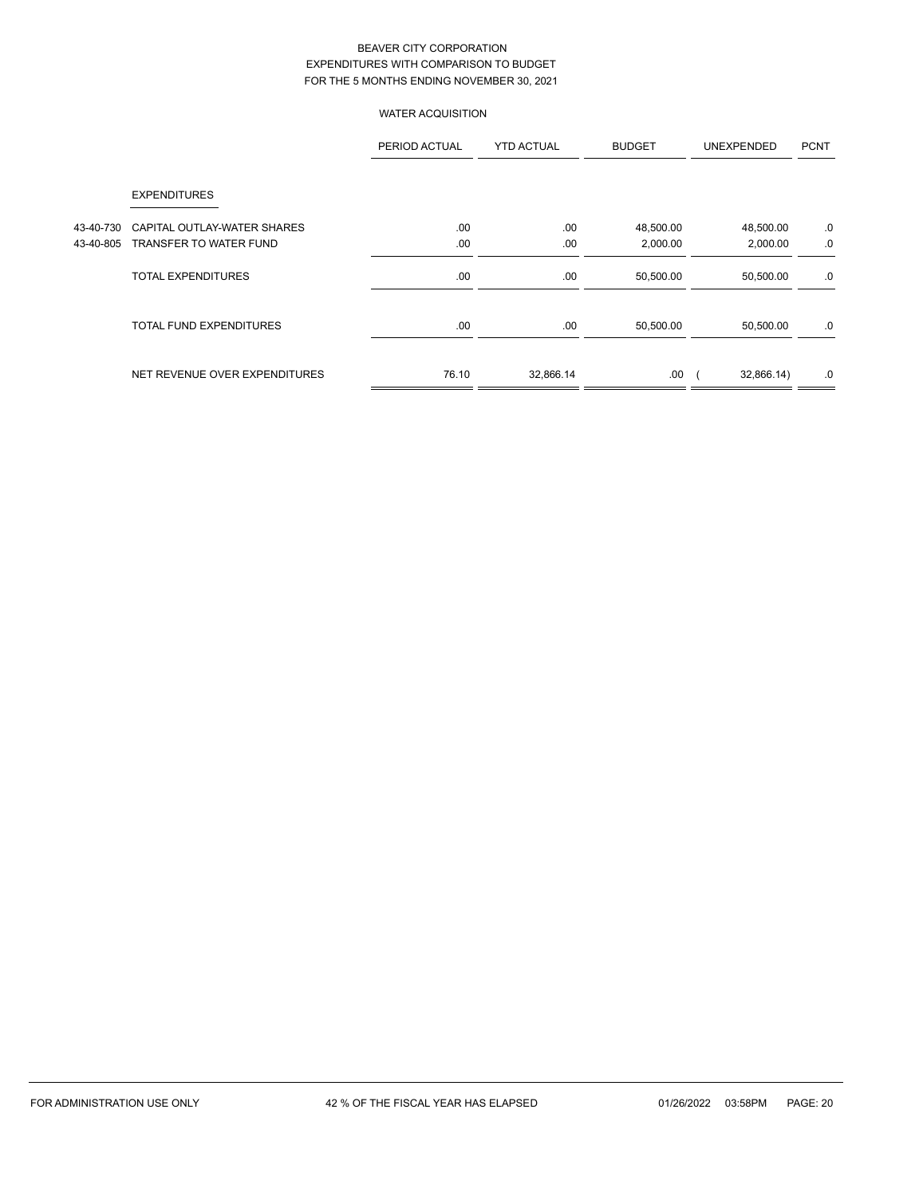# WATER ACQUISITION

|           |                                | PERIOD ACTUAL | <b>YTD ACTUAL</b> | <b>BUDGET</b> | <b>UNEXPENDED</b> | <b>PCNT</b> |
|-----------|--------------------------------|---------------|-------------------|---------------|-------------------|-------------|
|           | <b>EXPENDITURES</b>            |               |                   |               |                   |             |
| 43-40-730 | CAPITAL OUTLAY-WATER SHARES    | .00           | .00.              | 48,500.00     | 48,500.00         | .0          |
| 43-40-805 | TRANSFER TO WATER FUND         | .00           | .00               | 2,000.00      | 2,000.00          | .0          |
|           | <b>TOTAL EXPENDITURES</b>      | .00           | .00               | 50,500.00     | 50,500.00         | .0          |
|           | <b>TOTAL FUND EXPENDITURES</b> | .00           | .00               | 50,500.00     | 50,500.00         | .0          |
|           | NET REVENUE OVER EXPENDITURES  | 76.10         | 32,866.14         | .00           | 32,866.14)        | .0          |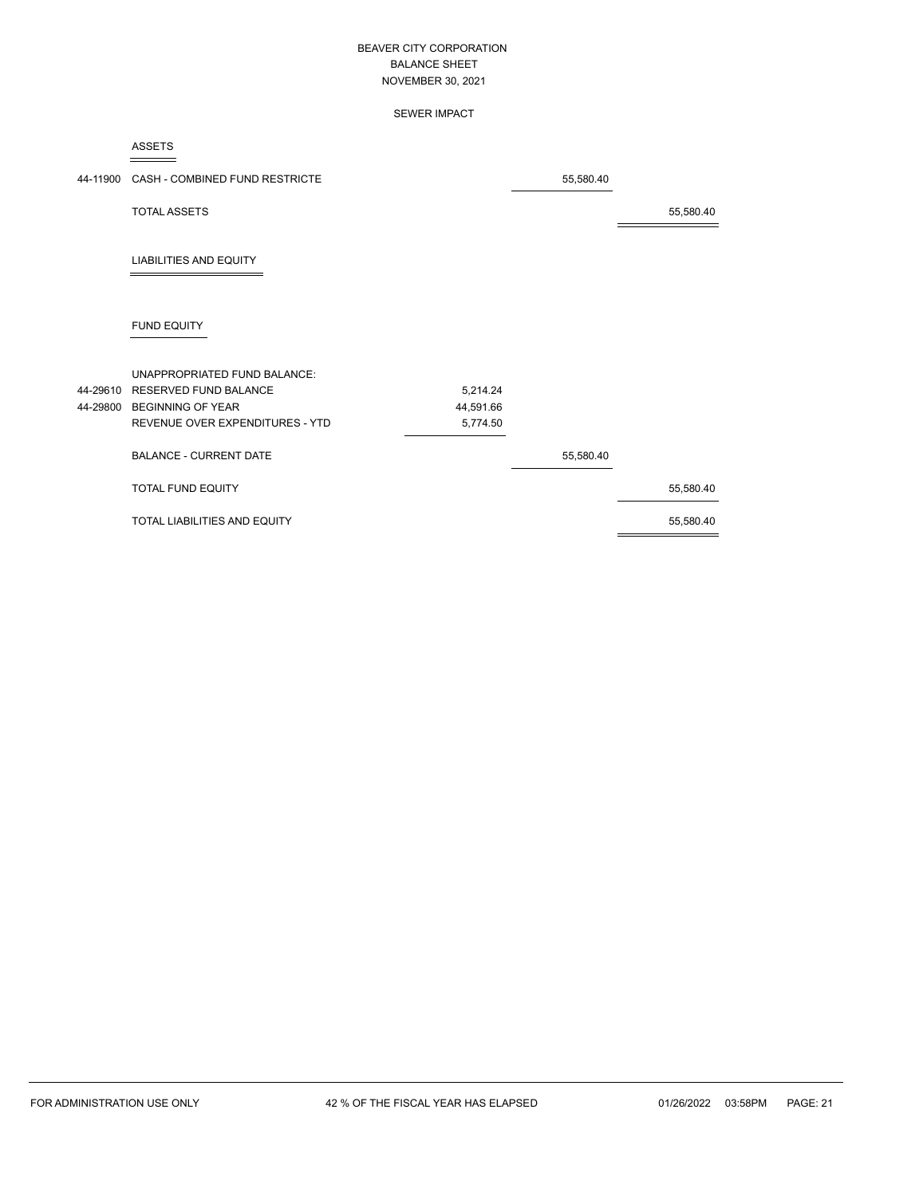### SEWER IMPACT

ASSETS

| 44-11900 CASH - COMBINED FUND RESTRICTE |           | 55,580.40 |           |
|-----------------------------------------|-----------|-----------|-----------|
| <b>TOTAL ASSETS</b>                     |           |           | 55,580.40 |
| <b>LIABILITIES AND EQUITY</b>           |           |           |           |
| FUND EQUITY                             |           |           |           |
| UNAPPROPRIATED FUND BALANCE:            |           |           |           |
| 44-29610 RESERVED FUND BALANCE          | 5,214.24  |           |           |
| 44-29800 BEGINNING OF YEAR              | 44,591.66 |           |           |
| REVENUE OVER EXPENDITURES - YTD         | 5,774.50  |           |           |
| <b>BALANCE - CURRENT DATE</b>           |           | 55,580.40 |           |
| <b>TOTAL FUND EQUITY</b>                |           |           | 55,580.40 |
| TOTAL LIABILITIES AND EQUITY            |           |           | 55,580.40 |
|                                         |           |           |           |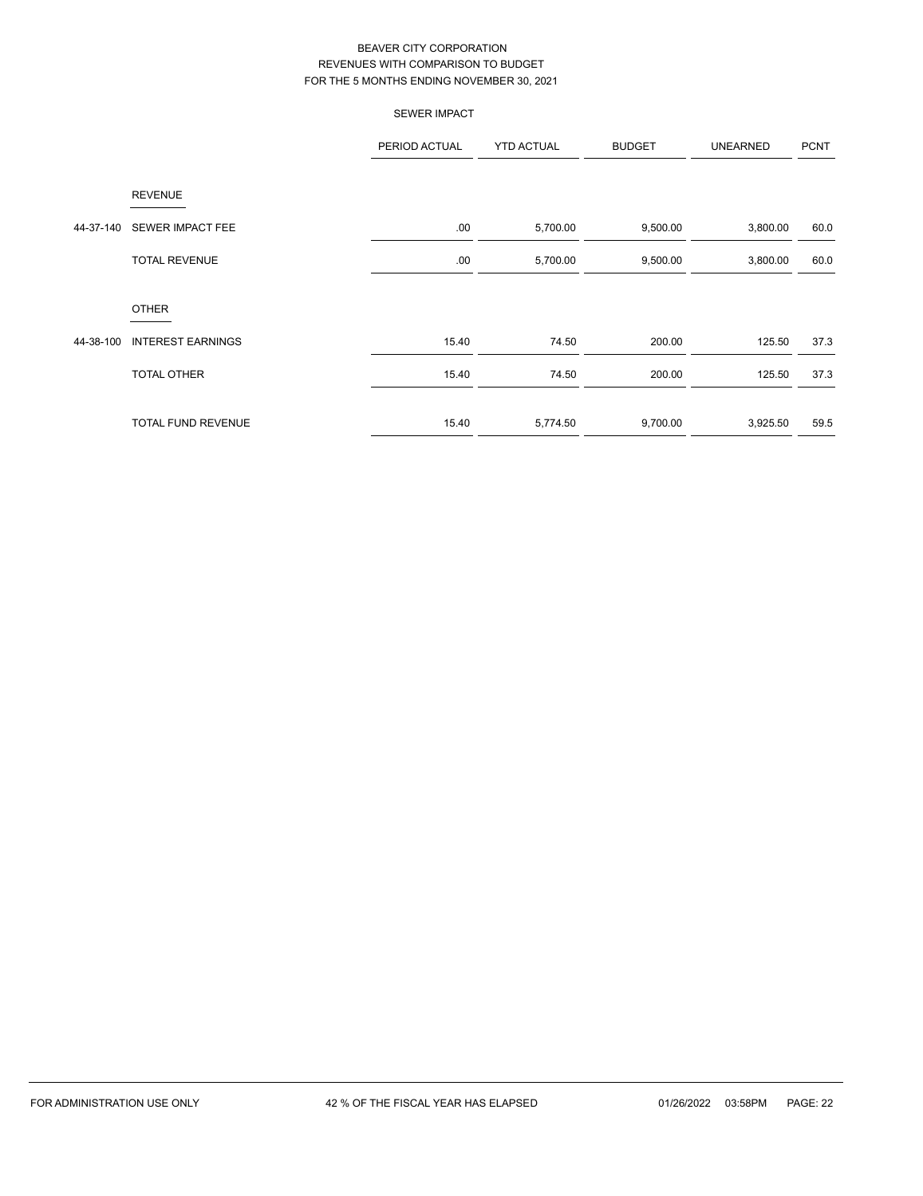|           |                          | <b>SEWER IMPACT</b> |                   |               |                 |             |
|-----------|--------------------------|---------------------|-------------------|---------------|-----------------|-------------|
|           |                          | PERIOD ACTUAL       | <b>YTD ACTUAL</b> | <b>BUDGET</b> | <b>UNEARNED</b> | <b>PCNT</b> |
|           | <b>REVENUE</b>           |                     |                   |               |                 |             |
| 44-37-140 | SEWER IMPACT FEE         | .00.                | 5,700.00          | 9,500.00      | 3,800.00        | 60.0        |
|           | <b>TOTAL REVENUE</b>     | .00.                | 5,700.00          | 9,500.00      | 3,800.00        | 60.0        |
|           | <b>OTHER</b>             |                     |                   |               |                 |             |
| 44-38-100 | <b>INTEREST EARNINGS</b> | 15.40               | 74.50             | 200.00        | 125.50          | 37.3        |
|           | TOTAL OTHER              | 15.40               | 74.50             | 200.00        | 125.50          | 37.3        |
|           | TOTAL FUND REVENUE       | 15.40               | 5,774.50          | 9,700.00      | 3,925.50        | 59.5        |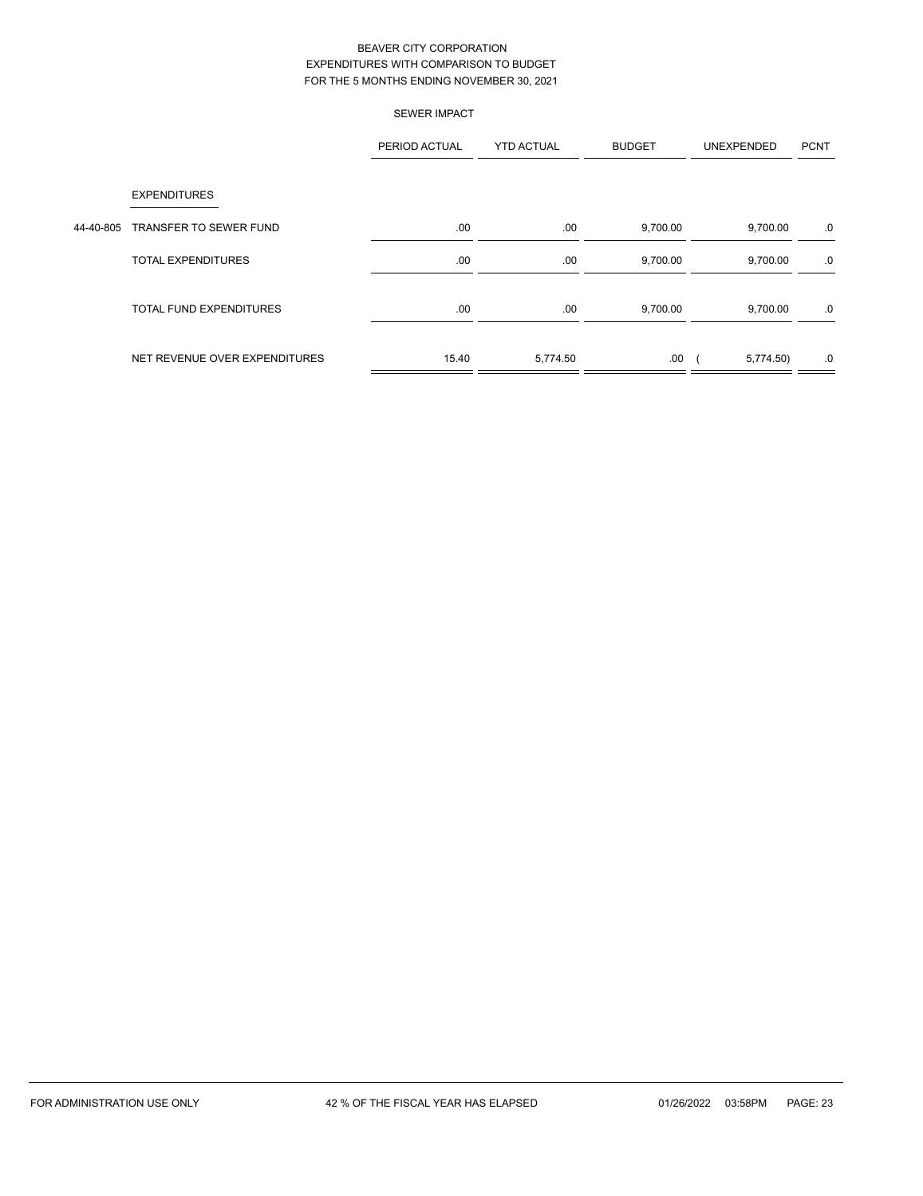|           |                                | <b>SEWER IMPACT</b> |                   |               |            |             |
|-----------|--------------------------------|---------------------|-------------------|---------------|------------|-------------|
|           |                                | PERIOD ACTUAL       | <b>YTD ACTUAL</b> | <b>BUDGET</b> | UNEXPENDED | <b>PCNT</b> |
|           | <b>EXPENDITURES</b>            |                     |                   |               |            |             |
| 44-40-805 | TRANSFER TO SEWER FUND         | .00                 | .00.              | 9,700.00      | 9,700.00   | .0          |
|           | <b>TOTAL EXPENDITURES</b>      | .00                 | .00.              | 9,700.00      | 9,700.00   | .0          |
|           | <b>TOTAL FUND EXPENDITURES</b> | .00                 | .00               | 9,700.00      | 9,700.00   | .0          |
|           | NET REVENUE OVER EXPENDITURES  | 15.40               | 5,774.50          | .00.          | 5,774.50   | .0          |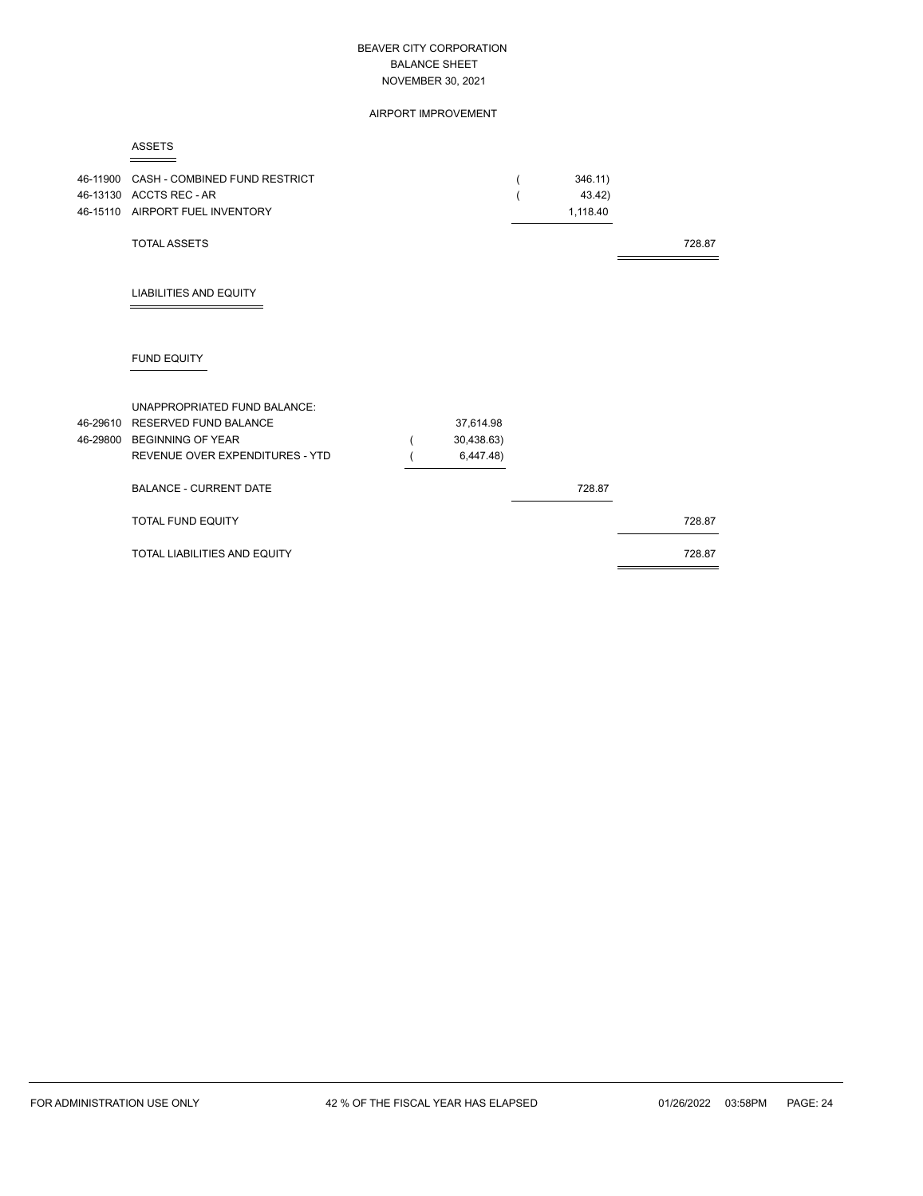#### AIRPORT IMPROVEMENT

#### ASSETS

| 46-11900 CASH - COMBINED FUND RESTRICT<br>46-13130 ACCTS REC - AR<br>46-15110 AIRPORT FUEL INVENTORY |            | 346.11)<br>43.42)<br>1,118.40 |        |
|------------------------------------------------------------------------------------------------------|------------|-------------------------------|--------|
| <b>TOTAL ASSETS</b>                                                                                  |            |                               | 728.87 |
| <b>LIABILITIES AND EQUITY</b>                                                                        |            |                               |        |
| <b>FUND EQUITY</b>                                                                                   |            |                               |        |
| UNAPPROPRIATED FUND BALANCE:                                                                         |            |                               |        |
| 46-29610 RESERVED FUND BALANCE                                                                       | 37,614.98  |                               |        |
| 46-29800 BEGINNING OF YEAR                                                                           | 30,438.63) |                               |        |
| REVENUE OVER EXPENDITURES - YTD                                                                      | 6,447.48)  |                               |        |
| <b>BALANCE - CURRENT DATE</b>                                                                        |            | 728.87                        |        |
| <b>TOTAL FUND EQUITY</b>                                                                             |            |                               | 728.87 |
| <b>TOTAL LIABILITIES AND EQUITY</b>                                                                  |            |                               | 728.87 |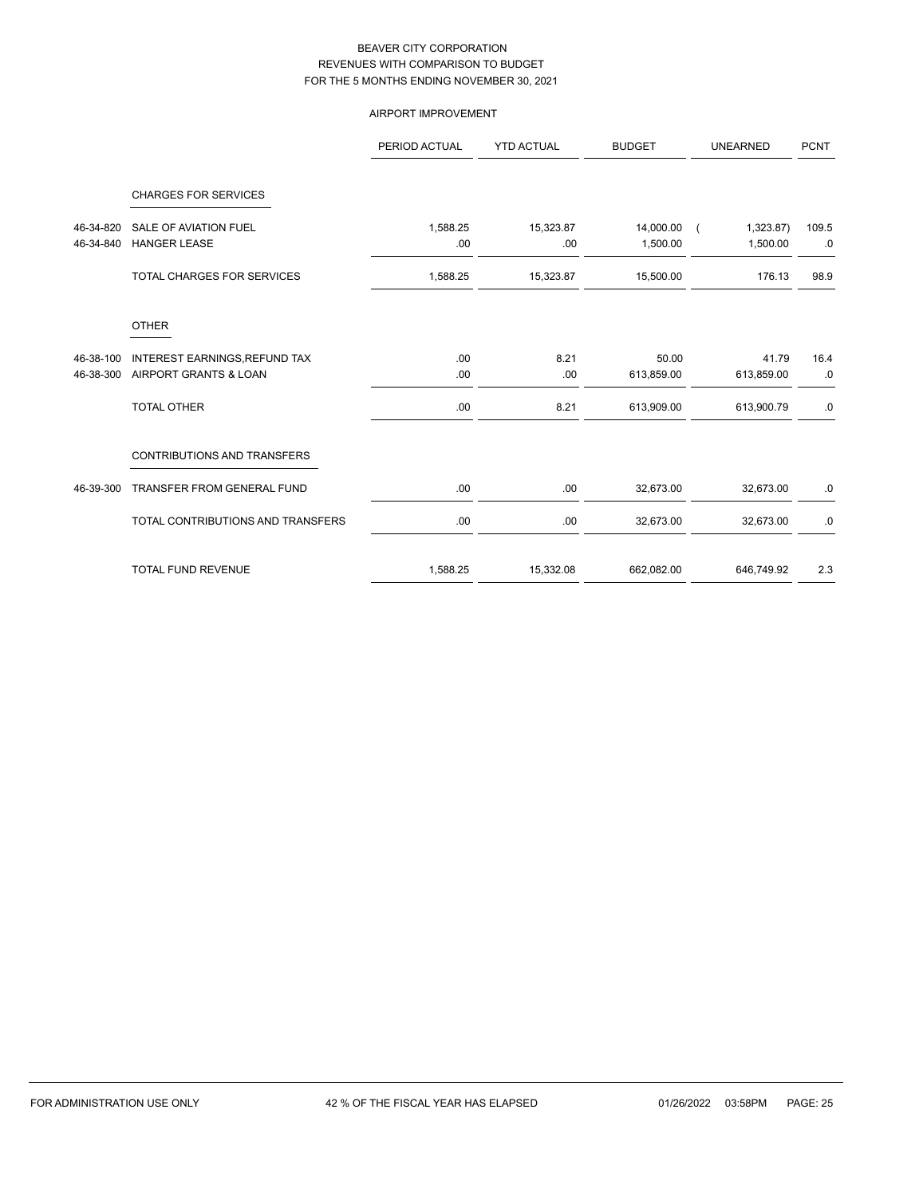# AIRPORT IMPROVEMENT

|                        |                                                        | PERIOD ACTUAL    | <b>YTD ACTUAL</b> | <b>BUDGET</b>         | <b>UNEARNED</b>       | <b>PCNT</b> |
|------------------------|--------------------------------------------------------|------------------|-------------------|-----------------------|-----------------------|-------------|
|                        | <b>CHARGES FOR SERVICES</b>                            |                  |                   |                       |                       |             |
| 46-34-820<br>46-34-840 | <b>SALE OF AVIATION FUEL</b><br><b>HANGER LEASE</b>    | 1,588.25<br>.00. | 15,323.87<br>.00  | 14,000.00<br>1,500.00 | 1,323.87)<br>1,500.00 | 109.5<br>.0 |
|                        | TOTAL CHARGES FOR SERVICES                             | 1,588.25         | 15,323.87         | 15,500.00             | 176.13                | 98.9        |
|                        | <b>OTHER</b>                                           |                  |                   |                       |                       |             |
| 46-38-100<br>46-38-300 | INTEREST EARNINGS, REFUND TAX<br>AIRPORT GRANTS & LOAN | .00<br>.00.      | 8.21<br>.00       | 50.00<br>613,859.00   | 41.79<br>613,859.00   | 16.4<br>.0  |
|                        | <b>TOTAL OTHER</b>                                     | .00.             | 8.21              | 613,909.00            | 613,900.79            | .0          |
|                        | <b>CONTRIBUTIONS AND TRANSFERS</b>                     |                  |                   |                       |                       |             |
| 46-39-300              | <b>TRANSFER FROM GENERAL FUND</b>                      | .00.             | .00               | 32,673.00             | 32,673.00             | .0          |
|                        | TOTAL CONTRIBUTIONS AND TRANSFERS                      | .00              | .00               | 32,673.00             | 32,673.00             | .0          |
|                        | <b>TOTAL FUND REVENUE</b>                              | 1,588.25         | 15,332.08         | 662,082.00            | 646,749.92            | 2.3         |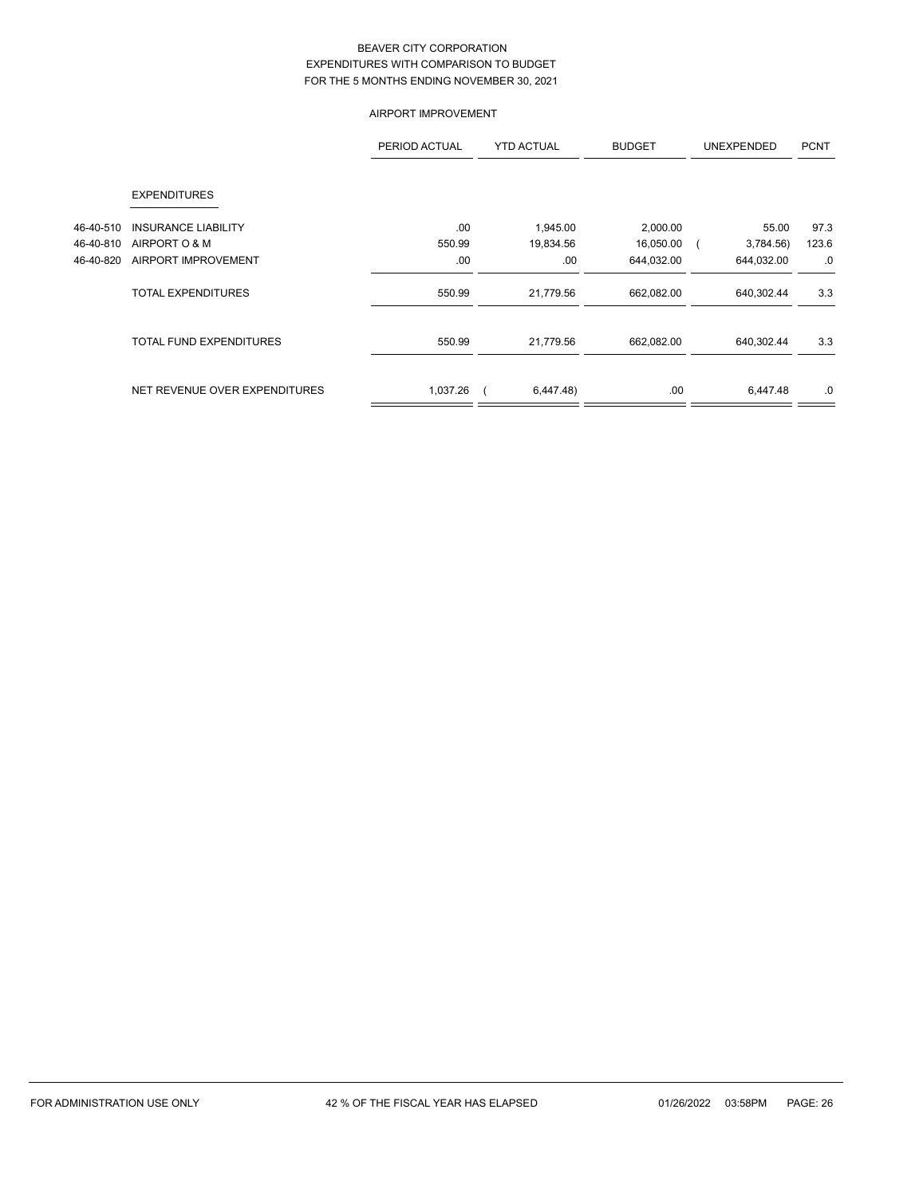# AIRPORT IMPROVEMENT

|           |                                | PERIOD ACTUAL | <b>YTD ACTUAL</b> | <b>BUDGET</b> | <b>UNEXPENDED</b> | <b>PCNT</b> |
|-----------|--------------------------------|---------------|-------------------|---------------|-------------------|-------------|
|           | <b>EXPENDITURES</b>            |               |                   |               |                   |             |
| 46-40-510 | <b>INSURANCE LIABILITY</b>     | .00           | 1,945.00          | 2,000.00      | 55.00             | 97.3        |
| 46-40-810 | AIRPORT O & M                  | 550.99        | 19,834.56         | 16,050.00     | 3,784.56)         | 123.6       |
| 46-40-820 | <b>AIRPORT IMPROVEMENT</b>     | .00           | .00               | 644,032.00    | 644,032.00        | .0          |
|           | <b>TOTAL EXPENDITURES</b>      | 550.99        | 21,779.56         | 662,082.00    | 640,302.44        | 3.3         |
|           | <b>TOTAL FUND EXPENDITURES</b> | 550.99        | 21,779.56         | 662,082.00    | 640,302.44        | 3.3         |
|           | NET REVENUE OVER EXPENDITURES  | 1,037.26      | 6,447.48          | .00           | 6,447.48          | .0          |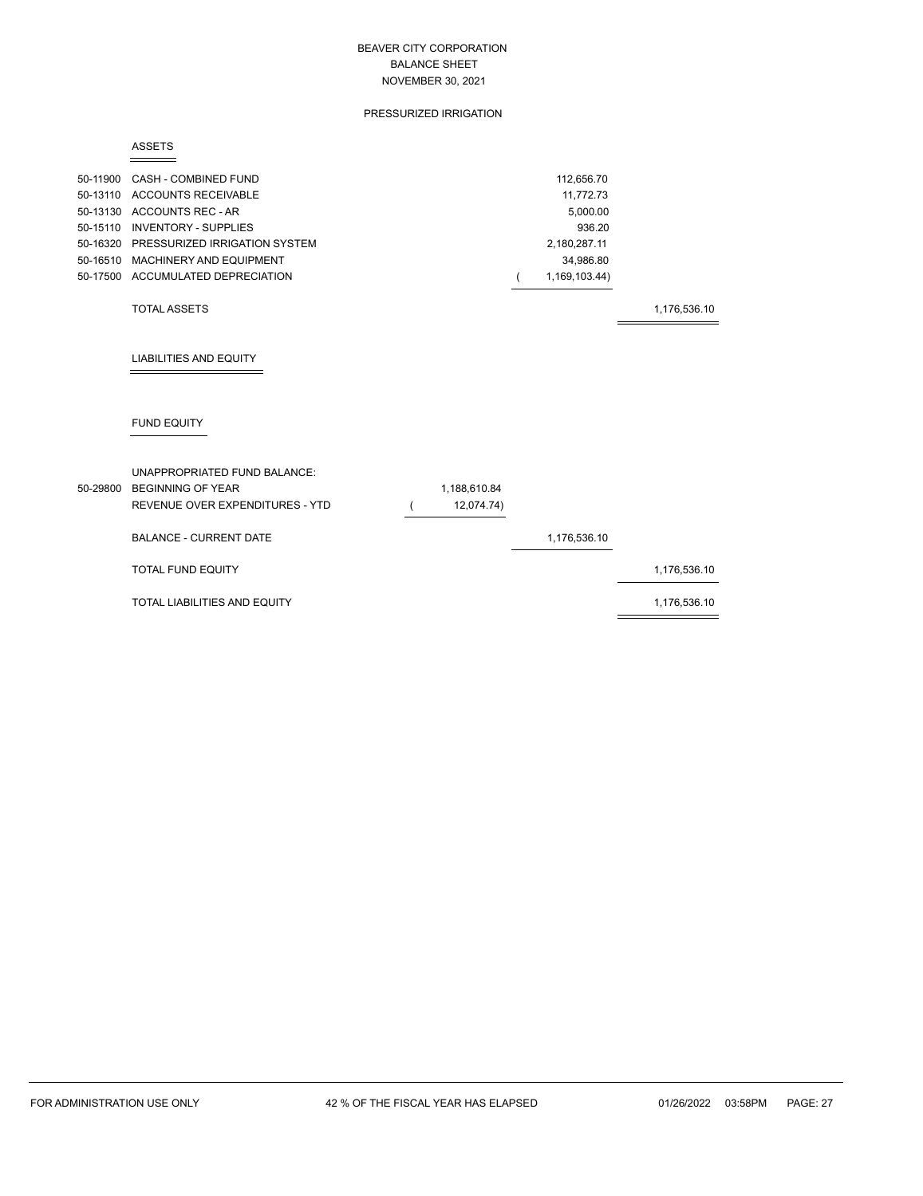### PRESSURIZED IRRIGATION

#### ASSETS

| 50-11900 CASH - COMBINED FUND          | 112.656.70    |
|----------------------------------------|---------------|
| 50-13110 ACCOUNTS RECEIVABLE           | 11.772.73     |
| 50-13130 ACCOUNTS REC - AR             | 5.000.00      |
| 50-15110 INVENTORY - SUPPLIES          | 936.20        |
| 50-16320 PRESSURIZED IRRIGATION SYSTEM | 2.180.287.11  |
| 50-16510 MACHINERY AND EQUIPMENT       | 34.986.80     |
| 50-17500 ACCUMULATED DEPRECIATION      | 1.169.103.44) |
|                                        |               |

### TOTAL ASSETS 1,176,536.10

# LIABILITIES AND EQUITY

# FUND EQUITY

| UNAPPROPRIATED FUND BALANCE:<br>50-29800 BEGINNING OF YEAR<br>REVENUE OVER EXPENDITURES - YTD | 1,188,610.84<br>12,074.74) |              |              |
|-----------------------------------------------------------------------------------------------|----------------------------|--------------|--------------|
| <b>BALANCE - CURRENT DATE</b>                                                                 |                            | 1,176,536.10 |              |
| <b>TOTAL FUND EQUITY</b>                                                                      |                            |              | 1,176,536.10 |
| TOTAL LIABILITIES AND EQUITY                                                                  |                            |              | 1,176,536.10 |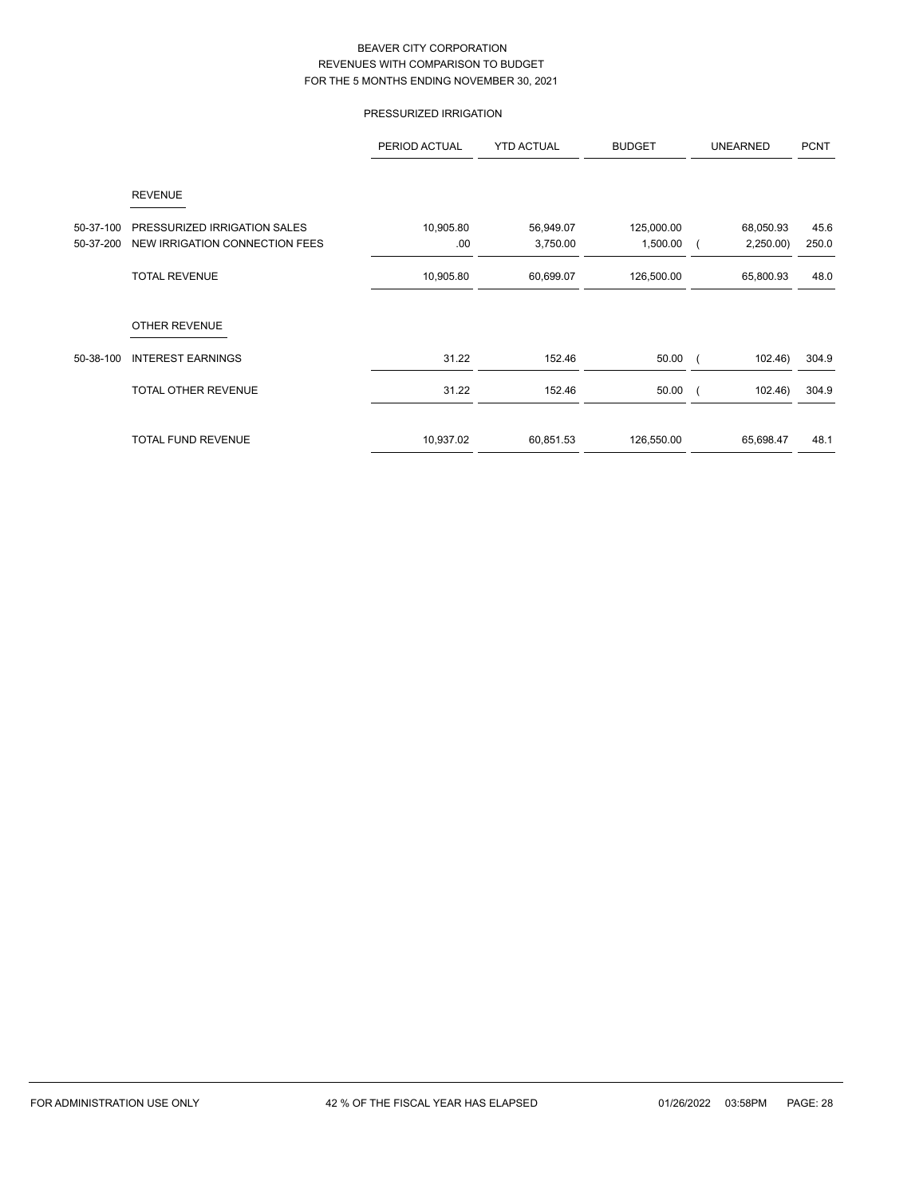# PRESSURIZED IRRIGATION

|           |                                | PERIOD ACTUAL | <b>YTD ACTUAL</b> | <b>BUDGET</b> | <b>UNEARNED</b> | <b>PCNT</b> |
|-----------|--------------------------------|---------------|-------------------|---------------|-----------------|-------------|
|           | <b>REVENUE</b>                 |               |                   |               |                 |             |
| 50-37-100 | PRESSURIZED IRRIGATION SALES   | 10,905.80     | 56,949.07         | 125,000.00    | 68,050.93       | 45.6        |
| 50-37-200 | NEW IRRIGATION CONNECTION FEES | .00           | 3,750.00          | 1,500.00      | 2,250.00        | 250.0       |
|           | <b>TOTAL REVENUE</b>           | 10,905.80     | 60,699.07         | 126,500.00    | 65,800.93       | 48.0        |
|           | <b>OTHER REVENUE</b>           |               |                   |               |                 |             |
| 50-38-100 | <b>INTEREST EARNINGS</b>       | 31.22         | 152.46            | 50.00         | 102.46)         | 304.9       |
|           | TOTAL OTHER REVENUE            | 31.22         | 152.46            | 50.00         | 102.46)         | 304.9       |
|           | <b>TOTAL FUND REVENUE</b>      | 10,937.02     | 60,851.53         | 126,550.00    | 65,698.47       | 48.1        |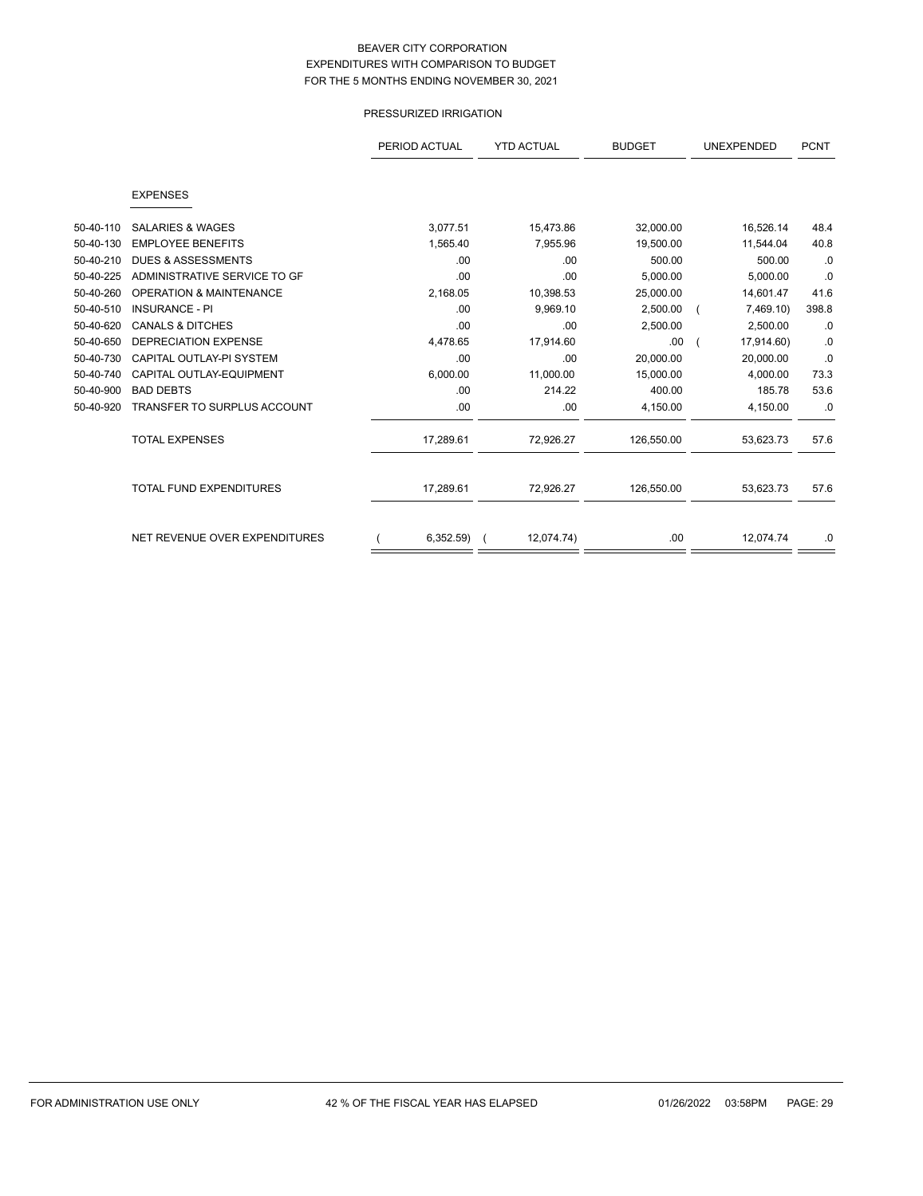# PRESSURIZED IRRIGATION

|           |                                    | PERIOD ACTUAL | <b>YTD ACTUAL</b> | <b>BUDGET</b> | UNEXPENDED | <b>PCNT</b> |
|-----------|------------------------------------|---------------|-------------------|---------------|------------|-------------|
|           |                                    |               |                   |               |            |             |
|           | <b>EXPENSES</b>                    |               |                   |               |            |             |
| 50-40-110 | <b>SALARIES &amp; WAGES</b>        | 3,077.51      | 15,473.86         | 32,000.00     | 16,526.14  | 48.4        |
| 50-40-130 | <b>EMPLOYEE BENEFITS</b>           | 1,565.40      | 7,955.96          | 19,500.00     | 11,544.04  | 40.8        |
| 50-40-210 | <b>DUES &amp; ASSESSMENTS</b>      | .00           | .00               | 500.00        | 500.00     | .0          |
| 50-40-225 | ADMINISTRATIVE SERVICE TO GF       | .00           | .00               | 5,000.00      | 5,000.00   | .0          |
| 50-40-260 | <b>OPERATION &amp; MAINTENANCE</b> | 2,168.05      | 10,398.53         | 25,000.00     | 14,601.47  | 41.6        |
| 50-40-510 | <b>INSURANCE - PI</b>              | .00           | 9,969.10          | 2,500.00      | 7,469.10)  | 398.8       |
| 50-40-620 | <b>CANALS &amp; DITCHES</b>        | .00           | .00               | 2,500.00      | 2,500.00   | .0          |
| 50-40-650 | <b>DEPRECIATION EXPENSE</b>        | 4,478.65      | 17,914.60         | .00.          | 17,914.60) | .0          |
| 50-40-730 | CAPITAL OUTLAY-PI SYSTEM           | .00           | .00               | 20.000.00     | 20.000.00  | .0          |
| 50-40-740 | CAPITAL OUTLAY-EQUIPMENT           | 6,000.00      | 11,000.00         | 15,000.00     | 4,000.00   | 73.3        |
| 50-40-900 | <b>BAD DEBTS</b>                   | .00           | 214.22            | 400.00        | 185.78     | 53.6        |
| 50-40-920 | <b>TRANSFER TO SURPLUS ACCOUNT</b> | .00           | .00               | 4,150.00      | 4,150.00   | .0          |
|           | <b>TOTAL EXPENSES</b>              | 17,289.61     | 72,926.27         | 126,550.00    | 53,623.73  | 57.6        |
|           | <b>TOTAL FUND EXPENDITURES</b>     | 17,289.61     | 72,926.27         | 126,550.00    | 53,623.73  | 57.6        |
|           | NET REVENUE OVER EXPENDITURES      | 6,352.59      | 12,074.74)        | .00           | 12,074.74  | .0          |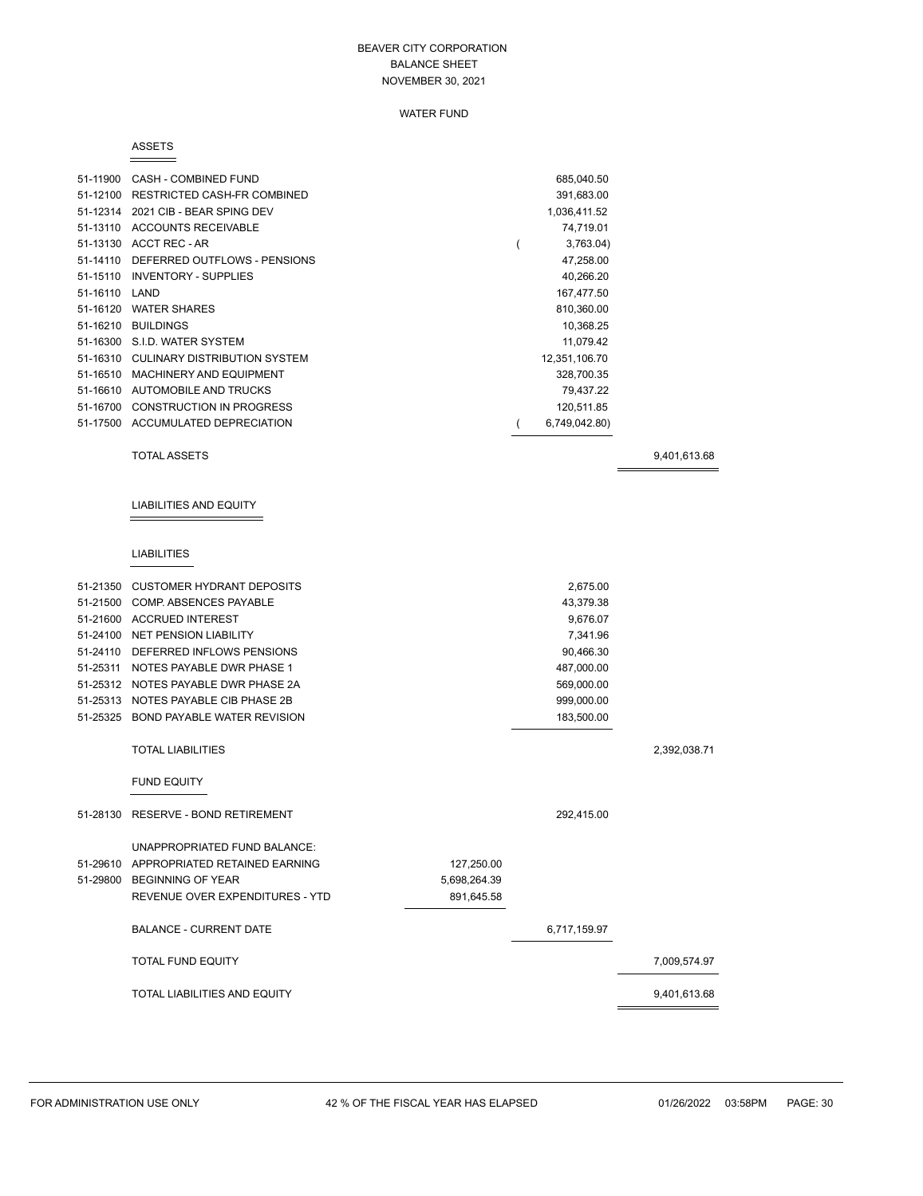### WATER FUND

#### ASSETS

| 51-11900 | CASH - COMBINED FUND         | 685,040.50    |  |
|----------|------------------------------|---------------|--|
| 51-12100 | RESTRICTED CASH-FR COMBINED  | 391,683.00    |  |
| 51-12314 | 2021 CIB - BEAR SPING DEV    | 1,036,411.52  |  |
| 51-13110 | ACCOUNTS RECEIVABLE          | 74,719.01     |  |
|          | 51-13130 ACCT REC - AR       | 3,763.04      |  |
| 51-14110 | DEFERRED OUTFLOWS - PENSIONS | 47,258.00     |  |
| 51-15110 | <b>INVENTORY - SUPPLIES</b>  | 40,266.20     |  |
| 51-16110 | LAND                         | 167,477.50    |  |
| 51-16120 | <b>WATER SHARES</b>          | 810,360.00    |  |
| 51-16210 | <b>BUILDINGS</b>             | 10.368.25     |  |
|          | 51-16300 S.I.D. WATER SYSTEM | 11,079.42     |  |
| 51-16310 | CULINARY DISTRIBUTION SYSTEM | 12,351,106.70 |  |
| 51-16510 | MACHINERY AND EQUIPMENT      | 328,700.35    |  |
| 51-16610 | AUTOMOBILE AND TRUCKS        | 79,437.22     |  |
| 51-16700 | CONSTRUCTION IN PROGRESS     | 120.511.85    |  |
| 51-17500 | ACCUMULATED DEPRECIATION     | 6,749,042.80) |  |

TOTAL ASSETS 9,401,613.68

# LIABILITIES AND EQUITY

# LIABILITIES

| 51-21350 CUSTOMER HYDRANT DEPOSITS     |              | 2,675.00     |              |
|----------------------------------------|--------------|--------------|--------------|
| 51-21500 COMP. ABSENCES PAYABLE        |              | 43,379.38    |              |
| 51-21600 ACCRUED INTEREST              |              | 9,676.07     |              |
| 51-24100 NET PENSION LIABILITY         |              | 7,341.96     |              |
| 51-24110 DEFERRED INFLOWS PENSIONS     |              | 90,466.30    |              |
| 51-25311 NOTES PAYABLE DWR PHASE 1     |              | 487,000.00   |              |
| 51-25312 NOTES PAYABLE DWR PHASE 2A    |              | 569,000.00   |              |
| 51-25313 NOTES PAYABLE CIB PHASE 2B    |              | 999,000.00   |              |
| 51-25325 BOND PAYABLE WATER REVISION   |              | 183,500.00   |              |
|                                        |              |              |              |
| <b>TOTAL LIABILITIES</b>               |              |              | 2,392,038.71 |
| <b>FUND EQUITY</b>                     |              |              |              |
|                                        |              |              |              |
| 51-28130 RESERVE - BOND RETIREMENT     |              | 292,415.00   |              |
| UNAPPROPRIATED FUND BALANCE:           |              |              |              |
| 51-29610 APPROPRIATED RETAINED EARNING | 127,250.00   |              |              |
| 51-29800 BEGINNING OF YEAR             | 5,698,264.39 |              |              |
| REVENUE OVER EXPENDITURES - YTD        | 891,645.58   |              |              |
| <b>BALANCE - CURRENT DATE</b>          |              | 6,717,159.97 |              |
| <b>TOTAL FUND EQUITY</b>               |              |              | 7,009,574.97 |
| <b>TOTAL LIABILITIES AND EQUITY</b>    |              |              | 9,401,613.68 |
|                                        |              |              |              |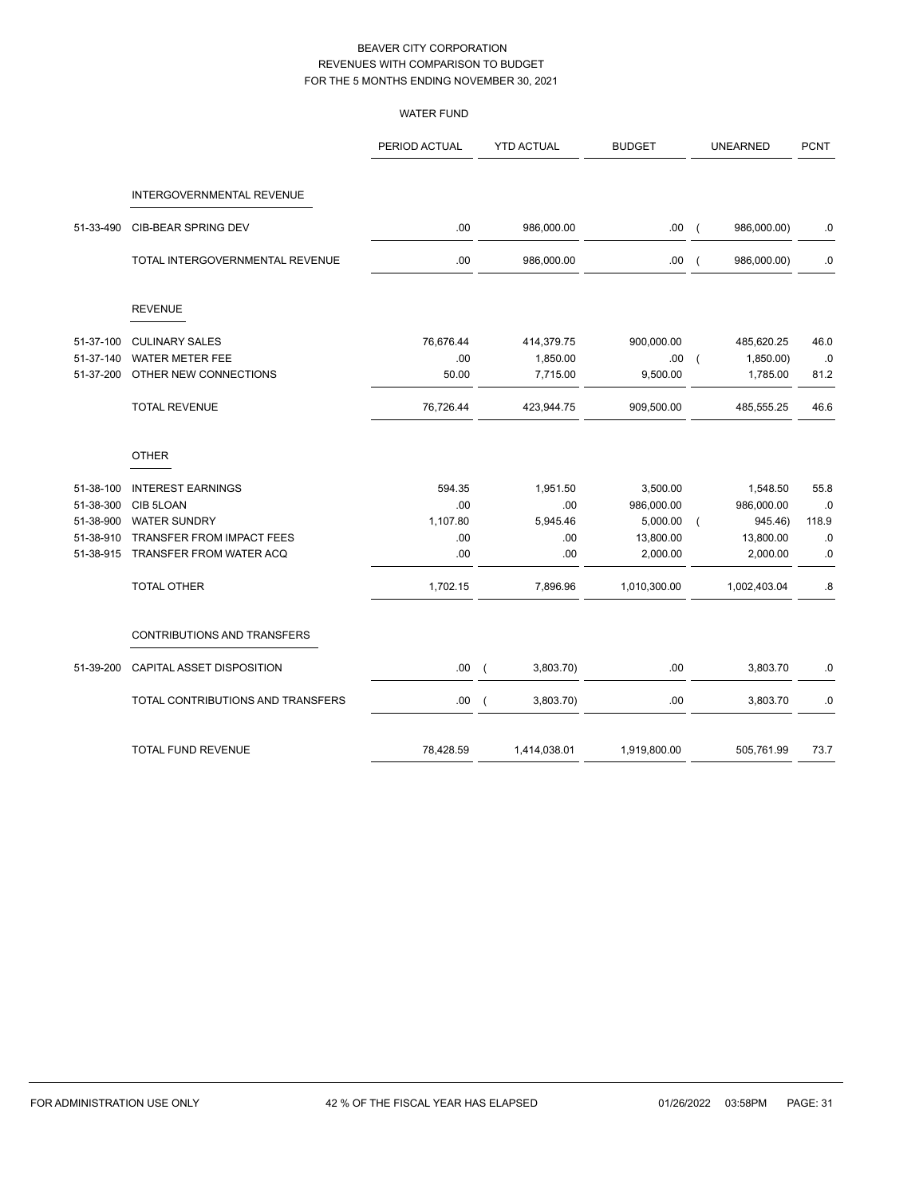|           |                                    | <b>WATER FUND</b> |          |                   |               |                |                 |             |
|-----------|------------------------------------|-------------------|----------|-------------------|---------------|----------------|-----------------|-------------|
|           |                                    | PERIOD ACTUAL     |          | <b>YTD ACTUAL</b> | <b>BUDGET</b> |                | <b>UNEARNED</b> | <b>PCNT</b> |
|           | INTERGOVERNMENTAL REVENUE          |                   |          |                   |               |                |                 |             |
| 51-33-490 | CIB-BEAR SPRING DEV                | .00               |          | 986,000.00        | .00(          |                | 986,000.00)     | $\cdot$ 0   |
|           | TOTAL INTERGOVERNMENTAL REVENUE    | .00               |          | 986,000.00        | .00           | $\overline{ }$ | 986,000.00)     | 0.          |
|           | <b>REVENUE</b>                     |                   |          |                   |               |                |                 |             |
| 51-37-100 | <b>CULINARY SALES</b>              | 76,676.44         |          | 414,379.75        | 900,000.00    |                | 485,620.25      | 46.0        |
| 51-37-140 | <b>WATER METER FEE</b>             | .00               |          | 1,850.00          | .00           | $\overline{ }$ | 1,850.00)       | .0          |
| 51-37-200 | OTHER NEW CONNECTIONS              | 50.00             |          | 7,715.00          | 9,500.00      |                | 1,785.00        | 81.2        |
|           | <b>TOTAL REVENUE</b>               | 76,726.44         |          | 423,944.75        | 909,500.00    |                | 485,555.25      | 46.6        |
|           | <b>OTHER</b>                       |                   |          |                   |               |                |                 |             |
| 51-38-100 | <b>INTEREST EARNINGS</b>           | 594.35            |          | 1,951.50          | 3,500.00      |                | 1,548.50        | 55.8        |
| 51-38-300 | CIB 5LOAN                          | .00               |          | .00               | 986,000.00    |                | 986,000.00      | .0          |
| 51-38-900 | <b>WATER SUNDRY</b>                | 1,107.80          |          | 5,945.46          | 5,000.00      |                | 945.46)         | 118.9       |
| 51-38-910 | TRANSFER FROM IMPACT FEES          | .00               |          | .00               | 13,800.00     |                | 13,800.00       | .0          |
| 51-38-915 | TRANSFER FROM WATER ACQ            | .00               |          | .00               | 2,000.00      |                | 2,000.00        | .0          |
|           | <b>TOTAL OTHER</b>                 | 1,702.15          |          | 7,896.96          | 1,010,300.00  |                | 1,002,403.04    | .8          |
|           | <b>CONTRIBUTIONS AND TRANSFERS</b> |                   |          |                   |               |                |                 |             |
| 51-39-200 | CAPITAL ASSET DISPOSITION          | .00               | -0       | 3,803.70)         | .00           |                | 3,803.70        | $\cdot$ 0   |
|           | TOTAL CONTRIBUTIONS AND TRANSFERS  | .00.              | $\left($ | 3,803.70)         | .00           |                | 3,803.70        | .0          |
|           | <b>TOTAL FUND REVENUE</b>          | 78,428.59         |          | 1,414,038.01      | 1,919,800.00  |                | 505,761.99      | 73.7        |
|           |                                    |                   |          |                   |               |                |                 |             |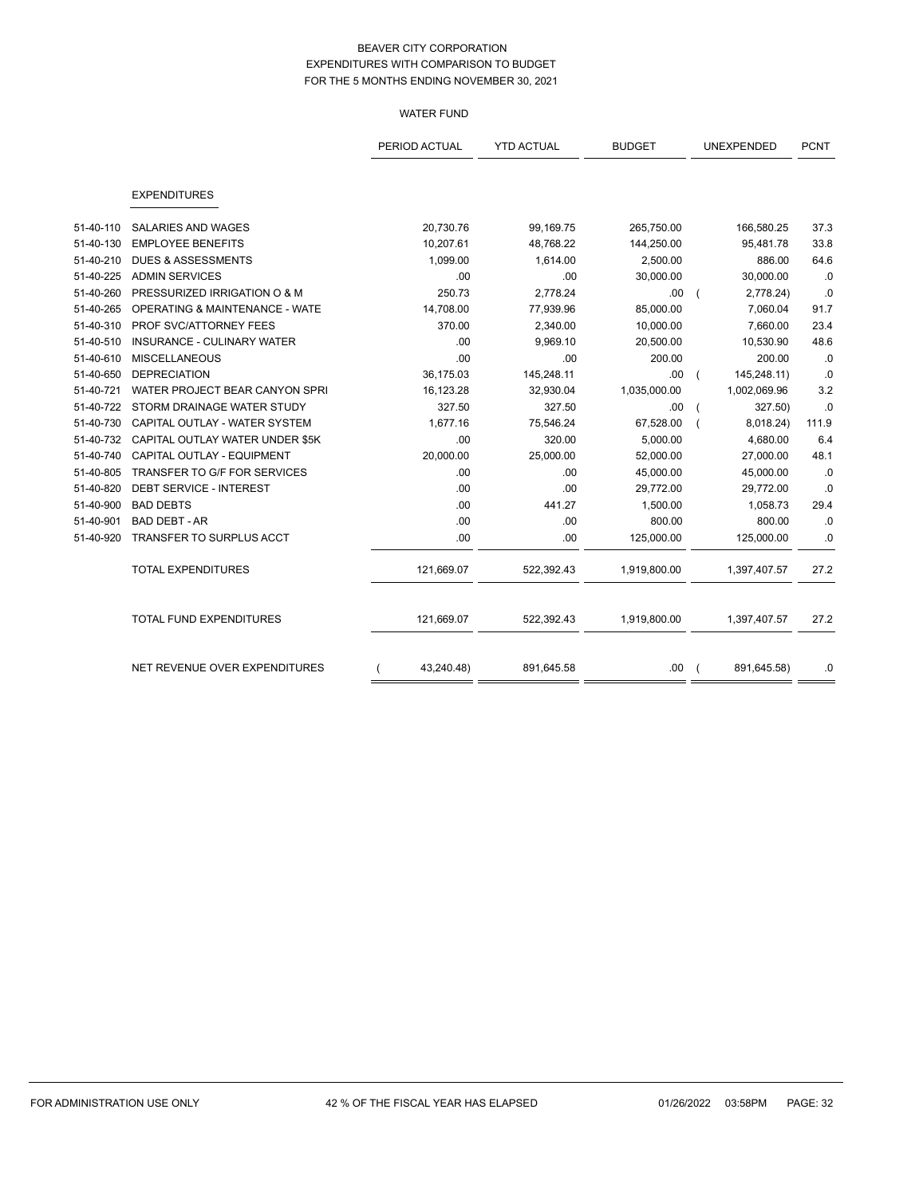## WATER FUND

|           |                                           | PERIOD ACTUAL | <b>YTD ACTUAL</b> | <b>BUDGET</b> | UNEXPENDED   | <b>PCNT</b> |
|-----------|-------------------------------------------|---------------|-------------------|---------------|--------------|-------------|
|           |                                           |               |                   |               |              |             |
|           | <b>EXPENDITURES</b>                       |               |                   |               |              |             |
| 51-40-110 | <b>SALARIES AND WAGES</b>                 | 20,730.76     | 99,169.75         | 265,750.00    | 166,580.25   | 37.3        |
| 51-40-130 | <b>EMPLOYEE BENEFITS</b>                  | 10,207.61     | 48,768.22         | 144,250.00    | 95,481.78    | 33.8        |
| 51-40-210 | <b>DUES &amp; ASSESSMENTS</b>             | 1,099.00      | 1,614.00          | 2,500.00      | 886.00       | 64.6        |
| 51-40-225 | <b>ADMIN SERVICES</b>                     | .00           | .00               | 30,000.00     | 30,000.00    | .0          |
| 51-40-260 | PRESSURIZED IRRIGATION O & M              | 250.73        | 2,778.24          | .00           | 2,778.24)    | .0          |
| 51-40-265 | <b>OPERATING &amp; MAINTENANCE - WATE</b> | 14,708.00     | 77,939.96         | 85,000.00     | 7,060.04     | 91.7        |
| 51-40-310 | PROF SVC/ATTORNEY FEES                    | 370.00        | 2,340.00          | 10,000.00     | 7,660.00     | 23.4        |
| 51-40-510 | INSURANCE - CULINARY WATER                | .00           | 9,969.10          | 20,500.00     | 10,530.90    | 48.6        |
| 51-40-610 | <b>MISCELLANEOUS</b>                      | .00           | .00               | 200.00        | 200.00       | .0          |
| 51-40-650 | <b>DEPRECIATION</b>                       | 36,175.03     | 145,248.11        | .00           | 145,248.11)  | .0          |
| 51-40-721 | WATER PROJECT BEAR CANYON SPRI            | 16,123.28     | 32,930.04         | 1,035,000.00  | 1,002,069.96 | 3.2         |
| 51-40-722 | STORM DRAINAGE WATER STUDY                | 327.50        | 327.50            | .00           | 327.50)      | .0          |
| 51-40-730 | CAPITAL OUTLAY - WATER SYSTEM             | 1,677.16      | 75,546.24         | 67,528.00     | 8,018.24)    | 111.9       |
| 51-40-732 | CAPITAL OUTLAY WATER UNDER \$5K           | .00           | 320.00            | 5,000.00      | 4,680.00     | 6.4         |
| 51-40-740 | CAPITAL OUTLAY - EQUIPMENT                | 20,000.00     | 25,000.00         | 52,000.00     | 27,000.00    | 48.1        |
| 51-40-805 | TRANSFER TO G/F FOR SERVICES              | .00           | .00               | 45,000.00     | 45,000.00    | .0          |
| 51-40-820 | DEBT SERVICE - INTEREST                   | .00           | .00               | 29,772.00     | 29,772.00    | .0          |
| 51-40-900 | <b>BAD DEBTS</b>                          | .00           | 441.27            | 1,500.00      | 1,058.73     | 29.4        |
| 51-40-901 | <b>BAD DEBT - AR</b>                      | .00           | .00               | 800.00        | 800.00       | .0          |
| 51-40-920 | TRANSFER TO SURPLUS ACCT                  | .00           | .00               | 125,000.00    | 125,000.00   | $.0\,$      |
|           | <b>TOTAL EXPENDITURES</b>                 | 121,669.07    | 522,392.43        | 1,919,800.00  | 1,397,407.57 | 27.2        |
|           | TOTAL FUND EXPENDITURES                   | 121,669.07    | 522,392.43        | 1,919,800.00  | 1,397,407.57 | 27.2        |
|           | NET REVENUE OVER EXPENDITURES             | 43,240.48)    | 891,645.58        | .00.          | 891,645.58)  | .0          |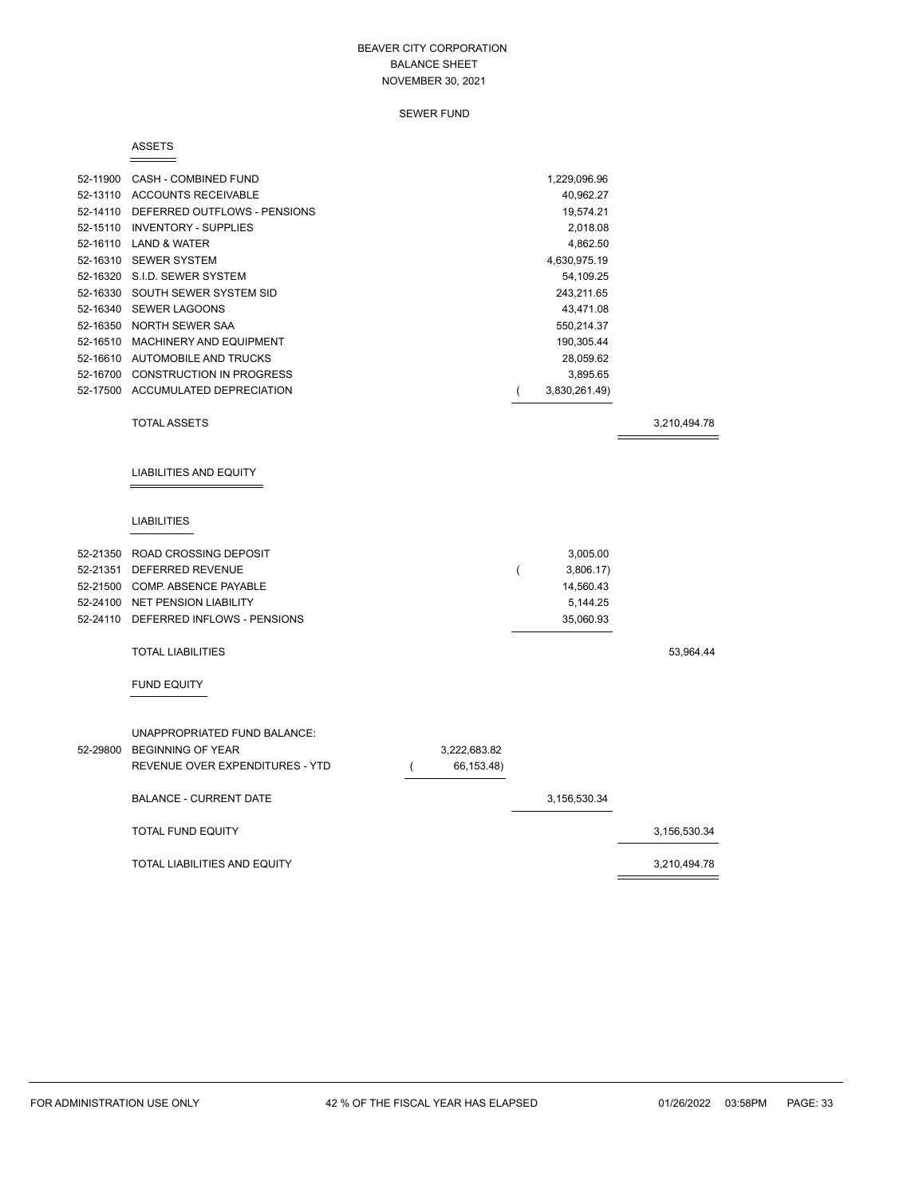### SEWER FUND

#### ASSETS

|          | 52-11900 CASH - COMBINED FUND<br>52-13110 ACCOUNTS RECEIVABLE<br>52-14110 DEFERRED OUTFLOWS - PENSIONS<br>52-15110 INVENTORY - SUPPLIES<br>52-16110 LAND & WATER<br>52-16310 SEWER SYSTEM<br>52-16320 S.I.D. SEWER SYSTEM<br>52-16330 SOUTH SEWER SYSTEM SID<br>52-16340 SEWER LAGOONS<br>52-16350 NORTH SEWER SAA<br>52-16510 MACHINERY AND EQUIPMENT<br>52-16610 AUTOMOBILE AND TRUCKS |          |                            |   | 1,229,096.96<br>40,962.27<br>19,574.21<br>2,018.08<br>4,862.50<br>4,630,975.19<br>54,109.25<br>243,211.65<br>43,471.08<br>550,214.37<br>190,305.44<br>28,059.62 |              |
|----------|------------------------------------------------------------------------------------------------------------------------------------------------------------------------------------------------------------------------------------------------------------------------------------------------------------------------------------------------------------------------------------------|----------|----------------------------|---|-----------------------------------------------------------------------------------------------------------------------------------------------------------------|--------------|
|          | 52-16700 CONSTRUCTION IN PROGRESS                                                                                                                                                                                                                                                                                                                                                        |          |                            |   | 3,895.65                                                                                                                                                        |              |
|          | 52-17500 ACCUMULATED DEPRECIATION                                                                                                                                                                                                                                                                                                                                                        |          |                            | ( | 3,830,261.49)                                                                                                                                                   |              |
|          | <b>TOTAL ASSETS</b>                                                                                                                                                                                                                                                                                                                                                                      |          |                            |   |                                                                                                                                                                 | 3,210,494.78 |
|          | <b>LIABILITIES AND EQUITY</b>                                                                                                                                                                                                                                                                                                                                                            |          |                            |   |                                                                                                                                                                 |              |
|          | <b>LIABILITIES</b>                                                                                                                                                                                                                                                                                                                                                                       |          |                            |   |                                                                                                                                                                 |              |
|          | 52-21350 ROAD CROSSING DEPOSIT<br>52-21351 DEFERRED REVENUE<br>52-21500 COMP. ABSENCE PAYABLE<br>52-24100 NET PENSION LIABILITY<br>52-24110 DEFERRED INFLOWS - PENSIONS                                                                                                                                                                                                                  |          |                            | ( | 3,005.00<br>3,806.17)<br>14,560.43<br>5,144.25<br>35,060.93                                                                                                     |              |
|          | <b>TOTAL LIABILITIES</b>                                                                                                                                                                                                                                                                                                                                                                 |          |                            |   |                                                                                                                                                                 | 53,964.44    |
|          | <b>FUND EQUITY</b>                                                                                                                                                                                                                                                                                                                                                                       |          |                            |   |                                                                                                                                                                 |              |
| 52-29800 | UNAPPROPRIATED FUND BALANCE:<br><b>BEGINNING OF YEAR</b><br>REVENUE OVER EXPENDITURES - YTD<br><b>BALANCE - CURRENT DATE</b>                                                                                                                                                                                                                                                             | $\left($ | 3,222,683.82<br>66,153.48) |   | 3,156,530.34                                                                                                                                                    |              |
|          | <b>TOTAL FUND EQUITY</b>                                                                                                                                                                                                                                                                                                                                                                 |          |                            |   |                                                                                                                                                                 | 3,156,530.34 |
|          | TOTAL LIABILITIES AND EQUITY                                                                                                                                                                                                                                                                                                                                                             |          |                            |   |                                                                                                                                                                 | 3,210,494.78 |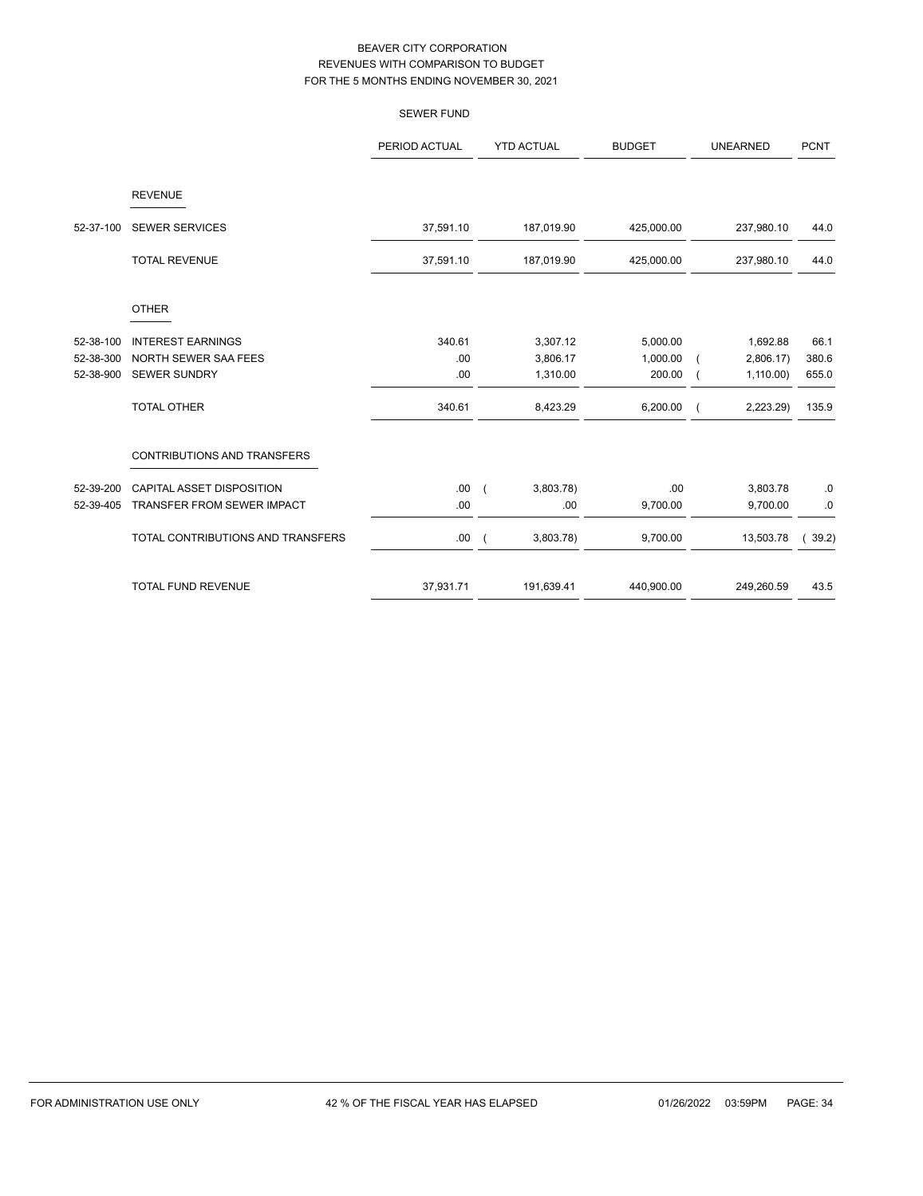|           |                                   | <b>SEWER FUND</b> |                   |            |               |                 |             |
|-----------|-----------------------------------|-------------------|-------------------|------------|---------------|-----------------|-------------|
|           |                                   | PERIOD ACTUAL     | <b>YTD ACTUAL</b> |            | <b>BUDGET</b> | <b>UNEARNED</b> | <b>PCNT</b> |
|           | <b>REVENUE</b>                    |                   |                   |            |               |                 |             |
| 52-37-100 | <b>SEWER SERVICES</b>             | 37,591.10         |                   | 187,019.90 | 425,000.00    | 237,980.10      | 44.0        |
|           | <b>TOTAL REVENUE</b>              | 37,591.10         |                   | 187,019.90 | 425,000.00    | 237,980.10      | 44.0        |
|           | <b>OTHER</b>                      |                   |                   |            |               |                 |             |
| 52-38-100 | <b>INTEREST EARNINGS</b>          | 340.61            |                   | 3,307.12   | 5,000.00      | 1,692.88        | 66.1        |
| 52-38-300 | NORTH SEWER SAA FEES              | .00               |                   | 3,806.17   | 1,000.00      | 2,806.17        | 380.6       |
| 52-38-900 | <b>SEWER SUNDRY</b>               | .00               |                   | 1,310.00   | 200.00        | 1,110.00        | 655.0       |
|           | <b>TOTAL OTHER</b>                | 340.61            |                   | 8,423.29   | 6,200.00      | 2,223.29)       | 135.9       |
|           | CONTRIBUTIONS AND TRANSFERS       |                   |                   |            |               |                 |             |
| 52-39-200 | <b>CAPITAL ASSET DISPOSITION</b>  | .00.              | $\sqrt{2}$        | 3,803.78   | .00           | 3,803.78        | .0          |
| 52-39-405 | TRANSFER FROM SEWER IMPACT        | .00               |                   | .00        | 9,700.00      | 9,700.00        | $.0\,$      |
|           | TOTAL CONTRIBUTIONS AND TRANSFERS | .00.              |                   | 3,803.78)  | 9,700.00      | 13,503.78       | 39.2)       |
|           | <b>TOTAL FUND REVENUE</b>         | 37,931.71         |                   | 191,639.41 | 440,900.00    | 249,260.59      | 43.5        |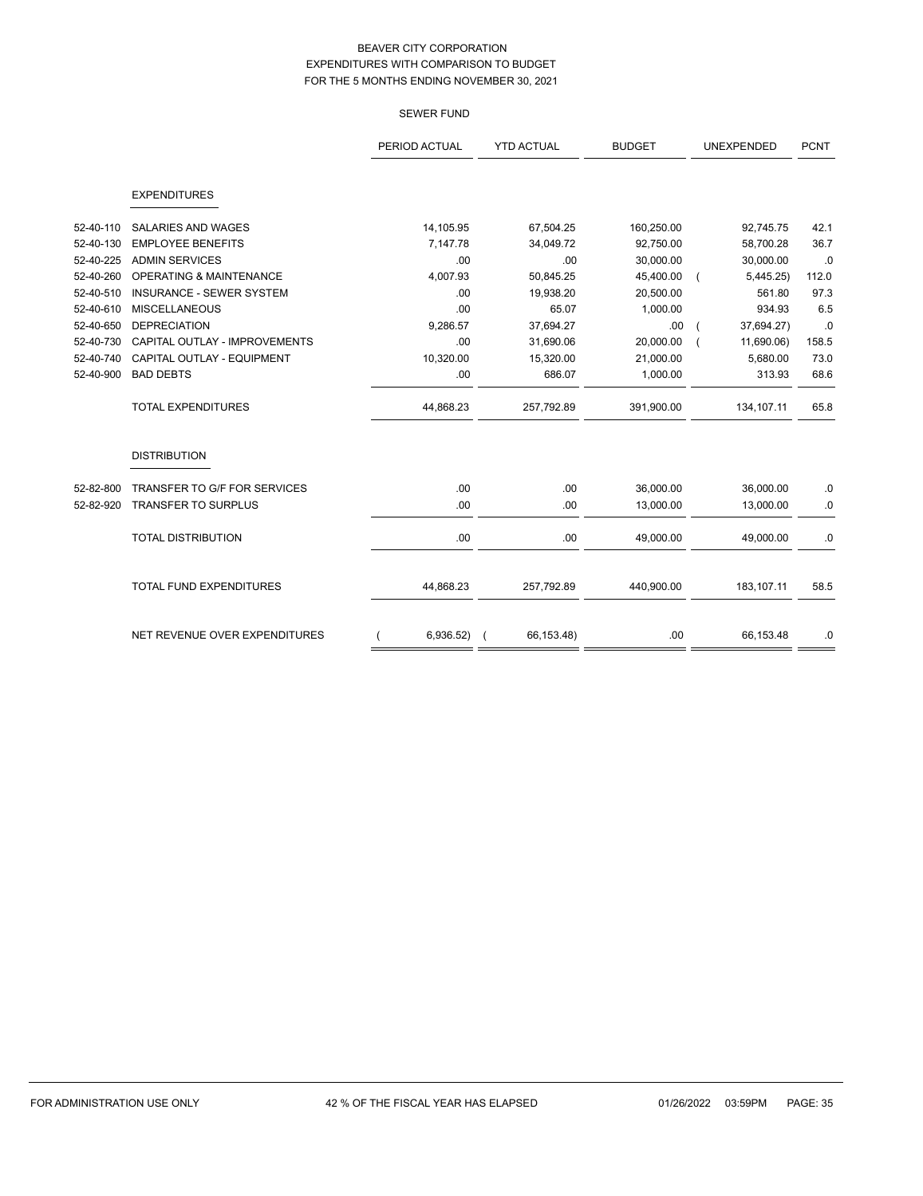SEWER FUND

|           |                                     | PERIOD ACTUAL | <b>YTD ACTUAL</b> | <b>BUDGET</b> | <b>UNEXPENDED</b> | <b>PCNT</b> |
|-----------|-------------------------------------|---------------|-------------------|---------------|-------------------|-------------|
|           | <b>EXPENDITURES</b>                 |               |                   |               |                   |             |
| 52-40-110 | <b>SALARIES AND WAGES</b>           | 14,105.95     | 67,504.25         | 160,250.00    | 92,745.75         | 42.1        |
| 52-40-130 | <b>EMPLOYEE BENEFITS</b>            | 7,147.78      | 34,049.72         | 92,750.00     | 58.700.28         | 36.7        |
| 52-40-225 | <b>ADMIN SERVICES</b>               | .00           | .00               | 30,000.00     | 30,000.00         | .0          |
| 52-40-260 | <b>OPERATING &amp; MAINTENANCE</b>  | 4,007.93      | 50,845.25         | 45,400.00     | 5,445.25)         | 112.0       |
| 52-40-510 | <b>INSURANCE - SEWER SYSTEM</b>     | .00           | 19,938.20         | 20,500.00     | 561.80            | 97.3        |
| 52-40-610 | <b>MISCELLANEOUS</b>                | .00           | 65.07             | 1,000.00      | 934.93            | 6.5         |
| 52-40-650 | <b>DEPRECIATION</b>                 | 9,286.57      | 37,694.27         | .00.          | 37,694.27)        | .0          |
| 52-40-730 | CAPITAL OUTLAY - IMPROVEMENTS       | .00           | 31,690.06         | 20,000.00     | 11,690.06)        | 158.5       |
| 52-40-740 | CAPITAL OUTLAY - EQUIPMENT          | 10,320.00     | 15,320.00         | 21,000.00     | 5,680.00          | 73.0        |
| 52-40-900 | <b>BAD DEBTS</b>                    | .00           | 686.07            | 1,000.00      | 313.93            | 68.6        |
|           | <b>TOTAL EXPENDITURES</b>           | 44,868.23     | 257,792.89        | 391,900.00    | 134,107.11        | 65.8        |
|           | <b>DISTRIBUTION</b>                 |               |                   |               |                   |             |
| 52-82-800 | <b>TRANSFER TO G/F FOR SERVICES</b> | .00           | .00.              | 36,000.00     | 36,000.00         | .0          |
| 52-82-920 | <b>TRANSFER TO SURPLUS</b>          | .00           | .00               | 13,000.00     | 13,000.00         | .0          |
|           | <b>TOTAL DISTRIBUTION</b>           | .00           | .00               | 49,000.00     | 49,000.00         | .0          |

TOTAL FUND EXPENDITURES 44,868.23 257,792.89 440,900.00 183,107.11 58.5

NET REVENUE OVER EXPENDITURES ( 6,936.52) ( 66,153.48) .00 66,153.48 0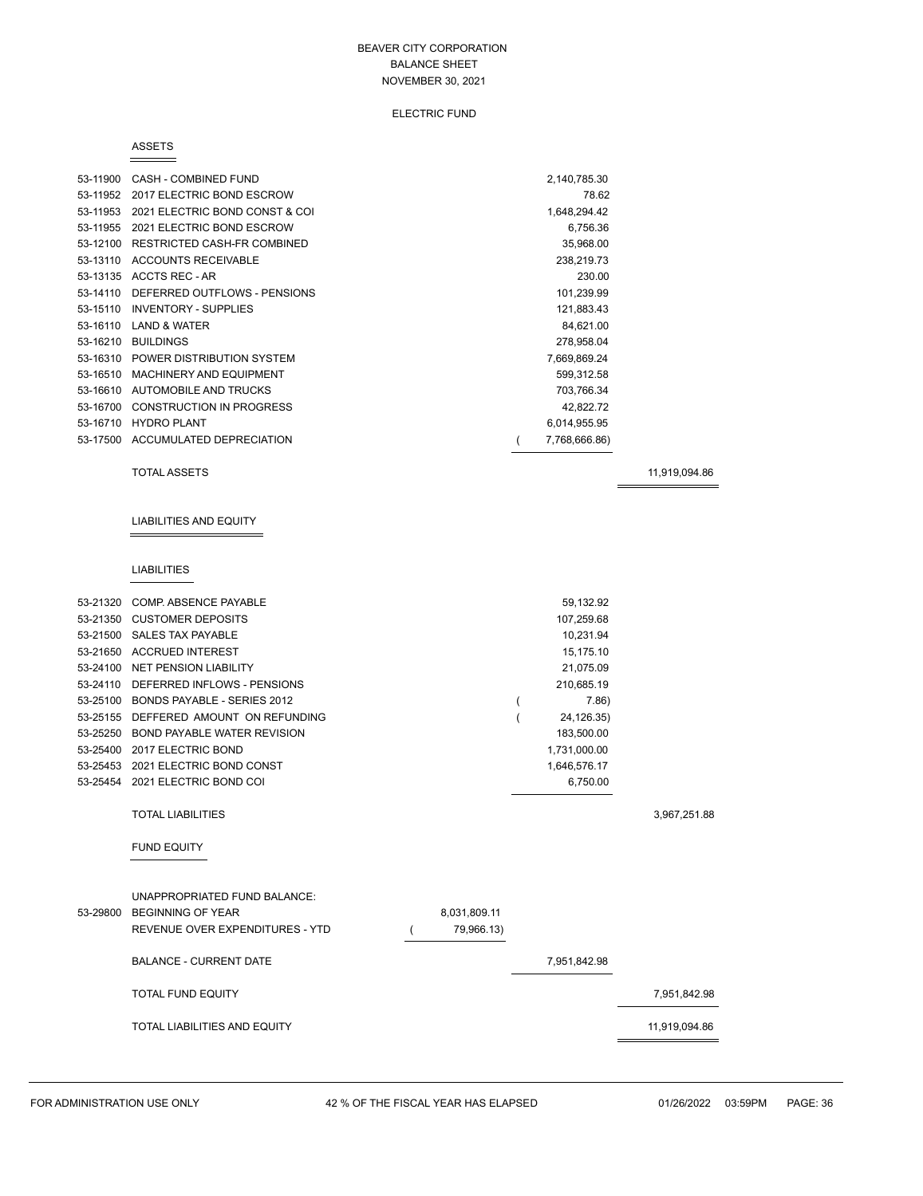### ELECTRIC FUND

#### ASSETS

| 53-11900 | CASH - COMBINED FUND               | 2,140,785.30  |  |
|----------|------------------------------------|---------------|--|
| 53-11952 | 2017 ELECTRIC BOND ESCROW          | 78.62         |  |
| 53-11953 | 2021 ELECTRIC BOND CONST & COI     | 1,648,294.42  |  |
| 53-11955 | 2021 ELECTRIC BOND ESCROW          | 6,756.36      |  |
| 53-12100 | RESTRICTED CASH-FR COMBINED        | 35,968.00     |  |
| 53-13110 | <b>ACCOUNTS RECEIVABLE</b>         | 238,219.73    |  |
|          | 53-13135 ACCTS REC - AR            | 230.00        |  |
| 53-14110 | DEFERRED OUTFLOWS - PENSIONS       | 101,239.99    |  |
| 53-15110 | <b>INVENTORY - SUPPLIES</b>        | 121,883.43    |  |
| 53-16110 | <b>LAND &amp; WATER</b>            | 84,621.00     |  |
| 53-16210 | <b>BUILDINGS</b>                   | 278,958.04    |  |
|          | 53-16310 POWER DISTRIBUTION SYSTEM | 7,669,869.24  |  |
| 53-16510 | MACHINERY AND EQUIPMENT            | 599,312.58    |  |
| 53-16610 | AUTOMOBILE AND TRUCKS              | 703,766.34    |  |
| 53-16700 | <b>CONSTRUCTION IN PROGRESS</b>    | 42,822.72     |  |
| 53-16710 | <b>HYDRO PLANT</b>                 | 6,014,955.95  |  |
|          | 53-17500 ACCUMULATED DEPRECIATION  | 7,768,666.86) |  |

### TOTAL ASSETS 11,919,094.86

# LIABILITIES AND EQUITY

## LIABILITIES

| 53-21320 | COMP. ABSENCE PAYABLE                 |              | 59,132.92    |               |
|----------|---------------------------------------|--------------|--------------|---------------|
|          | 53-21350 CUSTOMER DEPOSITS            |              | 107,259.68   |               |
| 53-21500 | <b>SALES TAX PAYABLE</b>              |              | 10,231.94    |               |
|          | 53-21650 ACCRUED INTEREST             |              | 15,175.10    |               |
|          | 53-24100 NET PENSION LIABILITY        |              | 21,075.09    |               |
| 53-24110 | DEFERRED INFLOWS - PENSIONS           |              | 210,685.19   |               |
|          | 53-25100 BONDS PAYABLE - SERIES 2012  |              | 7.86         |               |
|          | 53-25155 DEFFERED AMOUNT ON REFUNDING |              | 24,126.35)   |               |
|          | 53-25250 BOND PAYABLE WATER REVISION  |              | 183,500.00   |               |
| 53-25400 | 2017 ELECTRIC BOND                    |              | 1,731,000.00 |               |
|          | 53-25453 2021 ELECTRIC BOND CONST     |              | 1,646,576.17 |               |
|          | 53-25454 2021 ELECTRIC BOND COI       |              | 6,750.00     |               |
|          |                                       |              |              |               |
|          | <b>TOTAL LIABILITIES</b>              |              |              | 3,967,251.88  |
|          |                                       |              |              |               |
|          | <b>FUND EQUITY</b>                    |              |              |               |
|          |                                       |              |              |               |
|          |                                       |              |              |               |
|          | UNAPPROPRIATED FUND BALANCE:          |              |              |               |
| 53-29800 | <b>BEGINNING OF YEAR</b>              | 8,031,809.11 |              |               |
|          | REVENUE OVER EXPENDITURES - YTD       | 79,966.13)   |              |               |
|          |                                       |              |              |               |
|          | <b>BALANCE - CURRENT DATE</b>         |              | 7,951,842.98 |               |
|          |                                       |              |              |               |
|          | <b>TOTAL FUND EQUITY</b>              |              |              | 7,951,842.98  |
|          | <b>TOTAL LIABILITIES AND EQUITY</b>   |              |              | 11,919,094.86 |
|          |                                       |              |              |               |
|          |                                       |              |              |               |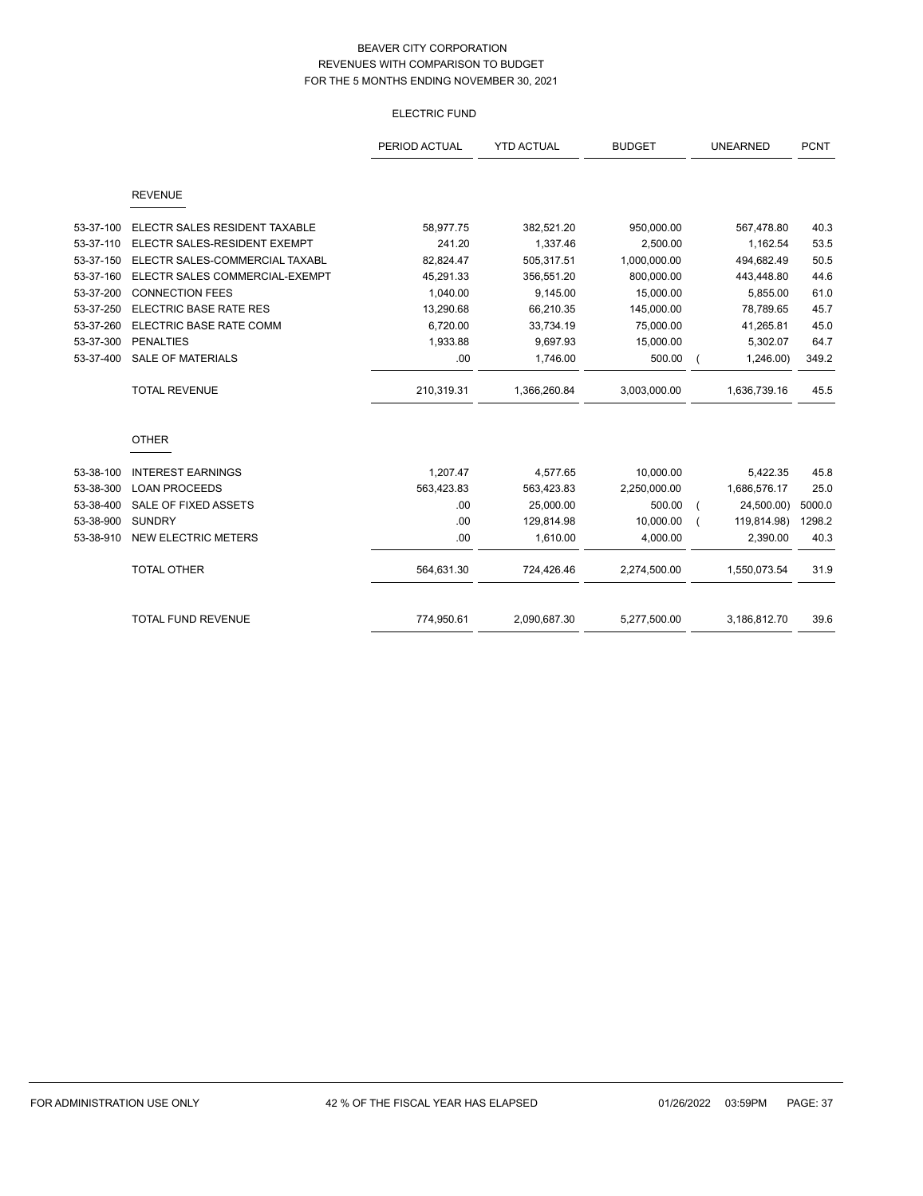# ELECTRIC FUND

|           |                                | PERIOD ACTUAL | <b>YTD ACTUAL</b> | <b>BUDGET</b> | <b>UNEARNED</b> | <b>PCNT</b> |
|-----------|--------------------------------|---------------|-------------------|---------------|-----------------|-------------|
|           | <b>REVENUE</b>                 |               |                   |               |                 |             |
| 53-37-100 | ELECTR SALES RESIDENT TAXABLE  | 58,977.75     | 382,521.20        | 950,000.00    | 567,478.80      | 40.3        |
| 53-37-110 | ELECTR SALES-RESIDENT EXEMPT   | 241.20        | 1,337.46          | 2,500.00      | 1,162.54        | 53.5        |
| 53-37-150 | ELECTR SALES-COMMERCIAL TAXABL | 82,824.47     | 505,317.51        | 1,000,000.00  | 494,682.49      | 50.5        |
| 53-37-160 | ELECTR SALES COMMERCIAL-EXEMPT | 45,291.33     | 356,551.20        | 800,000.00    | 443,448.80      | 44.6        |
| 53-37-200 | <b>CONNECTION FEES</b>         | 1,040.00      | 9,145.00          | 15,000.00     | 5,855.00        | 61.0        |
| 53-37-250 | ELECTRIC BASE RATE RES         | 13,290.68     | 66,210.35         | 145,000.00    | 78,789.65       | 45.7        |
| 53-37-260 | ELECTRIC BASE RATE COMM        | 6,720.00      | 33,734.19         | 75,000.00     | 41,265.81       | 45.0        |
| 53-37-300 | <b>PENALTIES</b>               | 1,933.88      | 9,697.93          | 15,000.00     | 5,302.07        | 64.7        |
| 53-37-400 | <b>SALE OF MATERIALS</b>       | .00           | 1,746.00          | 500.00        | 1,246.00        | 349.2       |
|           | <b>TOTAL REVENUE</b>           | 210,319.31    | 1,366,260.84      | 3,003,000.00  | 1,636,739.16    | 45.5        |
|           | <b>OTHER</b>                   |               |                   |               |                 |             |
| 53-38-100 | <b>INTEREST EARNINGS</b>       | 1,207.47      | 4,577.65          | 10,000.00     | 5,422.35        | 45.8        |
| 53-38-300 | <b>LOAN PROCEEDS</b>           | 563,423.83    | 563,423.83        | 2,250,000.00  | 1,686,576.17    | 25.0        |
| 53-38-400 | SALE OF FIXED ASSETS           | .00           | 25,000.00         | 500.00        | 24,500.00)      | 5000.0      |
| 53-38-900 | <b>SUNDRY</b>                  | .00           | 129,814.98        | 10,000.00     | 119,814.98)     | 1298.2      |
| 53-38-910 | <b>NEW ELECTRIC METERS</b>     | .00           | 1,610.00          | 4,000.00      | 2,390.00        | 40.3        |
|           | <b>TOTAL OTHER</b>             | 564,631.30    | 724,426.46        | 2,274,500.00  | 1,550,073.54    | 31.9        |
|           | <b>TOTAL FUND REVENUE</b>      | 774,950.61    | 2,090,687.30      | 5,277,500.00  | 3,186,812.70    | 39.6        |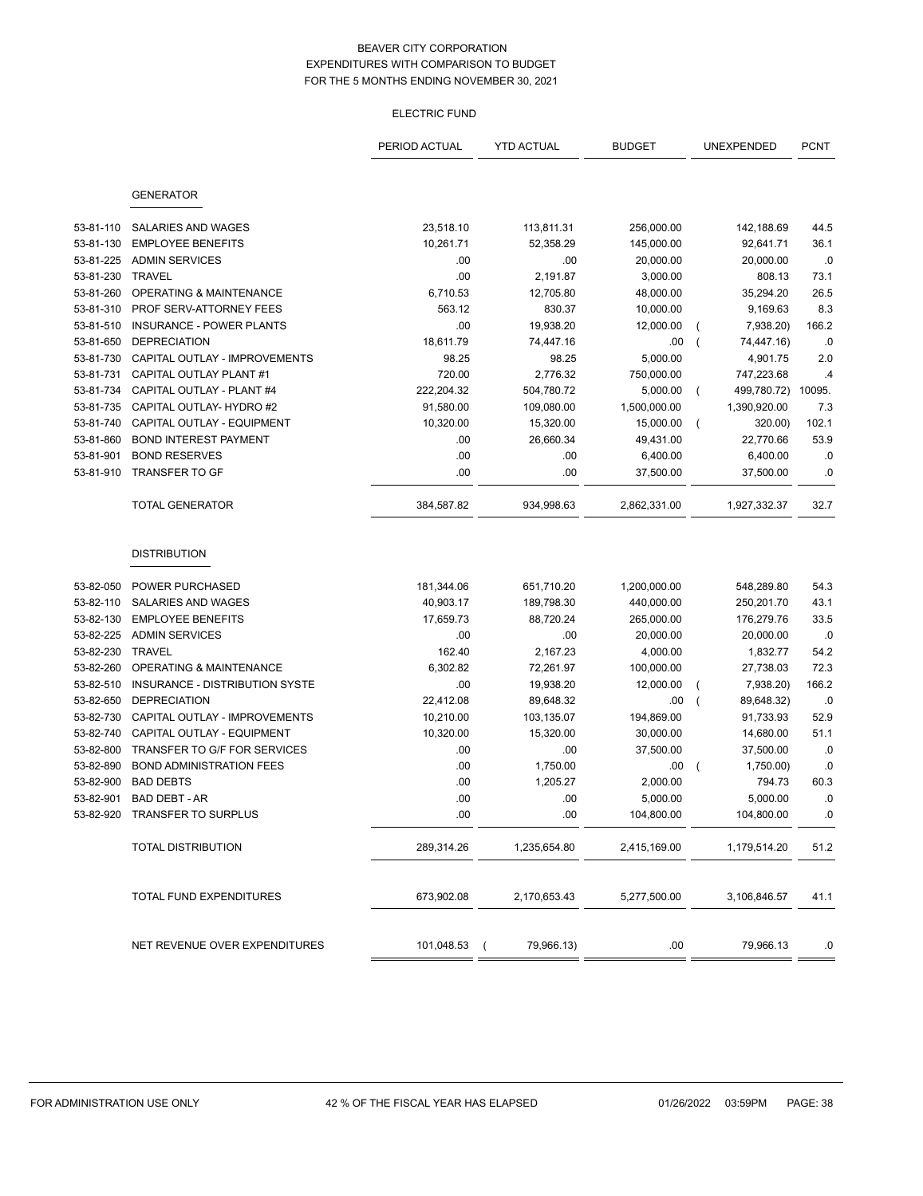# ELECTRIC FUND

|           |                                 | PERIOD ACTUAL | <b>YTD ACTUAL</b>      | <b>BUDGET</b> |                | UNEXPENDED   | <b>PCNT</b> |
|-----------|---------------------------------|---------------|------------------------|---------------|----------------|--------------|-------------|
|           |                                 |               |                        |               |                |              |             |
|           | <b>GENERATOR</b>                |               |                        |               |                |              |             |
| 53-81-110 | SALARIES AND WAGES              | 23,518.10     | 113,811.31             | 256,000.00    |                | 142,188.69   | 44.5        |
| 53-81-130 | <b>EMPLOYEE BENEFITS</b>        | 10,261.71     | 52,358.29              | 145,000.00    |                | 92,641.71    | 36.1        |
| 53-81-225 | <b>ADMIN SERVICES</b>           | .00           | .00                    | 20,000.00     |                | 20,000.00    | .0          |
| 53-81-230 | <b>TRAVEL</b>                   | .00           | 2,191.87               | 3,000.00      |                | 808.13       | 73.1        |
| 53-81-260 | OPERATING & MAINTENANCE         | 6,710.53      | 12,705.80              | 48,000.00     |                | 35,294.20    | 26.5        |
| 53-81-310 | PROF SERV-ATTORNEY FEES         | 563.12        | 830.37                 | 10,000.00     |                | 9,169.63     | 8.3         |
| 53-81-510 | <b>INSURANCE - POWER PLANTS</b> | .00           | 19,938.20              | 12,000.00     | (              | 7,938.20)    | 166.2       |
| 53-81-650 | <b>DEPRECIATION</b>             | 18,611.79     | 74,447.16              | .00           | (              | 74,447.16)   | .0          |
| 53-81-730 | CAPITAL OUTLAY - IMPROVEMENTS   | 98.25         | 98.25                  | 5,000.00      |                | 4,901.75     | 2.0         |
| 53-81-731 | CAPITAL OUTLAY PLANT #1         | 720.00        | 2,776.32               | 750,000.00    |                | 747,223.68   | .4          |
| 53-81-734 | CAPITAL OUTLAY - PLANT #4       | 222,204.32    | 504,780.72             | 5,000.00      | $\overline{ }$ | 499,780.72)  | 10095.      |
| 53-81-735 | CAPITAL OUTLAY- HYDRO #2        | 91,580.00     | 109,080.00             | 1,500,000.00  |                | 1,390,920.00 | 7.3         |
| 53-81-740 | CAPITAL OUTLAY - EQUIPMENT      | 10,320.00     | 15,320.00              | 15,000.00     |                | 320.00)      | 102.1       |
| 53-81-860 | <b>BOND INTEREST PAYMENT</b>    | .00           | 26,660.34              | 49,431.00     |                | 22,770.66    | 53.9        |
| 53-81-901 | <b>BOND RESERVES</b>            | .00           | .00                    | 6,400.00      |                | 6,400.00     | .0          |
| 53-81-910 | <b>TRANSFER TO GF</b>           | .00           | .00                    | 37,500.00     |                | 37,500.00    | .0          |
|           | <b>TOTAL GENERATOR</b>          | 384,587.82    | 934,998.63             | 2,862,331.00  |                | 1,927,332.37 | 32.7        |
|           | <b>DISTRIBUTION</b>             |               |                        |               |                |              |             |
| 53-82-050 | POWER PURCHASED                 | 181,344.06    | 651,710.20             | 1,200,000.00  |                | 548,289.80   | 54.3        |
| 53-82-110 | SALARIES AND WAGES              | 40,903.17     | 189,798.30             | 440,000.00    |                | 250,201.70   | 43.1        |
| 53-82-130 | <b>EMPLOYEE BENEFITS</b>        | 17,659.73     | 88,720.24              | 265,000.00    |                | 176,279.76   | 33.5        |
| 53-82-225 | <b>ADMIN SERVICES</b>           | .00           | .00                    | 20,000.00     |                | 20,000.00    | .0          |
| 53-82-230 | <b>TRAVEL</b>                   | 162.40        | 2,167.23               | 4,000.00      |                | 1,832.77     | 54.2        |
| 53-82-260 | OPERATING & MAINTENANCE         | 6,302.82      | 72,261.97              | 100,000.00    |                | 27,738.03    | 72.3        |
| 53-82-510 | INSURANCE - DISTRIBUTION SYSTE  | .00           | 19,938.20              | 12,000.00     | (              | 7,938.20)    | 166.2       |
| 53-82-650 | <b>DEPRECIATION</b>             | 22,412.08     | 89,648.32              | .00           | (              | 89,648.32)   | .0          |
| 53-82-730 | CAPITAL OUTLAY - IMPROVEMENTS   | 10,210.00     | 103,135.07             | 194,869.00    |                | 91,733.93    | 52.9        |
| 53-82-740 | CAPITAL OUTLAY - EQUIPMENT      | 10,320.00     | 15,320.00              | 30,000.00     |                | 14,680.00    | 51.1        |
| 53-82-800 | TRANSFER TO G/F FOR SERVICES    | .00           | .00                    | 37,500.00     |                | 37,500.00    | .0          |
| 53-82-890 | <b>BOND ADMINISTRATION FEES</b> | .00           | 1,750.00               | .00           |                | 1,750.00)    | .0          |
| 53-82-900 | <b>BAD DEBTS</b>                | .00           | 1,205.27               | 2,000.00      |                | 794.73       | 60.3        |
| 53-82-901 | BAD DEBT - AR                   | .00           | .00                    | 5,000.00      |                | 5,000.00     | $\cdot$ 0   |
|           | 53-82-920 TRANSFER TO SURPLUS   | .00           | .00                    | 104,800.00    |                | 104,800.00   | .0          |
|           | <b>TOTAL DISTRIBUTION</b>       | 289,314.26    | 1,235,654.80           | 2,415,169.00  |                | 1,179,514.20 | 51.2        |
|           | TOTAL FUND EXPENDITURES         | 673,902.08    | 2,170,653.43           | 5,277,500.00  |                | 3,106,846.57 | 41.1        |
|           | NET REVENUE OVER EXPENDITURES   | 101,048.53    | 79,966.13)<br>$\left($ | .00           |                | 79,966.13    | .0          |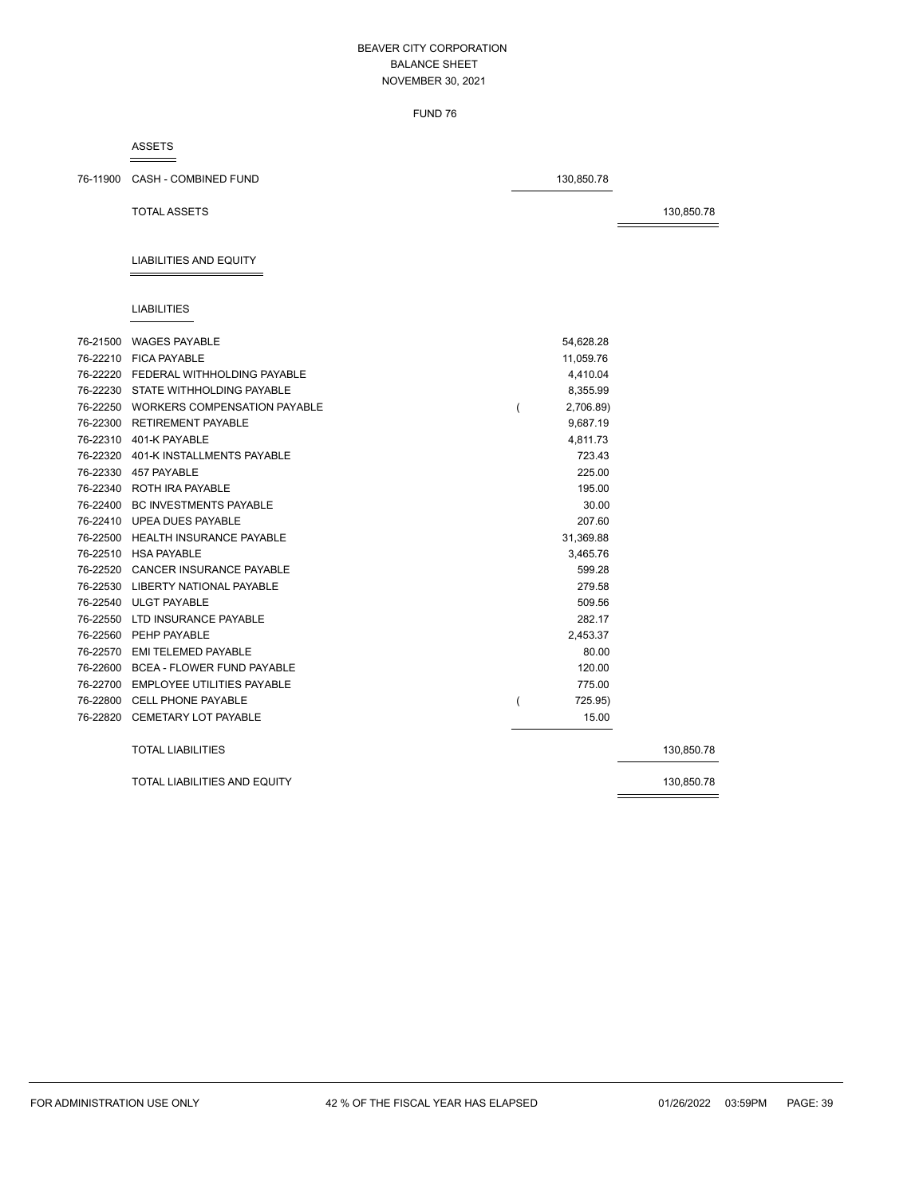FUND 76

#### ASSETS

76-11900 CASH - COMBINED FUND 130,850.78

TOTAL ASSETS 30,850.78

# LIABILITIES AND EQUITY

### LIABILITIES

|          | 76-21500 WAGES PAYABLE                | 54,628.28 |            |
|----------|---------------------------------------|-----------|------------|
|          | 76-22210 FICA PAYABLE                 | 11,059.76 |            |
|          | 76-22220 FEDERAL WITHHOLDING PAYABLE  | 4,410.04  |            |
|          | 76-22230 STATE WITHHOLDING PAYABLE    | 8.355.99  |            |
|          | 76-22250 WORKERS COMPENSATION PAYABLE | 2,706.89) |            |
|          | 76-22300 RETIREMENT PAYABLE           | 9,687.19  |            |
|          | 76-22310 401-K PAYABLE                | 4,811.73  |            |
|          | 76-22320 401-K INSTALLMENTS PAYABLE   | 723.43    |            |
|          | 76-22330 457 PAYABLE                  | 225.00    |            |
|          | 76-22340 ROTH IRA PAYABLE             | 195.00    |            |
|          | 76-22400 BC INVESTMENTS PAYABLE       | 30.00     |            |
|          | 76-22410 UPEA DUES PAYABLE            | 207.60    |            |
|          | 76-22500 HEALTH INSURANCE PAYABLE     | 31,369.88 |            |
|          | 76-22510 HSA PAYABLE                  | 3.465.76  |            |
|          | 76-22520 CANCER INSURANCE PAYABLE     | 599.28    |            |
|          | 76-22530 LIBERTY NATIONAL PAYABLE     | 279.58    |            |
|          | 76-22540 ULGT PAYABLE                 | 509.56    |            |
| 76-22550 | LTD INSURANCE PAYABLE                 | 282.17    |            |
|          | 76-22560 PEHP PAYABLE                 | 2,453.37  |            |
|          | 76-22570 EMI TELEMED PAYABLE          | 80.00     |            |
|          | 76-22600 BCEA - FLOWER FUND PAYABLE   | 120.00    |            |
|          | 76-22700 EMPLOYEE UTILITIES PAYABLE   | 775.00    |            |
|          | 76-22800 CELL PHONE PAYABLE           | 725.95)   |            |
|          | 76-22820 CEMETARY LOT PAYABLE         | 15.00     |            |
|          | <b>TOTAL LIABILITIES</b>              |           | 130,850.78 |
|          | <b>TOTAL LIABILITIES AND EQUITY</b>   |           | 130,850.78 |
|          |                                       |           |            |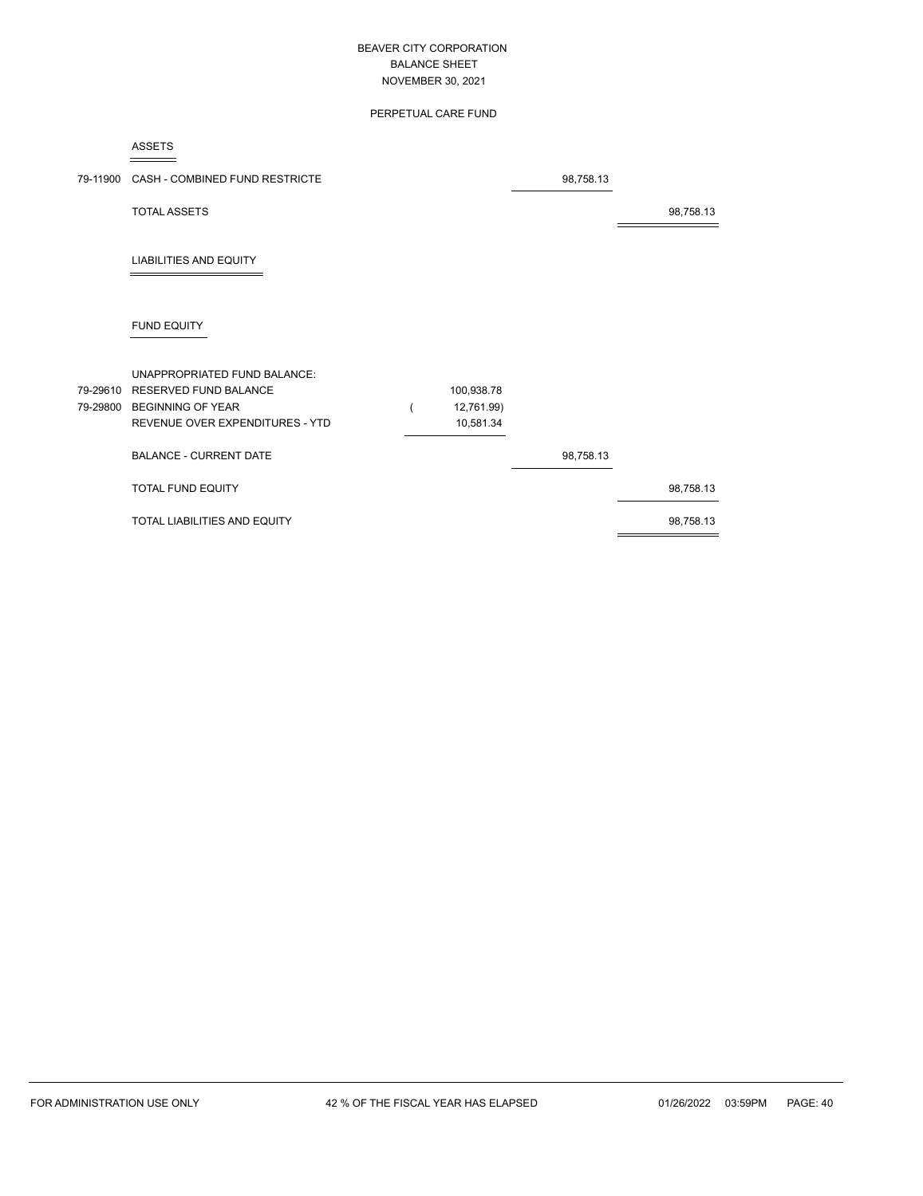# PERPETUAL CARE FUND

ASSETS

|          | 79-11900 CASH - COMBINED FUND RESTRICTE                                                                                       |                                       | 98,758.13 |           |
|----------|-------------------------------------------------------------------------------------------------------------------------------|---------------------------------------|-----------|-----------|
|          | <b>TOTAL ASSETS</b>                                                                                                           |                                       |           | 98,758.13 |
|          | <b>LIABILITIES AND EQUITY</b>                                                                                                 |                                       |           |           |
|          | <b>FUND EQUITY</b>                                                                                                            |                                       |           |           |
| 79-29610 | UNAPPROPRIATED FUND BALANCE:<br><b>RESERVED FUND BALANCE</b><br>79-29800 BEGINNING OF YEAR<br>REVENUE OVER EXPENDITURES - YTD | 100,938.78<br>12,761.99)<br>10,581.34 |           |           |
|          | <b>BALANCE - CURRENT DATE</b>                                                                                                 |                                       | 98,758.13 |           |
|          | TOTAL FUND EQUITY                                                                                                             |                                       |           | 98,758.13 |
|          | TOTAL LIABILITIES AND EQUITY                                                                                                  |                                       |           | 98,758.13 |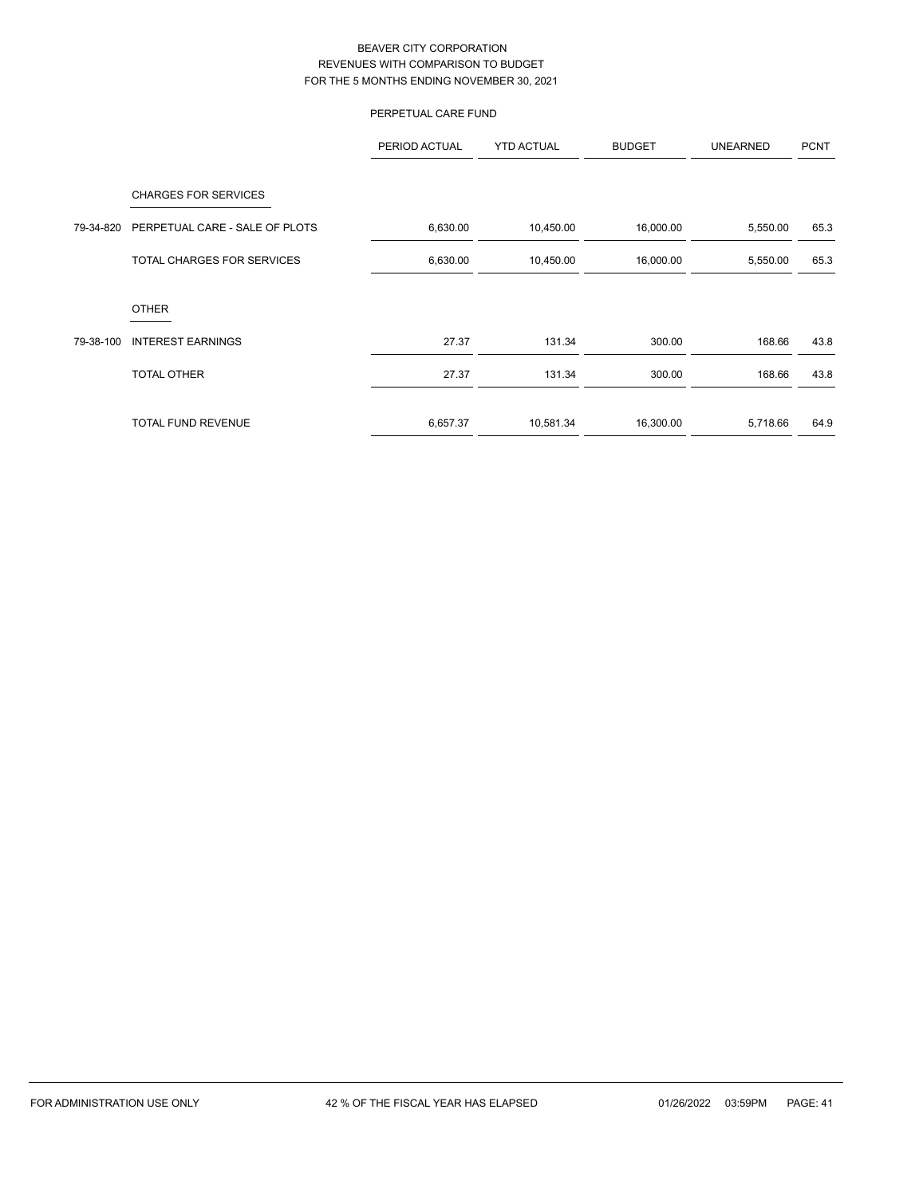# PERPETUAL CARE FUND

|           |                                                               | PERIOD ACTUAL | <b>YTD ACTUAL</b> | <b>BUDGET</b> | <b>UNEARNED</b> | <b>PCNT</b> |
|-----------|---------------------------------------------------------------|---------------|-------------------|---------------|-----------------|-------------|
| 79-34-820 | <b>CHARGES FOR SERVICES</b><br>PERPETUAL CARE - SALE OF PLOTS | 6,630.00      | 10,450.00         | 16,000.00     | 5,550.00        | 65.3        |
|           |                                                               |               |                   |               |                 |             |
|           | TOTAL CHARGES FOR SERVICES                                    | 6,630.00      | 10,450.00         | 16,000.00     | 5,550.00        | 65.3        |
|           | <b>OTHER</b>                                                  |               |                   |               |                 |             |
| 79-38-100 | <b>INTEREST EARNINGS</b>                                      | 27.37         | 131.34            | 300.00        | 168.66          | 43.8        |
|           | <b>TOTAL OTHER</b>                                            | 27.37         | 131.34            | 300.00        | 168.66          | 43.8        |
|           | <b>TOTAL FUND REVENUE</b>                                     | 6,657.37      | 10,581.34         | 16,300.00     | 5,718.66        | 64.9        |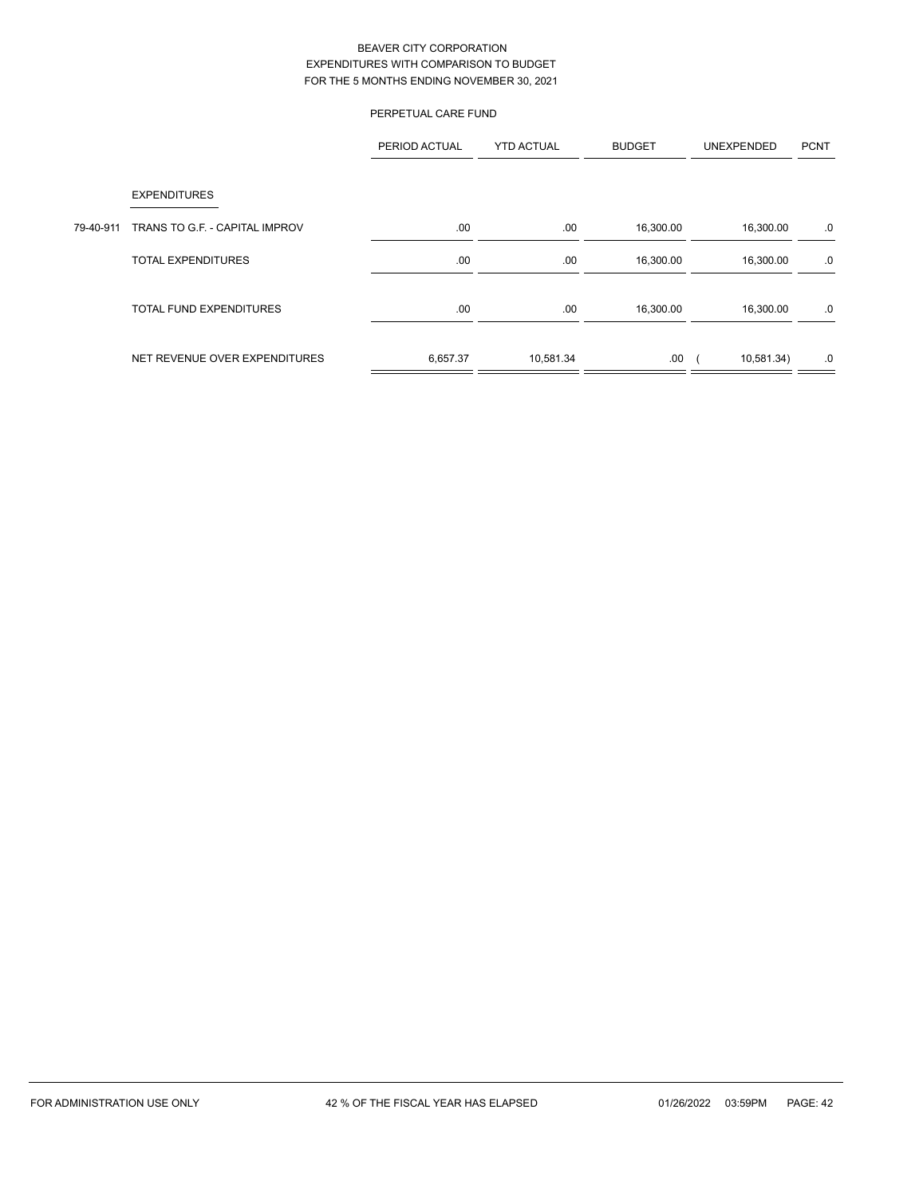|           |                                | PERPETUAL CARE FUND |                   |               |            |             |
|-----------|--------------------------------|---------------------|-------------------|---------------|------------|-------------|
|           |                                | PERIOD ACTUAL       | <b>YTD ACTUAL</b> | <b>BUDGET</b> | UNEXPENDED | <b>PCNT</b> |
|           | <b>EXPENDITURES</b>            |                     |                   |               |            |             |
| 79-40-911 | TRANS TO G.F. - CAPITAL IMPROV | .00                 | .00               | 16,300.00     | 16,300.00  | .0          |
|           | <b>TOTAL EXPENDITURES</b>      | .00.                | .00               | 16,300.00     | 16,300.00  | .0          |
|           | <b>TOTAL FUND EXPENDITURES</b> | .00.                | .00               | 16,300.00     | 16,300.00  | .0          |
|           | NET REVENUE OVER EXPENDITURES  | 6,657.37            | 10,581.34         | .00           | 10,581.34) | .0          |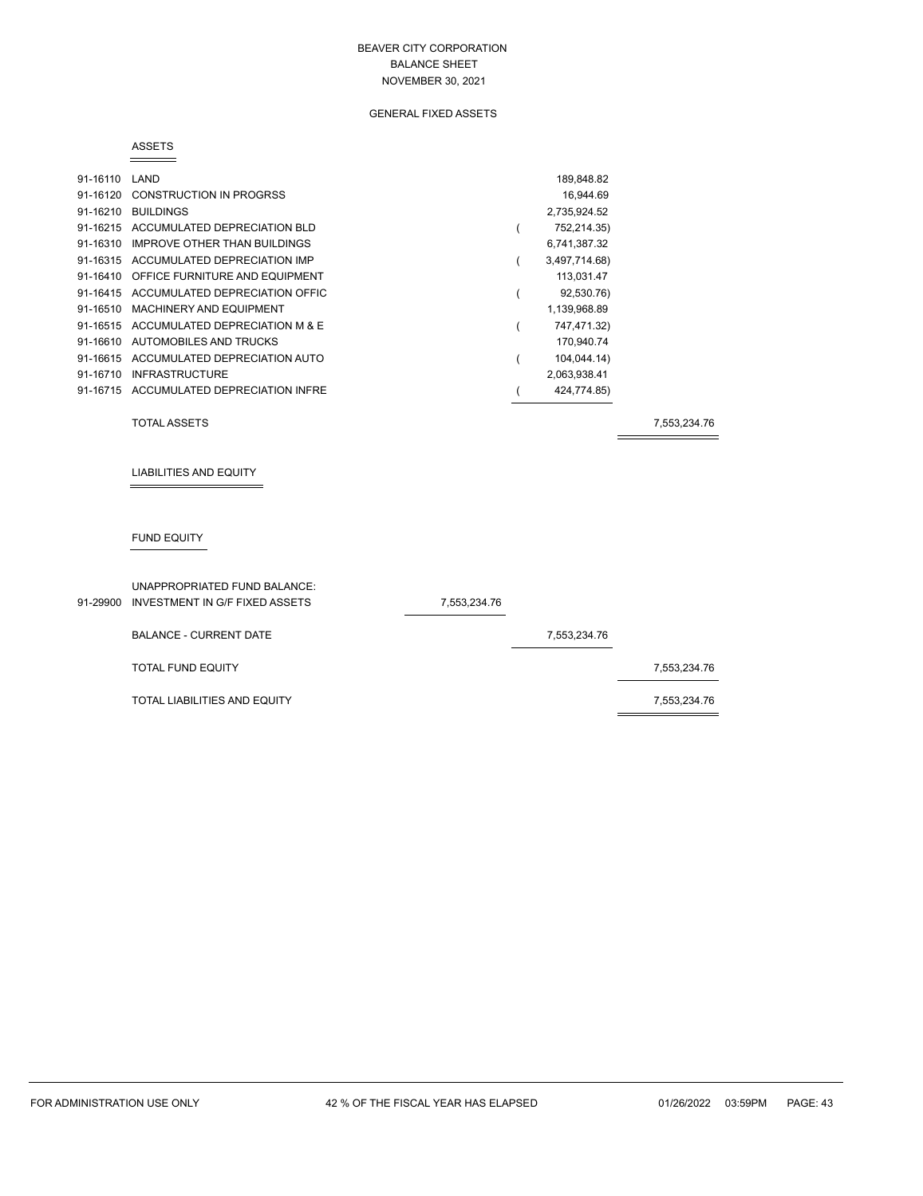# GENERAL FIXED ASSETS

#### ASSETS

| 91-16110 | LAND                                    | 189,848.82    |
|----------|-----------------------------------------|---------------|
|          | 91-16120 CONSTRUCTION IN PROGRSS        | 16.944.69     |
| 91-16210 | <b>BUILDINGS</b>                        | 2,735,924.52  |
|          | 91-16215 ACCUMULATED DEPRECIATION BLD   | 752,214.35)   |
| 91-16310 | IMPROVE OTHER THAN BUILDINGS            | 6,741,387.32  |
|          | 91-16315 ACCUMULATED DEPRECIATION IMP   | 3,497,714.68) |
|          | 91-16410 OFFICE FURNITURE AND EQUIPMENT | 113,031.47    |
|          | 91-16415 ACCUMULATED DEPRECIATION OFFIC | 92,530.76)    |
| 91-16510 | MACHINERY AND EQUIPMENT                 | 1,139,968.89  |
|          | 91-16515 ACCUMULATED DEPRECIATION M & E | 747,471.32)   |
| 91-16610 | AUTOMOBILES AND TRUCKS                  | 170,940.74    |
|          | 91-16615 ACCUMULATED DEPRECIATION AUTO  | 104,044.14)   |
| 91-16710 | <b>INFRASTRUCTURE</b>                   | 2,063,938.41  |
|          | 91-16715 ACCUMULATED DEPRECIATION INFRE | 424,774.85)   |

TOTAL ASSETS 7,553,234.76

LIABILITIES AND EQUITY

# FUND EQUITY

| 91-29900 | UNAPPROPRIATED FUND BALANCE:<br>INVESTMENT IN G/F FIXED ASSETS | 7,553,234.76 |              |              |
|----------|----------------------------------------------------------------|--------------|--------------|--------------|
|          | <b>BALANCE - CURRENT DATE</b>                                  |              | 7,553,234.76 |              |
|          | <b>TOTAL FUND EQUITY</b>                                       |              |              | 7,553,234.76 |
|          | TOTAL LIABILITIES AND EQUITY                                   |              |              | 7,553,234.76 |